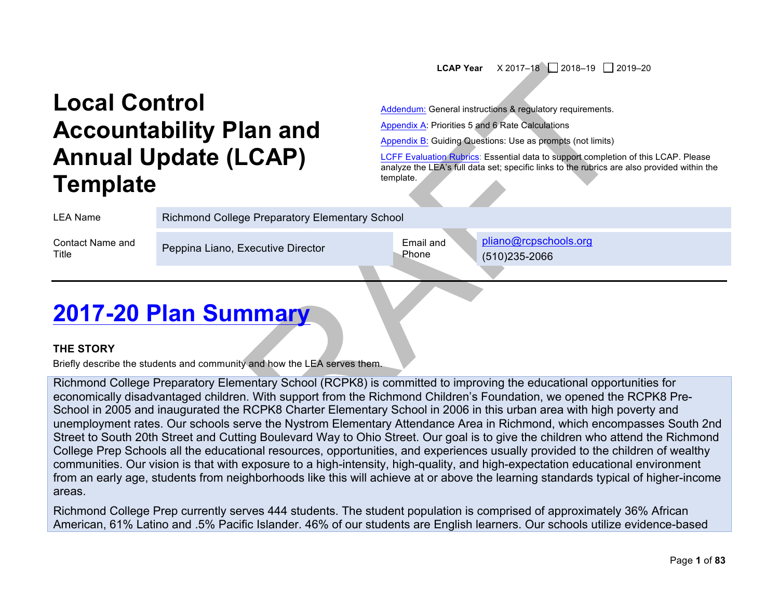#### **LCAP Year**  $\begin{array}{|c|c|c|c|c|c|}\n\hline\nX & 2017-18 & 2018-19 & 2019-20\n\end{array}$

# **Local Control Accountability Plan and Annual Update (LCAP) Template**

Addendum: General instructions & regulatory requirements.

Appendix A: Priorities 5 and 6 Rate Calculations

Appendix B: Guiding Questions: Use as prompts (not limits)

LCFF Evaluation Rubrics: Essential data to support completion of this LCAP. Please analyze the LEA's full data set; specific links to the rubrics are also provided within the template.

Richmond College Preparatory Elementary School

Contact Name and

Contact Name and Peppina Liano, Executive Director Email and Email and Email and File

Phone

pliano@rcpschools.org (510)235-2066

## **2017-20 Plan Summary**

#### **THE STORY**

Briefly describe the students and community and how the LEA serves them.

Richmond College Preparatory Elementary School (RCPK8) is committed to improving the educational opportunities for economically disadvantaged children. With support from the Richmond Children's Foundation, we opened the RCPK8 Pre-School in 2005 and inaugurated the RCPK8 Charter Elementary School in 2006 in this urban area with high poverty and unemployment rates. Our schools serve the Nystrom Elementary Attendance Area in Richmond, which encompasses South 2nd Street to South 20th Street and Cutting Boulevard Way to Ohio Street. Our goal is to give the children who attend the Richmond College Prep Schools all the educational resources, opportunities, and experiences usually provided to the children of wealthy communities. Our vision is that with exposure to a high-intensity, high-quality, and high-expectation educational environment from an early age, students from neighborhoods like this will achieve at or above the learning standards typical of higher-income areas.

Richmond College Prep currently serves 444 students. The student population is comprised of approximately 36% African American, 61% Latino and .5% Pacific Islander. 46% of our students are English learners. Our schools utilize evidence-based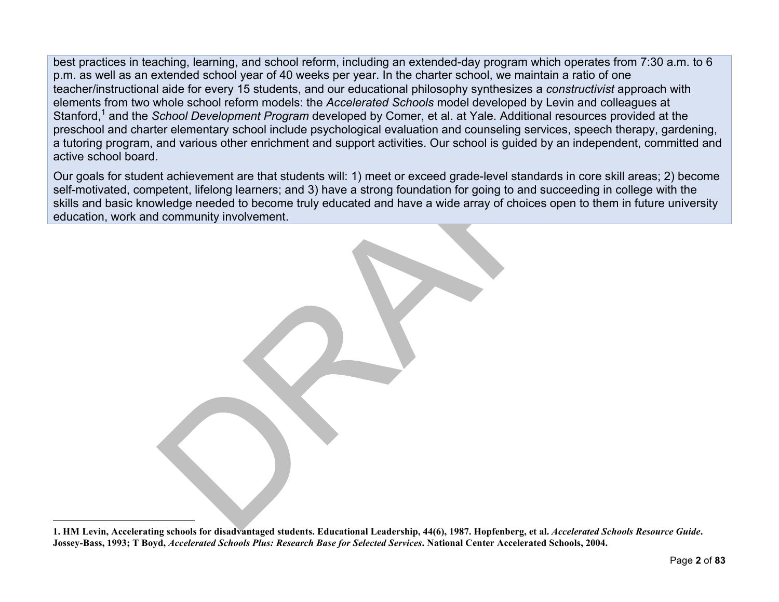best practices in teaching, learning, and school reform, including an extended-day program which operates from 7:30 a.m. to 6 p.m. as well as an extended school year of 40 weeks per year. In the charter school, we maintain a ratio of one teacher/instructional aide for every 15 students, and our educational philosophy synthesizes a *constructivist* approach with elements from two whole school reform models: the *Accelerated Schools* model developed by Levin and colleagues at Stanford,<sup>1</sup> and the *School Development Program* developed by Comer, et al. at Yale. Additional resources provided at the preschool and charter elementary school include psychological evaluation and counseling services, speech therapy, gardening, a tutoring program, and various other enrichment and support activities. Our school is guided by an independent, committed and active school board.

Our goals for student achievement are that students will: 1) meet or exceed grade-level standards in core skill areas; 2) become self-motivated, competent, lifelong learners; and 3) have a strong foundation for going to and succeeding in college with the skills and basic knowledge needed to become truly educated and have a wide array of choices open to them in future university education, work and community involvement.

**1. HM Levin, Accelerating schools for disadvantaged students. Educational Leadership, 44(6), 1987. Hopfenberg, et al.** *Accelerated Schools Resource Guide***. Jossey-Bass, 1993; T Boyd,** *Accelerated Schools Plus: Research Base for Selected Services***. National Center Accelerated Schools, 2004.**

l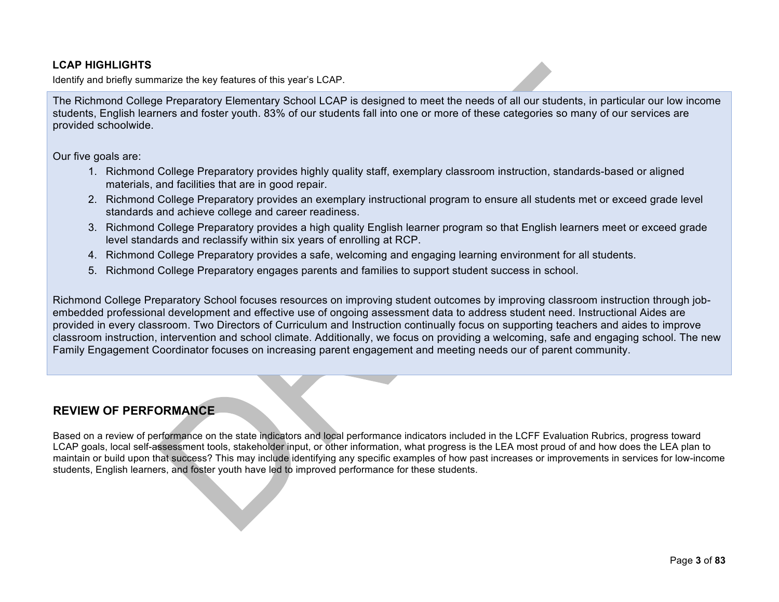#### **LCAP HIGHLIGHTS**

Identify and briefly summarize the key features of this year's LCAP.

The Richmond College Preparatory Elementary School LCAP is designed to meet the needs of all our students, in particular our low income students, English learners and foster youth. 83% of our students fall into one or more of these categories so many of our services are provided schoolwide.

Our five goals are:

- 1. Richmond College Preparatory provides highly quality staff, exemplary classroom instruction, standards-based or aligned materials, and facilities that are in good repair.
- 2. Richmond College Preparatory provides an exemplary instructional program to ensure all students met or exceed grade level standards and achieve college and career readiness.
- 3. Richmond College Preparatory provides a high quality English learner program so that English learners meet or exceed grade level standards and reclassify within six years of enrolling at RCP.
- 4. Richmond College Preparatory provides a safe, welcoming and engaging learning environment for all students.
- 5. Richmond College Preparatory engages parents and families to support student success in school.

Richmond College Preparatory School focuses resources on improving student outcomes by improving classroom instruction through jobembedded professional development and effective use of ongoing assessment data to address student need. Instructional Aides are provided in every classroom. Two Directors of Curriculum and Instruction continually focus on supporting teachers and aides to improve classroom instruction, intervention and school climate. Additionally, we focus on providing a welcoming, safe and engaging school. The new Family Engagement Coordinator focuses on increasing parent engagement and meeting needs our of parent community.

## **REVIEW OF PERFORMANCE**

Based on a review of performance on the state indicators and local performance indicators included in the LCFF Evaluation Rubrics, progress toward LCAP goals, local self-assessment tools, stakeholder input, or other information, what progress is the LEA most proud of and how does the LEA plan to maintain or build upon that success? This may include identifying any specific examples of how past increases or improvements in services for low-income students, English learners, and foster youth have led to improved performance for these students.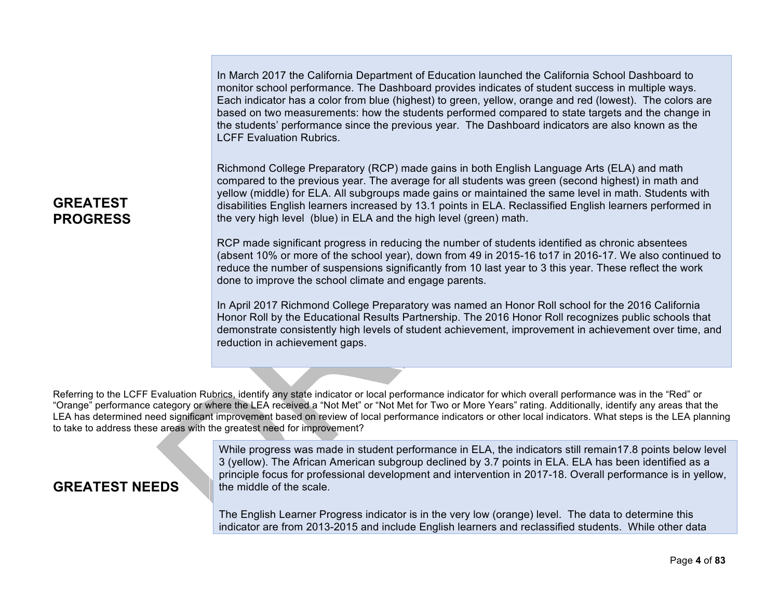In March 2017 the California Department of Education launched the California School Dashboard to monitor school performance. The Dashboard provides indicates of student success in multiple ways. Each indicator has a color from blue (highest) to green, yellow, orange and red (lowest). The colors are based on two measurements: how the students performed compared to state targets and the change in the students' performance since the previous year. The Dashboard indicators are also known as the LCFF Evaluation Rubrics.

Richmond College Preparatory (RCP) made gains in both English Language Arts (ELA) and math compared to the previous year. The average for all students was green (second highest) in math and yellow (middle) for ELA. All subgroups made gains or maintained the same level in math. Students with disabilities English learners increased by 13.1 points in ELA. Reclassified English learners performed in the very high level (blue) in ELA and the high level (green) math.

RCP made significant progress in reducing the number of students identified as chronic absentees (absent 10% or more of the school year), down from 49 in 2015-16 to17 in 2016-17. We also continued to reduce the number of suspensions significantly from 10 last year to 3 this year. These reflect the work done to improve the school climate and engage parents.

In April 2017 Richmond College Preparatory was named an Honor Roll school for the 2016 California Honor Roll by the Educational Results Partnership. The 2016 Honor Roll recognizes public schools that demonstrate consistently high levels of student achievement, improvement in achievement over time, and reduction in achievement gaps.

Referring to the LCFF Evaluation Rubrics, identify any state indicator or local performance indicator for which overall performance was in the "Red" or "Orange" performance category or where the LEA received a "Not Met" or "Not Met for Two or More Years" rating. Additionally, identify any areas that the LEA has determined need significant improvement based on review of local performance indicators or other local indicators. What steps is the LEA planning to take to address these areas with the greatest need for improvement?

> While progress was made in student performance in ELA, the indicators still remain17.8 points below level 3 (yellow). The African American subgroup declined by 3.7 points in ELA. ELA has been identified as a principle focus for professional development and intervention in 2017-18. Overall performance is in yellow, the middle of the scale.

The English Learner Progress indicator is in the very low (orange) level. The data to determine this indicator are from 2013-2015 and include English learners and reclassified students. While other data

## **GREATEST PROGRESS**

**GREATEST NEEDS**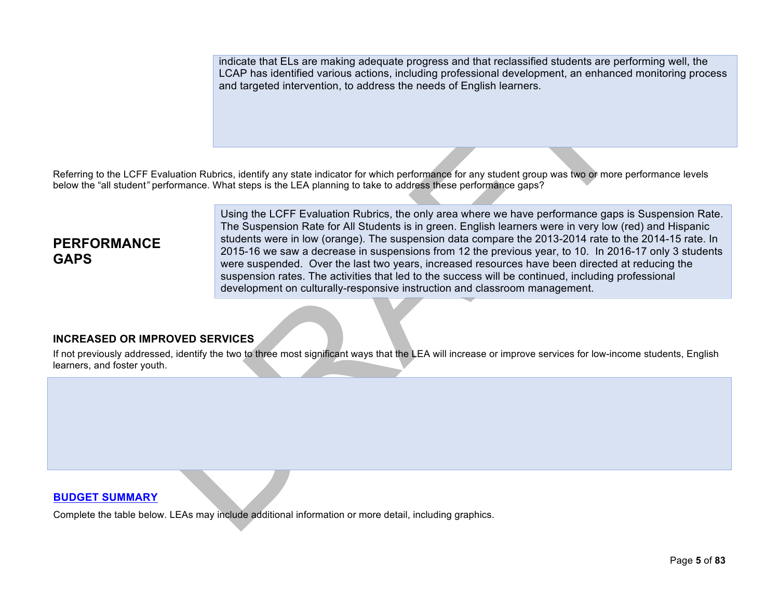indicate that ELs are making adequate progress and that reclassified students are performing well, the LCAP has identified various actions, including professional development, an enhanced monitoring process and targeted intervention, to address the needs of English learners.

Referring to the LCFF Evaluation Rubrics, identify any state indicator for which performance for any student group was two or more performance levels below the "all student*"* performance. What steps is the LEA planning to take to address these performance gaps?

## **PERFORMANCE GAPS**

Using the LCFF Evaluation Rubrics, the only area where we have performance gaps is Suspension Rate. The Suspension Rate for All Students is in green. English learners were in very low (red) and Hispanic students were in low (orange). The suspension data compare the 2013-2014 rate to the 2014-15 rate. In 2015-16 we saw a decrease in suspensions from 12 the previous year, to 10. In 2016-17 only 3 students were suspended. Over the last two years, increased resources have been directed at reducing the suspension rates. The activities that led to the success will be continued, including professional development on culturally-responsive instruction and classroom management.

#### **INCREASED OR IMPROVED SERVICES**

If not previously addressed, identify the two to three most significant ways that the LEA will increase or improve services for low-income students, English learners, and foster youth.

#### **BUDGET SUMMARY**

Complete the table below. LEAs may include additional information or more detail, including graphics.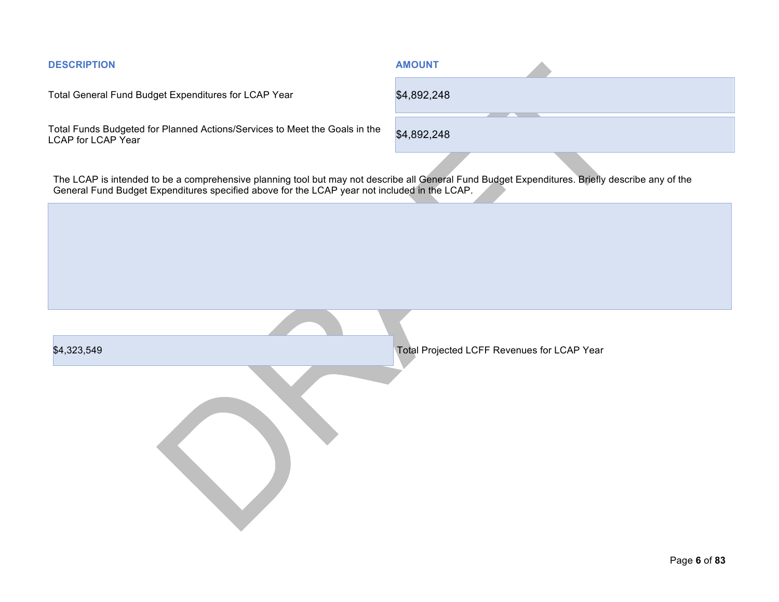| <b>DESCRIPTION</b>                                                                                                                                                                                                                              | <b>AMOUNT</b>                               |
|-------------------------------------------------------------------------------------------------------------------------------------------------------------------------------------------------------------------------------------------------|---------------------------------------------|
| Total General Fund Budget Expenditures for LCAP Year                                                                                                                                                                                            | \$4,892,248                                 |
| Total Funds Budgeted for Planned Actions/Services to Meet the Goals in the<br>LCAP for LCAP Year                                                                                                                                                | \$4,892,248                                 |
| The LCAP is intended to be a comprehensive planning tool but may not describe all General Fund Budget Expenditures. Briefly describe any of the<br>General Fund Budget Expenditures specified above for the LCAP year not included in the LCAP. |                                             |
|                                                                                                                                                                                                                                                 |                                             |
|                                                                                                                                                                                                                                                 |                                             |
|                                                                                                                                                                                                                                                 |                                             |
|                                                                                                                                                                                                                                                 |                                             |
| \$4,323,549                                                                                                                                                                                                                                     | Total Projected LCFF Revenues for LCAP Year |
|                                                                                                                                                                                                                                                 |                                             |
|                                                                                                                                                                                                                                                 |                                             |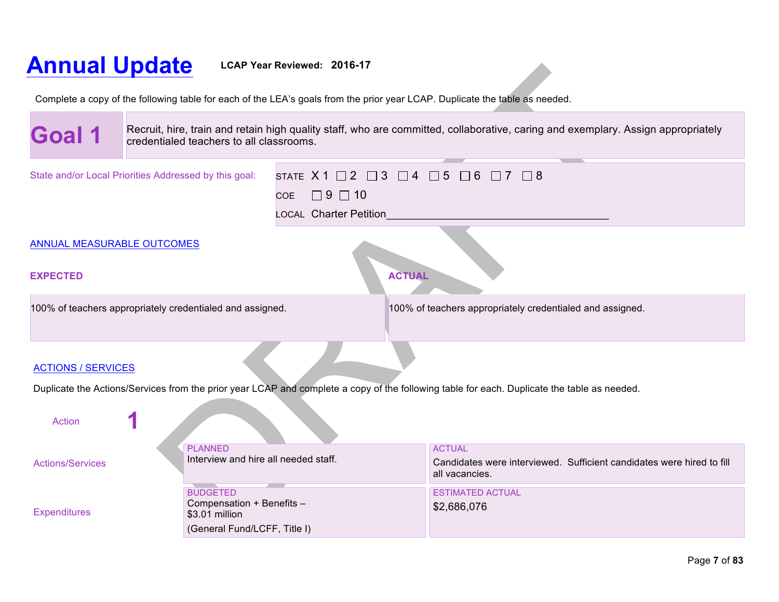# **Annual Update LCAP Year Reviewed: 2016-17**

**The Contract of the Contract** 

 $\overline{\phantom{a}}$ 

Complete a copy of the following table for each of the LEA's goals from the prior year LCAP. Duplicate the table as needed.

| Goal 1                                                                                                                                                       | Recruit, hire, train and retain high quality staff, who are committed, collaborative, caring and exemplary. Assign appropriately<br>credentialed teachers to all classrooms. |                                                                                                                                                |               |                                                           |                                                                       |
|--------------------------------------------------------------------------------------------------------------------------------------------------------------|------------------------------------------------------------------------------------------------------------------------------------------------------------------------------|------------------------------------------------------------------------------------------------------------------------------------------------|---------------|-----------------------------------------------------------|-----------------------------------------------------------------------|
|                                                                                                                                                              | State and/or Local Priorities Addressed by this goal:                                                                                                                        | STATE $X1 \square 2 \square 3 \square 4 \square 5 \square 6 \square 7 \square 8$<br>$\Box$ 9 $\Box$ 10<br><b>COE</b><br>LOCAL Charter Petition |               |                                                           |                                                                       |
| <b>ANNUAL MEASURABLE OUTCOMES</b>                                                                                                                            |                                                                                                                                                                              |                                                                                                                                                |               |                                                           |                                                                       |
| <b>EXPECTED</b>                                                                                                                                              | 100% of teachers appropriately credentialed and assigned.                                                                                                                    |                                                                                                                                                | <b>ACTUAL</b> | 100% of teachers appropriately credentialed and assigned. |                                                                       |
|                                                                                                                                                              |                                                                                                                                                                              |                                                                                                                                                |               |                                                           |                                                                       |
| <b>ACTIONS / SERVICES</b>                                                                                                                                    |                                                                                                                                                                              |                                                                                                                                                |               |                                                           |                                                                       |
| Duplicate the Actions/Services from the prior year LCAP and complete a copy of the following table for each. Duplicate the table as needed.<br><b>Action</b> |                                                                                                                                                                              |                                                                                                                                                |               |                                                           |                                                                       |
| <b>Actions/Services</b>                                                                                                                                      | <b>PLANNED</b><br>Interview and hire all needed staff.                                                                                                                       | <b>All Service</b>                                                                                                                             |               | <b>ACTUAL</b><br>all vacancies.                           | Candidates were interviewed. Sufficient candidates were hired to fill |
| <b>Expenditures</b>                                                                                                                                          | <b>BUDGETED</b><br>Compensation + Benefits -<br>\$3.01 million<br>(General Fund/LCFF, Title I)                                                                               |                                                                                                                                                |               | <b>ESTIMATED ACTUAL</b><br>\$2,686,076                    |                                                                       |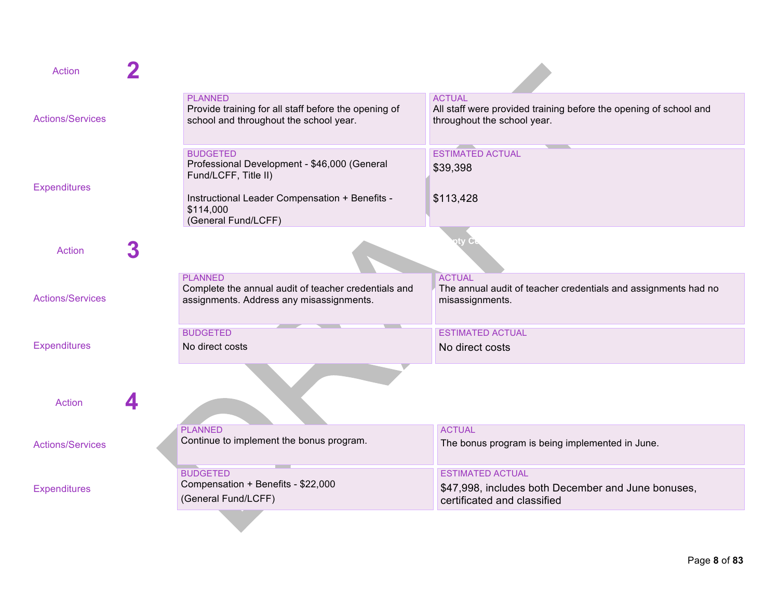| Action                  |                                                                                                                                                                               |                                                                                                                   |
|-------------------------|-------------------------------------------------------------------------------------------------------------------------------------------------------------------------------|-------------------------------------------------------------------------------------------------------------------|
| <b>Actions/Services</b> | <b>PLANNED</b><br>Provide training for all staff before the opening of<br>school and throughout the school year.                                                              | <b>ACTUAL</b><br>All staff were provided training before the opening of school and<br>throughout the school year. |
| <b>Expenditures</b>     | <b>BUDGETED</b><br>Professional Development - \$46,000 (General<br>Fund/LCFF, Title II)<br>Instructional Leader Compensation + Benefits -<br>\$114,000<br>(General Fund/LCFF) | <b>ESTIMATED ACTUAL</b><br>\$39,398<br>\$113,428                                                                  |
| <b>Action</b>           |                                                                                                                                                                               |                                                                                                                   |
| <b>Actions/Services</b> | <b>PLANNED</b><br>Complete the annual audit of teacher credentials and<br>assignments. Address any misassignments.                                                            | <b>ACTUAL</b><br>The annual audit of teacher credentials and assignments had no<br>misassignments.                |
| <b>Expenditures</b>     | <b>BUDGETED</b><br>No direct costs                                                                                                                                            | <b>ESTIMATED ACTUAL</b><br>No direct costs                                                                        |
| <b>Action</b>           |                                                                                                                                                                               |                                                                                                                   |
| <b>Actions/Services</b> | <b>PLANNED</b><br>Continue to implement the bonus program.                                                                                                                    | <b>ACTUAL</b><br>The bonus program is being implemented in June.                                                  |
| <b>Expenditures</b>     | <u> Tanzania (</u><br><b>BUDGETED</b><br>Compensation + Benefits - \$22,000<br>(General Fund/LCFF)                                                                            | <b>ESTIMATED ACTUAL</b><br>\$47,998, includes both December and June bonuses,<br>certificated and classified      |
|                         |                                                                                                                                                                               |                                                                                                                   |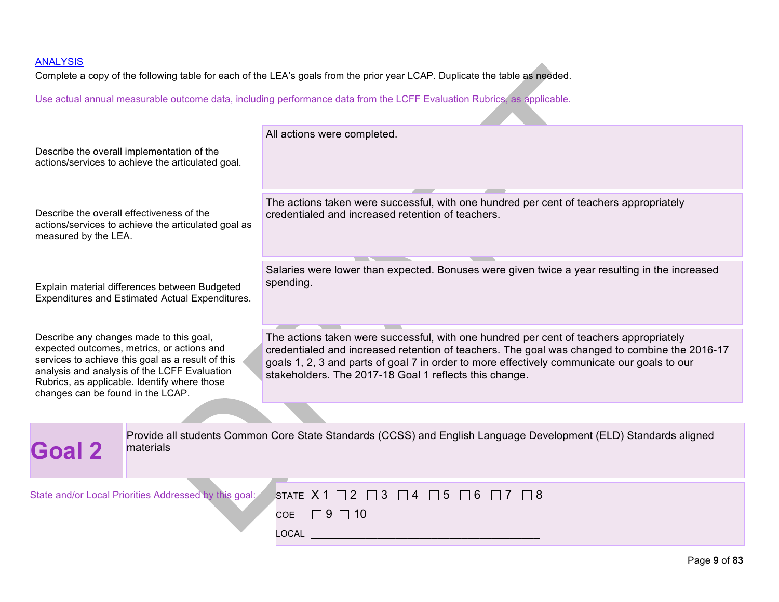Complete a copy of the following table for each of the LEA's goals from the prior year LCAP. Duplicate the table as needed.

Use actual annual measurable outcome data, including performance data from the LCFF Evaluation Rubrics, as applicable.

| Describe the overall implementation of the<br>actions/services to achieve the articulated goal.                                                                                                                                                                                 | All actions were completed.                                                                                                                                                                                                                                                                                                                      |
|---------------------------------------------------------------------------------------------------------------------------------------------------------------------------------------------------------------------------------------------------------------------------------|--------------------------------------------------------------------------------------------------------------------------------------------------------------------------------------------------------------------------------------------------------------------------------------------------------------------------------------------------|
| Describe the overall effectiveness of the<br>actions/services to achieve the articulated goal as<br>measured by the LEA.                                                                                                                                                        | The actions taken were successful, with one hundred per cent of teachers appropriately<br>credentialed and increased retention of teachers.                                                                                                                                                                                                      |
| Explain material differences between Budgeted<br>Expenditures and Estimated Actual Expenditures.                                                                                                                                                                                | Salaries were lower than expected. Bonuses were given twice a year resulting in the increased<br>spending.                                                                                                                                                                                                                                       |
| Describe any changes made to this goal,<br>expected outcomes, metrics, or actions and<br>services to achieve this goal as a result of this<br>analysis and analysis of the LCFF Evaluation<br>Rubrics, as applicable. Identify where those<br>changes can be found in the LCAP. | The actions taken were successful, with one hundred per cent of teachers appropriately<br>credentialed and increased retention of teachers. The goal was changed to combine the 2016-17<br>goals 1, 2, 3 and parts of goal 7 in order to more effectively communicate our goals to our<br>stakeholders. The 2017-18 Goal 1 reflects this change. |
|                                                                                                                                                                                                                                                                                 |                                                                                                                                                                                                                                                                                                                                                  |
| <b>Goal 2</b><br>materials                                                                                                                                                                                                                                                      | Provide all students Common Core State Standards (CCSS) and English Language Development (ELD) Standards aligned                                                                                                                                                                                                                                 |
| State and/or Local Priorities Addressed by this goal:                                                                                                                                                                                                                           | STATE $X1 \square 2 \square 3$<br>$\Box$ 4 $\Box$ 5<br>$\Box$ 6<br>$\Box$ 8<br>$\Box$ 7<br>$\Box$ 9 $\Box$ 10<br>COE<br>$\sim$ $\sim$ $\sim$ $\sim$                                                                                                                                                                                              |

 $LOGAL$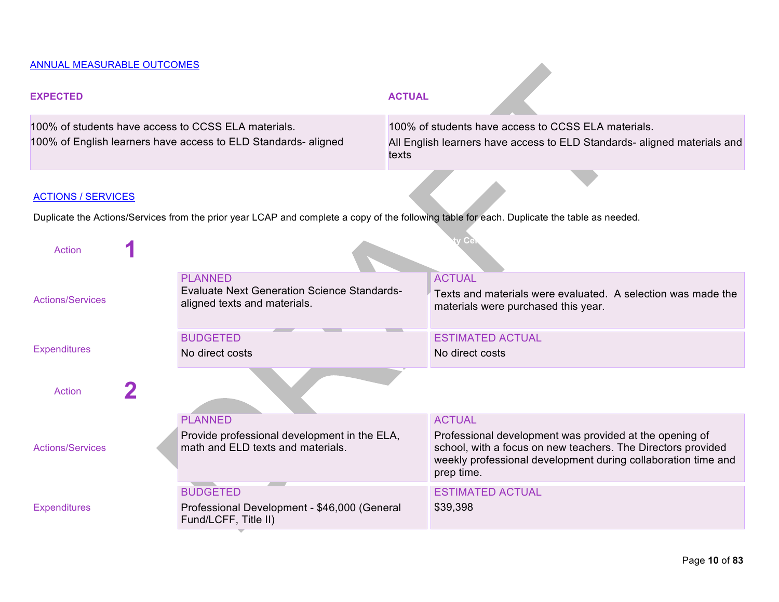## ANNUAL MEASURABLE OUTCOMES

| <b>EXPECTED</b>                                     |                                                                                                      | <b>ACTUAL</b> |                                                                                                                                                                                                        |  |
|-----------------------------------------------------|------------------------------------------------------------------------------------------------------|---------------|--------------------------------------------------------------------------------------------------------------------------------------------------------------------------------------------------------|--|
| 100% of students have access to CCSS ELA materials. |                                                                                                      |               | 100% of students have access to CCSS ELA materials.                                                                                                                                                    |  |
|                                                     | 100% of English learners have access to ELD Standards-aligned                                        | texts         | All English learners have access to ELD Standards- aligned materials and                                                                                                                               |  |
| <b>ACTIONS / SERVICES</b>                           |                                                                                                      |               |                                                                                                                                                                                                        |  |
|                                                     |                                                                                                      |               | Duplicate the Actions/Services from the prior year LCAP and complete a copy of the following table for each. Duplicate the table as needed.                                                            |  |
| <b>Action</b>                                       |                                                                                                      |               |                                                                                                                                                                                                        |  |
| <b>Actions/Services</b>                             | <b>PLANNED</b><br><b>Evaluate Next Generation Science Standards-</b><br>aligned texts and materials. |               | <b>ACTUAL</b><br>Texts and materials were evaluated. A selection was made the<br>materials were purchased this year.                                                                                   |  |
|                                                     | <b>BUDGETED</b>                                                                                      |               | <b>ESTIMATED ACTUAL</b>                                                                                                                                                                                |  |
| <b>Expenditures</b>                                 | No direct costs                                                                                      |               | No direct costs                                                                                                                                                                                        |  |
| <b>Action</b>                                       |                                                                                                      |               |                                                                                                                                                                                                        |  |
|                                                     | <b>PLANNED</b>                                                                                       |               | <b>ACTUAL</b>                                                                                                                                                                                          |  |
| <b>Actions/Services</b>                             | Provide professional development in the ELA,<br>math and ELD texts and materials.                    |               | Professional development was provided at the opening of<br>school, with a focus on new teachers. The Directors provided<br>weekly professional development during collaboration time and<br>prep time. |  |
|                                                     | <b>BUDGETED</b>                                                                                      |               | <b>ESTIMATED ACTUAL</b>                                                                                                                                                                                |  |
| <b>Expenditures</b>                                 | Professional Development - \$46,000 (General<br>Fund/LCFF, Title II)                                 |               | \$39,398                                                                                                                                                                                               |  |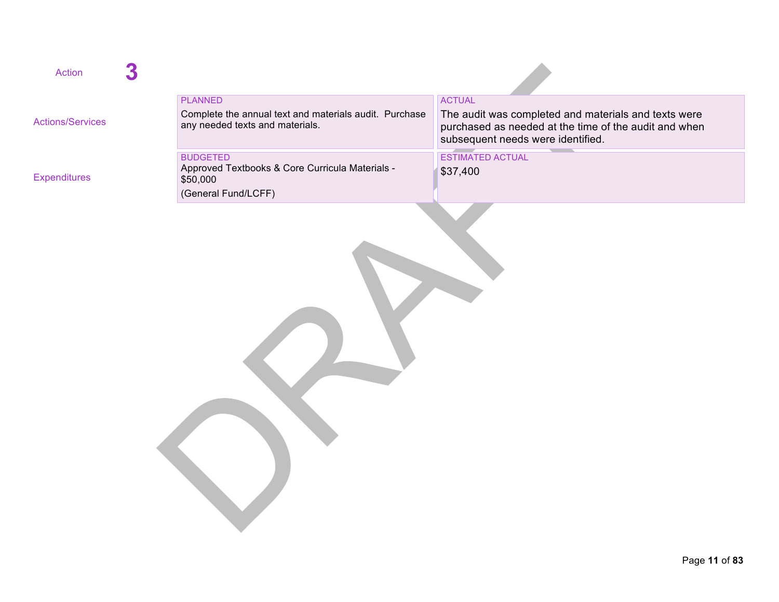| <b>Action</b>           |                                                                                           |                                                                                                                                                    |
|-------------------------|-------------------------------------------------------------------------------------------|----------------------------------------------------------------------------------------------------------------------------------------------------|
|                         | <b>PLANNED</b>                                                                            | <b>ACTUAL</b>                                                                                                                                      |
| <b>Actions/Services</b> | Complete the annual text and materials audit. Purchase<br>any needed texts and materials. | The audit was completed and materials and texts were<br>purchased as needed at the time of the audit and when<br>subsequent needs were identified. |
|                         | <b>BUDGETED</b>                                                                           | <b>ESTIMATED ACTUAL</b>                                                                                                                            |
| <b>Expenditures</b>     | Approved Textbooks & Core Curricula Materials -<br>\$50,000                               | \$37,400                                                                                                                                           |
|                         | (General Fund/LCFF)                                                                       |                                                                                                                                                    |
|                         |                                                                                           |                                                                                                                                                    |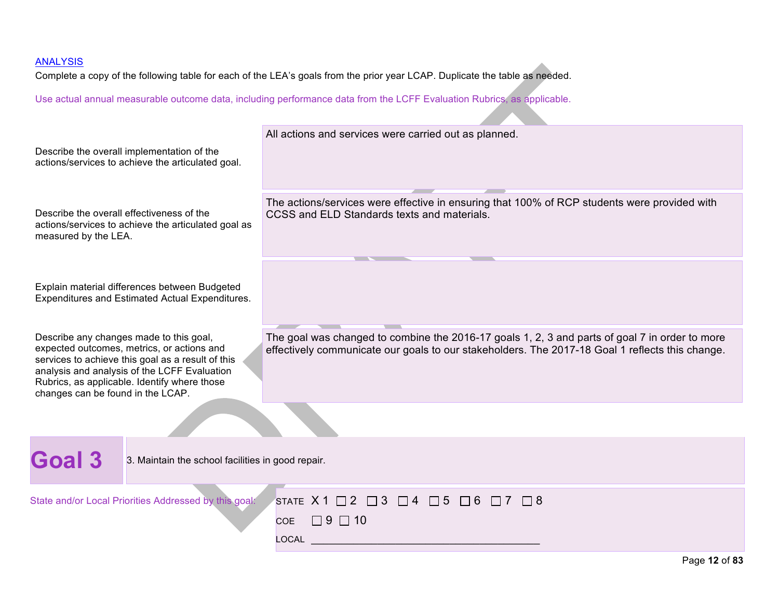Complete a copy of the following table for each of the LEA's goals from the prior year LCAP. Duplicate the table as needed.

|                                                                                                                                                                                                                                                                                 | Describe the overall implementation of the<br>actions/services to achieve the articulated goal.  | All actions and services were carried out as planned.                                                                                                                                             |
|---------------------------------------------------------------------------------------------------------------------------------------------------------------------------------------------------------------------------------------------------------------------------------|--------------------------------------------------------------------------------------------------|---------------------------------------------------------------------------------------------------------------------------------------------------------------------------------------------------|
| Describe the overall effectiveness of the<br>actions/services to achieve the articulated goal as<br>measured by the LEA.                                                                                                                                                        |                                                                                                  | The actions/services were effective in ensuring that 100% of RCP students were provided with<br>CCSS and ELD Standards texts and materials.<br><b>Contract Contract</b>                           |
|                                                                                                                                                                                                                                                                                 | Explain material differences between Budgeted<br>Expenditures and Estimated Actual Expenditures. |                                                                                                                                                                                                   |
| Describe any changes made to this goal,<br>expected outcomes, metrics, or actions and<br>services to achieve this goal as a result of this<br>analysis and analysis of the LCFF Evaluation<br>Rubrics, as applicable. Identify where those<br>changes can be found in the LCAP. |                                                                                                  | The goal was changed to combine the 2016-17 goals 1, 2, 3 and parts of goal 7 in order to more<br>effectively communicate our goals to our stakeholders. The 2017-18 Goal 1 reflects this change. |
|                                                                                                                                                                                                                                                                                 |                                                                                                  |                                                                                                                                                                                                   |
| <b>Goal 3</b>                                                                                                                                                                                                                                                                   | 3. Maintain the school facilities in good repair.                                                |                                                                                                                                                                                                   |
|                                                                                                                                                                                                                                                                                 | State and/or Local Priorities Addressed by this goal:                                            | STATE X1 $\Box$ 2 $\Box$ 3 $\Box$ 4 $\Box$ 5 $\Box$ 6 $\Box$ 7 $\Box$ 8<br>$\Box$ 9 $\Box$ 10<br><b>COE</b><br><b>LOCAL</b>                                                                       |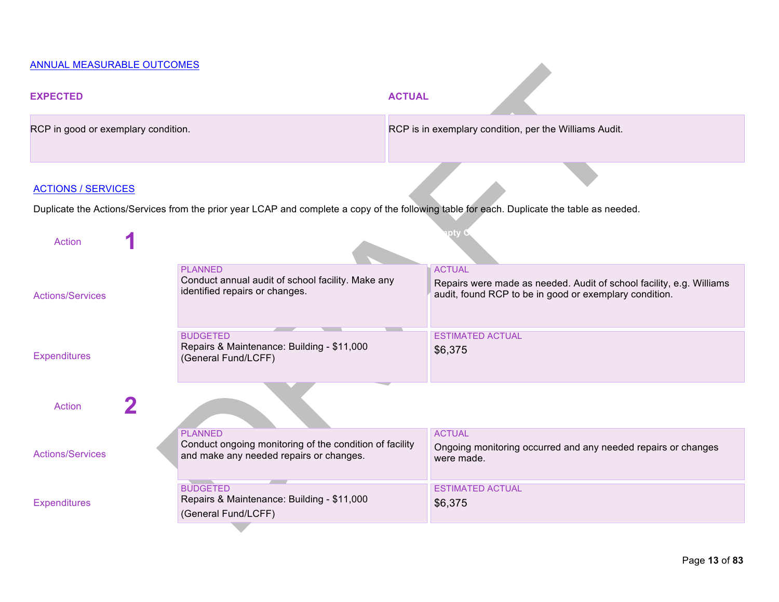## ANNUAL MEASURABLE OUTCOMES

| <b>EXPECTED</b>                     |  | <b>ACTUAL</b>                                                                                                        |  |                                                                                                                                                 |
|-------------------------------------|--|----------------------------------------------------------------------------------------------------------------------|--|-------------------------------------------------------------------------------------------------------------------------------------------------|
| RCP in good or exemplary condition. |  | RCP is in exemplary condition, per the Williams Audit.                                                               |  |                                                                                                                                                 |
| <b>ACTIONS / SERVICES</b>           |  |                                                                                                                      |  | Duplicate the Actions/Services from the prior year LCAP and complete a copy of the following table for each. Duplicate the table as needed.     |
| <b>Action</b>                       |  |                                                                                                                      |  |                                                                                                                                                 |
| <b>Actions/Services</b>             |  | <b>PLANNED</b><br>Conduct annual audit of school facility. Make any<br>identified repairs or changes.                |  | <b>ACTUAL</b><br>Repairs were made as needed. Audit of school facility, e.g. Williams<br>audit, found RCP to be in good or exemplary condition. |
| <b>Expenditures</b>                 |  | <b>BUDGETED</b><br>Repairs & Maintenance: Building - \$11,000<br>(General Fund/LCFF)                                 |  | <b>ESTIMATED ACTUAL</b><br>\$6,375                                                                                                              |
| <b>Action</b>                       |  |                                                                                                                      |  |                                                                                                                                                 |
| <b>Actions/Services</b>             |  | <b>PLANNED</b><br>Conduct ongoing monitoring of the condition of facility<br>and make any needed repairs or changes. |  | <b>ACTUAL</b><br>Ongoing monitoring occurred and any needed repairs or changes<br>were made.                                                    |
| <b>Expenditures</b>                 |  | <b>BUDGETED</b><br>Repairs & Maintenance: Building - \$11,000<br>(General Fund/LCFF)                                 |  | <b>ESTIMATED ACTUAL</b><br>\$6,375                                                                                                              |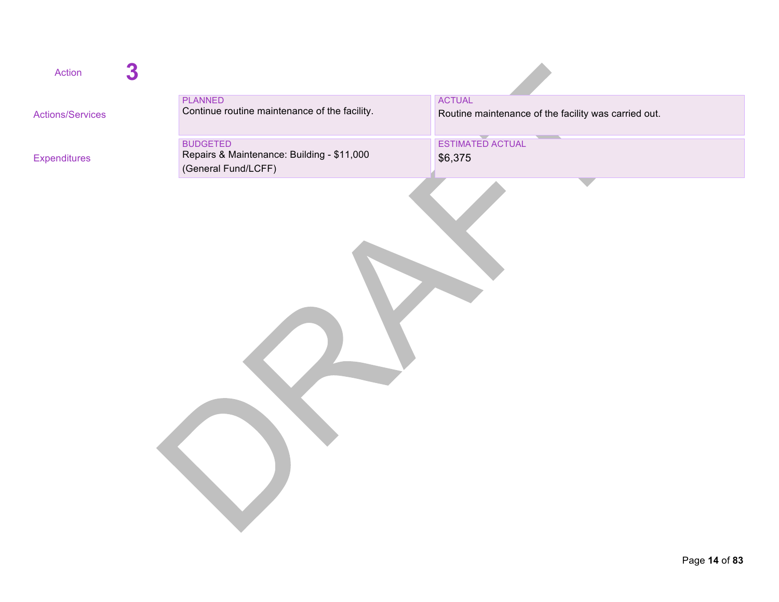| Action                  | 3 |                                                                                      |                                                                       |
|-------------------------|---|--------------------------------------------------------------------------------------|-----------------------------------------------------------------------|
| <b>Actions/Services</b> |   | <b>PLANNED</b><br>Continue routine maintenance of the facility.                      | <b>ACTUAL</b><br>Routine maintenance of the facility was carried out. |
| <b>Expenditures</b>     |   | <b>BUDGETED</b><br>Repairs & Maintenance: Building - \$11,000<br>(General Fund/LCFF) | ESTIMATED ACTUAL<br>\$6,375                                           |
|                         |   |                                                                                      |                                                                       |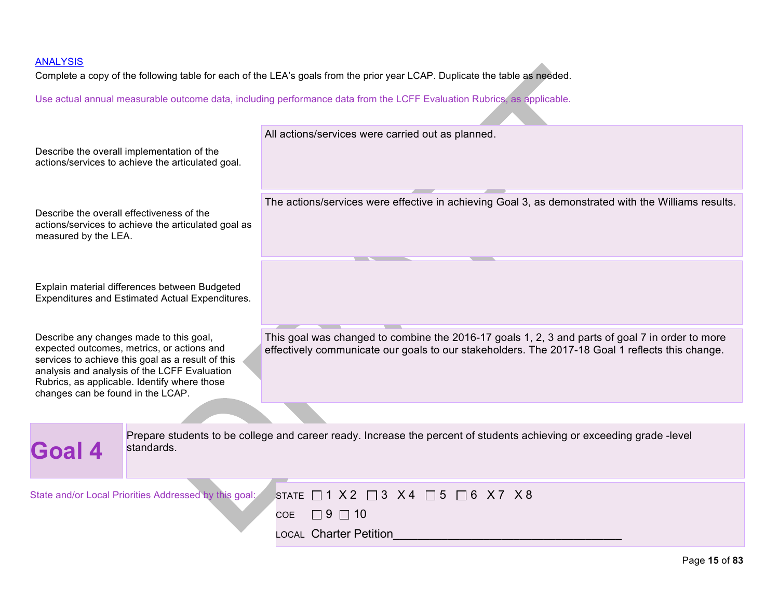Complete a copy of the following table for each of the LEA's goals from the prior year LCAP. Duplicate the table as needed.

|                                                                                                                          | Describe the overall implementation of the<br>actions/services to achieve the articulated goal.                                                                                                 | All actions/services were carried out as planned.                                                                                                                                                  |
|--------------------------------------------------------------------------------------------------------------------------|-------------------------------------------------------------------------------------------------------------------------------------------------------------------------------------------------|----------------------------------------------------------------------------------------------------------------------------------------------------------------------------------------------------|
| Describe the overall effectiveness of the<br>actions/services to achieve the articulated goal as<br>measured by the LEA. |                                                                                                                                                                                                 | The actions/services were effective in achieving Goal 3, as demonstrated with the Williams results.                                                                                                |
|                                                                                                                          | Explain material differences between Budgeted<br>Expenditures and Estimated Actual Expenditures.                                                                                                |                                                                                                                                                                                                    |
| Describe any changes made to this goal,<br>changes can be found in the LCAP.                                             | expected outcomes, metrics, or actions and<br>services to achieve this goal as a result of this<br>analysis and analysis of the LCFF Evaluation<br>Rubrics, as applicable. Identify where those | This goal was changed to combine the 2016-17 goals 1, 2, 3 and parts of goal 7 in order to more<br>effectively communicate our goals to our stakeholders. The 2017-18 Goal 1 reflects this change. |
|                                                                                                                          |                                                                                                                                                                                                 |                                                                                                                                                                                                    |
| Goal 4                                                                                                                   | standards.                                                                                                                                                                                      | Prepare students to be college and career ready. Increase the percent of students achieving or exceeding grade -level                                                                              |
|                                                                                                                          | State and/or Local Priorities Addressed by this goal:                                                                                                                                           | STATE $\Box$ 1 X 2 $\Box$ 3 X 4 $\Box$ 5 $\Box$ 6 X 7 X 8<br>$\Box$ 9 $\Box$ 10<br><b>COE</b><br><b>LOCAL Charter Petition</b>                                                                     |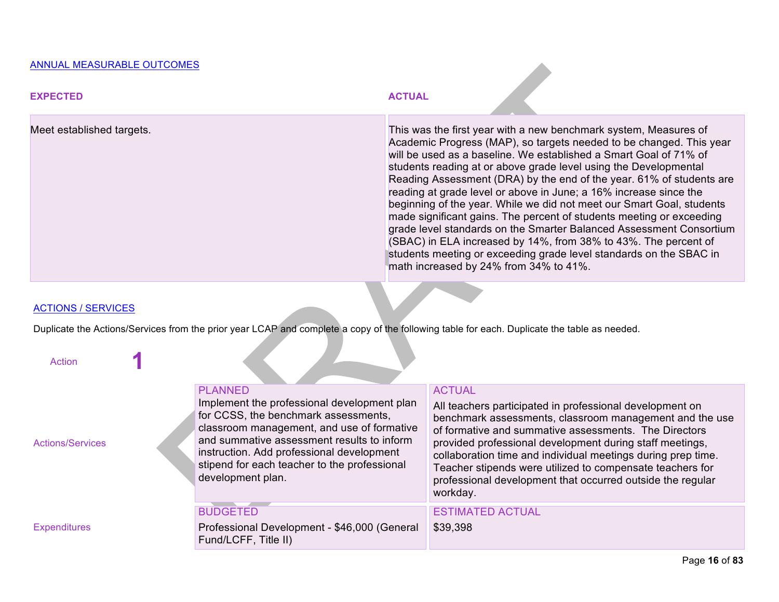#### ANNUAL MEASURABLE OUTCOMES

| <b>EXPECTED</b>           | <b>ACTUAL</b>                                                                                                                                                                                                                                                                                                                                                                                                                                                                                                                                                                                                                                                                                                                                                                                                                            |
|---------------------------|------------------------------------------------------------------------------------------------------------------------------------------------------------------------------------------------------------------------------------------------------------------------------------------------------------------------------------------------------------------------------------------------------------------------------------------------------------------------------------------------------------------------------------------------------------------------------------------------------------------------------------------------------------------------------------------------------------------------------------------------------------------------------------------------------------------------------------------|
| Meet established targets. | This was the first year with a new benchmark system, Measures of<br>Academic Progress (MAP), so targets needed to be changed. This year<br>will be used as a baseline. We established a Smart Goal of 71% of<br>students reading at or above grade level using the Developmental<br>Reading Assessment (DRA) by the end of the year. 61% of students are<br>reading at grade level or above in June; a 16% increase since the<br>beginning of the year. While we did not meet our Smart Goal, students<br>made significant gains. The percent of students meeting or exceeding<br>grade level standards on the Smarter Balanced Assessment Consortium<br>(SBAC) in ELA increased by 14%, from 38% to 43%. The percent of<br>students meeting or exceeding grade level standards on the SBAC in<br>math increased by 24% from 34% to 41%. |
|                           |                                                                                                                                                                                                                                                                                                                                                                                                                                                                                                                                                                                                                                                                                                                                                                                                                                          |

#### ACTIONS / SERVICES

Duplicate the Actions/Services from the prior year LCAP and complete a copy of the following table for each. Duplicate the table as needed.

| Action                  |                                                                                                                                                                                                                                                                                                                     |                                                                                                                                                                                                                                                                                                                                                                                                                                                                  |
|-------------------------|---------------------------------------------------------------------------------------------------------------------------------------------------------------------------------------------------------------------------------------------------------------------------------------------------------------------|------------------------------------------------------------------------------------------------------------------------------------------------------------------------------------------------------------------------------------------------------------------------------------------------------------------------------------------------------------------------------------------------------------------------------------------------------------------|
| <b>Actions/Services</b> | <b>PLANNED</b><br>Implement the professional development plan<br>for CCSS, the benchmark assessments,<br>classroom management, and use of formative<br>and summative assessment results to inform<br>instruction. Add professional development<br>stipend for each teacher to the professional<br>development plan. | <b>ACTUAL</b><br>All teachers participated in professional development on<br>benchmark assessments, classroom management and the use<br>of formative and summative assessments. The Directors<br>provided professional development during staff meetings,<br>collaboration time and individual meetings during prep time.<br>Teacher stipends were utilized to compensate teachers for<br>professional development that occurred outside the regular<br>workday. |
|                         | <b>BUDGETED</b>                                                                                                                                                                                                                                                                                                     | <b>ESTIMATED ACTUAL</b>                                                                                                                                                                                                                                                                                                                                                                                                                                          |
| <b>Expenditures</b>     | Professional Development - \$46,000 (General<br>Fund/LCFF, Title II)                                                                                                                                                                                                                                                | \$39,398                                                                                                                                                                                                                                                                                                                                                                                                                                                         |
|                         |                                                                                                                                                                                                                                                                                                                     |                                                                                                                                                                                                                                                                                                                                                                                                                                                                  |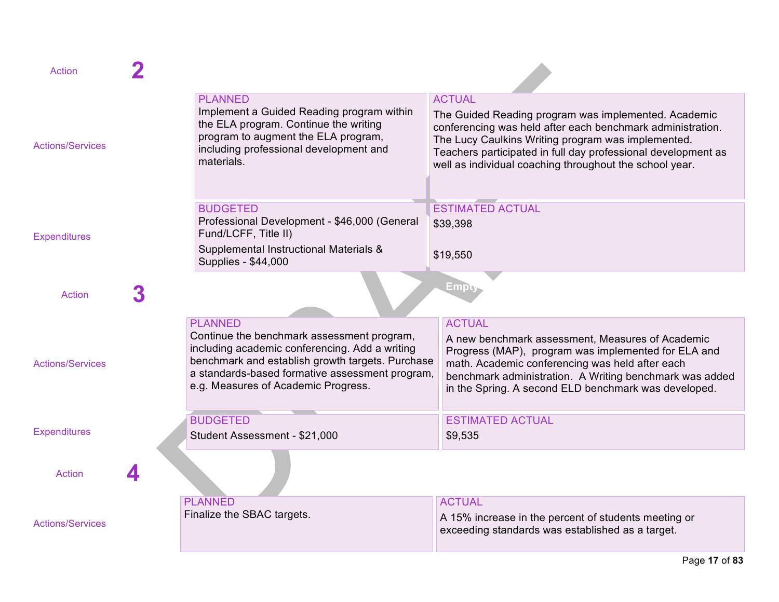| Action                  |                                                                                                                                                                                                                                                              |                                                                                                                                                                                                                                                                                                                       |
|-------------------------|--------------------------------------------------------------------------------------------------------------------------------------------------------------------------------------------------------------------------------------------------------------|-----------------------------------------------------------------------------------------------------------------------------------------------------------------------------------------------------------------------------------------------------------------------------------------------------------------------|
| <b>Actions/Services</b> | <b>PLANNED</b><br>Implement a Guided Reading program within<br>the ELA program. Continue the writing<br>program to augment the ELA program,<br>including professional development and<br>materials.                                                          | <b>ACTUAL</b><br>The Guided Reading program was implemented. Academic<br>conferencing was held after each benchmark administration.<br>The Lucy Caulkins Writing program was implemented.<br>Teachers participated in full day professional development as<br>well as individual coaching throughout the school year. |
| <b>Expenditures</b>     | <b>BUDGETED</b><br>Professional Development - \$46,000 (General<br>Fund/LCFF, Title II)<br>Supplemental Instructional Materials &<br>Supplies - \$44,000                                                                                                     | <b>ESTIMATED ACTUAL</b><br>\$39,398<br>\$19,550                                                                                                                                                                                                                                                                       |
| Action                  |                                                                                                                                                                                                                                                              | Empty                                                                                                                                                                                                                                                                                                                 |
| <b>Actions/Services</b> | <b>PLANNED</b><br>Continue the benchmark assessment program,<br>including academic conferencing. Add a writing<br>benchmark and establish growth targets. Purchase<br>a standards-based formative assessment program,<br>e.g. Measures of Academic Progress. | <b>ACTUAL</b><br>A new benchmark assessment, Measures of Academic<br>Progress (MAP), program was implemented for ELA and<br>math. Academic conferencing was held after each<br>benchmark administration. A Writing benchmark was added<br>in the Spring. A second ELD benchmark was developed.                        |
| <b>Expenditures</b>     | <b>BUDGETED</b><br>Student Assessment - \$21,000                                                                                                                                                                                                             | <b>ESTIMATED ACTUAL</b><br>\$9,535                                                                                                                                                                                                                                                                                    |
| <b>Action</b>           |                                                                                                                                                                                                                                                              |                                                                                                                                                                                                                                                                                                                       |
| <b>Actions/Services</b> | <b>PLANNED</b><br>Finalize the SBAC targets.                                                                                                                                                                                                                 | <b>ACTUAL</b><br>A 15% increase in the percent of students meeting or<br>exceeding standards was established as a target.                                                                                                                                                                                             |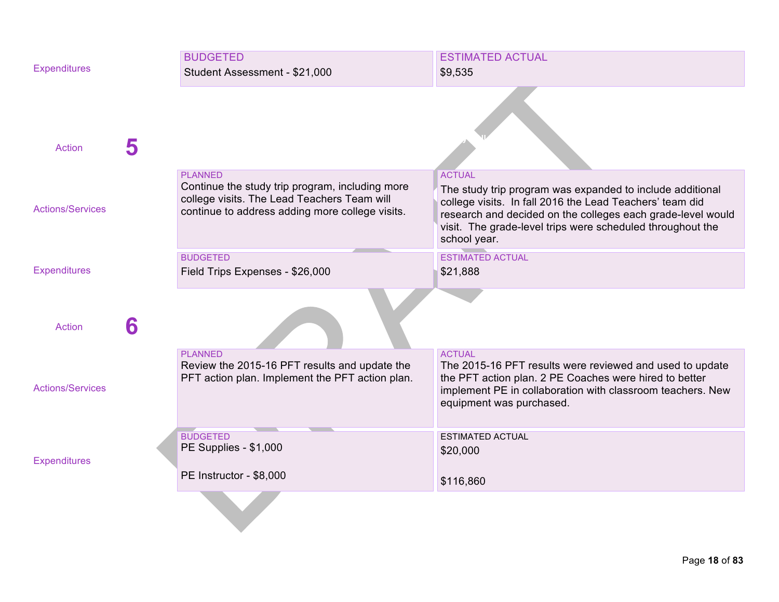| <b>Expenditures</b>     |   | <b>BUDGETED</b><br>Student Assessment - \$21,000                                                                                                                    | <b>ESTIMATED ACTUAL</b><br>\$9,535                                                                                                                                                                                                                                                  |
|-------------------------|---|---------------------------------------------------------------------------------------------------------------------------------------------------------------------|-------------------------------------------------------------------------------------------------------------------------------------------------------------------------------------------------------------------------------------------------------------------------------------|
| <b>Action</b>           | 5 |                                                                                                                                                                     |                                                                                                                                                                                                                                                                                     |
| <b>Actions/Services</b> |   | <b>PLANNED</b><br>Continue the study trip program, including more<br>college visits. The Lead Teachers Team will<br>continue to address adding more college visits. | <b>ACTUAL</b><br>The study trip program was expanded to include additional<br>college visits. In fall 2016 the Lead Teachers' team did<br>research and decided on the colleges each grade-level would<br>visit. The grade-level trips were scheduled throughout the<br>school year. |
| <b>Expenditures</b>     |   | <b>BUDGETED</b><br>Field Trips Expenses - \$26,000                                                                                                                  | <b>ESTIMATED ACTUAL</b><br>\$21,888                                                                                                                                                                                                                                                 |
| <b>Action</b>           | 6 |                                                                                                                                                                     |                                                                                                                                                                                                                                                                                     |
| <b>Actions/Services</b> |   | <b>PLANNED</b><br>Review the 2015-16 PFT results and update the<br>PFT action plan. Implement the PFT action plan.                                                  | <b>ACTUAL</b><br>The 2015-16 PFT results were reviewed and used to update<br>the PFT action plan. 2 PE Coaches were hired to better<br>implement PE in collaboration with classroom teachers. New<br>equipment was purchased.                                                       |
| <b>Expenditures</b>     |   | <b>BUDGETED</b><br>PE Supplies - \$1,000<br>PE Instructor - \$8,000                                                                                                 | <b>ESTIMATED ACTUAL</b><br>\$20,000<br>\$116,860                                                                                                                                                                                                                                    |
|                         |   |                                                                                                                                                                     |                                                                                                                                                                                                                                                                                     |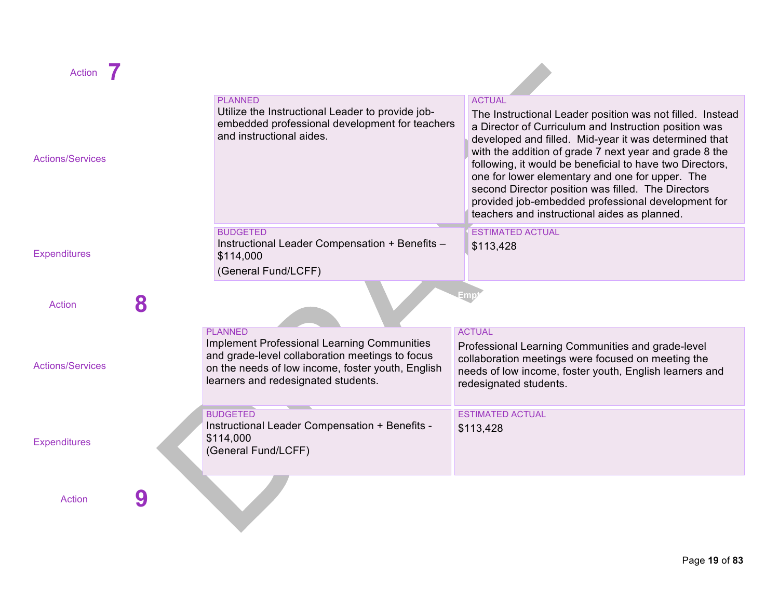

| Action                  |   |                                                                                                                                                                                                                     |                                                                                                                                                                                                                                                                                                                                                                                                                                                                                                                                   |
|-------------------------|---|---------------------------------------------------------------------------------------------------------------------------------------------------------------------------------------------------------------------|-----------------------------------------------------------------------------------------------------------------------------------------------------------------------------------------------------------------------------------------------------------------------------------------------------------------------------------------------------------------------------------------------------------------------------------------------------------------------------------------------------------------------------------|
| <b>Actions/Services</b> |   | <b>PLANNED</b><br>Utilize the Instructional Leader to provide job-<br>embedded professional development for teachers<br>and instructional aides.                                                                    | <b>ACTUAL</b><br>The Instructional Leader position was not filled. Instead<br>a Director of Curriculum and Instruction position was<br>developed and filled. Mid-year it was determined that<br>with the addition of grade 7 next year and grade 8 the<br>following, it would be beneficial to have two Directors,<br>one for lower elementary and one for upper. The<br>second Director position was filled. The Directors<br>provided job-embedded professional development for<br>teachers and instructional aides as planned. |
| <b>Expenditures</b>     |   | <b>BUDGETED</b><br>Instructional Leader Compensation + Benefits -<br>\$114,000<br>(General Fund/LCFF)                                                                                                               | <b>ESTIMATED ACTUAL</b><br>\$113,428                                                                                                                                                                                                                                                                                                                                                                                                                                                                                              |
| <b>Action</b>           | 8 |                                                                                                                                                                                                                     | Emp                                                                                                                                                                                                                                                                                                                                                                                                                                                                                                                               |
| <b>Actions/Services</b> |   | <b>PLANNED</b><br><b>Implement Professional Learning Communities</b><br>and grade-level collaboration meetings to focus<br>on the needs of low income, foster youth, English<br>learners and redesignated students. | <b>ACTUAL</b><br>Professional Learning Communities and grade-level<br>collaboration meetings were focused on meeting the<br>needs of low income, foster youth, English learners and<br>redesignated students.                                                                                                                                                                                                                                                                                                                     |
| <b>Expenditures</b>     |   | <b>BUDGETED</b><br>Instructional Leader Compensation + Benefits -<br>\$114,000<br>(General Fund/LCFF)                                                                                                               | <b>ESTIMATED ACTUAL</b><br>\$113,428                                                                                                                                                                                                                                                                                                                                                                                                                                                                                              |
| <b>Action</b>           |   |                                                                                                                                                                                                                     |                                                                                                                                                                                                                                                                                                                                                                                                                                                                                                                                   |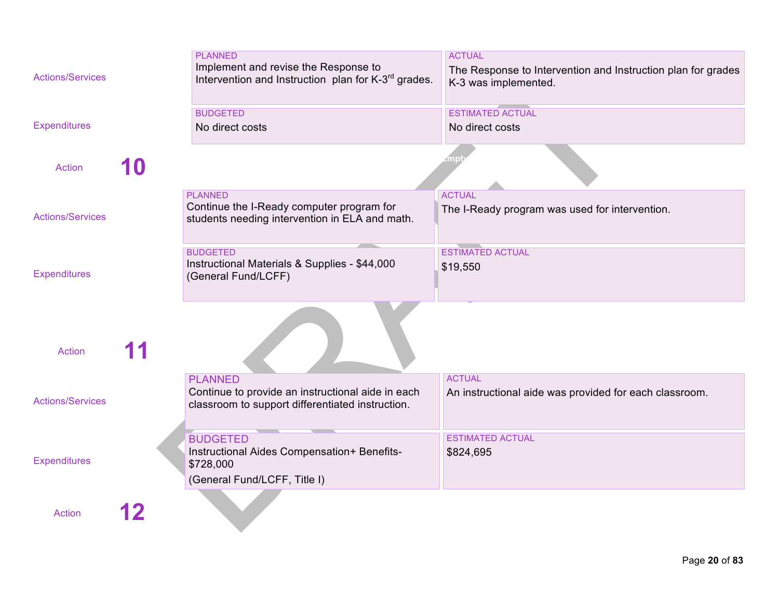| <b>Actions/Services</b> | <b>PLANNED</b><br>Implement and revise the Response to<br>Intervention and Instruction plan for K-3 <sup>rd</sup> grades. | <b>ACTUAL</b><br>The Response to Intervention and Instruction plan for grades<br>K-3 was implemented. |
|-------------------------|---------------------------------------------------------------------------------------------------------------------------|-------------------------------------------------------------------------------------------------------|
| <b>Expenditures</b>     | <b>BUDGETED</b><br>No direct costs                                                                                        | <b>ESTIMATED ACTUAL</b><br>No direct costs                                                            |
| <b>Action</b>           |                                                                                                                           |                                                                                                       |
| <b>Actions/Services</b> | <b>PLANNED</b><br>Continue the I-Ready computer program for<br>students needing intervention in ELA and math.             | <b>ACTUAL</b><br>The I-Ready program was used for intervention.                                       |
| <b>Expenditures</b>     | <b>BUDGETED</b><br>Instructional Materials & Supplies - \$44,000<br>(General Fund/LCFF)                                   | <b>ESTIMATED ACTUAL</b><br>\$19,550                                                                   |
| <b>Action</b>           |                                                                                                                           |                                                                                                       |
| <b>Actions/Services</b> | <b>PLANNED</b><br>Continue to provide an instructional aide in each<br>classroom to support differentiated instruction.   | <b>ACTUAL</b><br>An instructional aide was provided for each classroom.                               |
| <b>Expenditures</b>     | <b>BUDGETED</b><br>Instructional Aides Compensation+ Benefits-<br>\$728,000<br>(General Fund/LCFF, Title I)               | <b>ESTIMATED ACTUAL</b><br>\$824,695                                                                  |
| <b>Action</b>           |                                                                                                                           |                                                                                                       |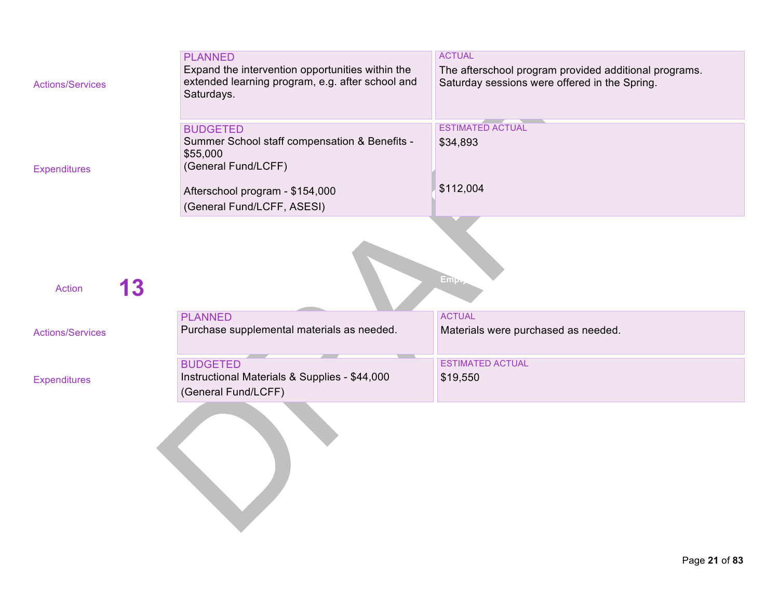| <b>Actions/Services</b> | <b>PLANNED</b><br>Expand the intervention opportunities within the<br>extended learning program, e.g. after school and<br>Saturdays. | <b>ACTUAL</b><br>The afterschool program provided additional programs.<br>Saturday sessions were offered in the Spring. |
|-------------------------|--------------------------------------------------------------------------------------------------------------------------------------|-------------------------------------------------------------------------------------------------------------------------|
| <b>Expenditures</b>     | <b>BUDGETED</b><br>Summer School staff compensation & Benefits -<br>\$55,000<br>(General Fund/LCFF)                                  | <b>ESTIMATED ACTUAL</b><br>\$34,893                                                                                     |
|                         | Afterschool program - \$154,000<br>(General Fund/LCFF, ASESI)                                                                        | \$112,004                                                                                                               |
| 13<br>Action            |                                                                                                                                      | Em <sub>2</sub>                                                                                                         |
| <b>Actions/Services</b> | <b>PLANNED</b><br>Purchase supplemental materials as needed.                                                                         | <b>ACTUAL</b><br>Materials were purchased as needed.                                                                    |
| <b>Expenditures</b>     | <b>BUDGETED</b><br>Instructional Materials & Supplies - \$44,000<br>(General Fund/LCFF)                                              | <b>ESTIMATED ACTUAL</b><br>\$19,550                                                                                     |
|                         |                                                                                                                                      |                                                                                                                         |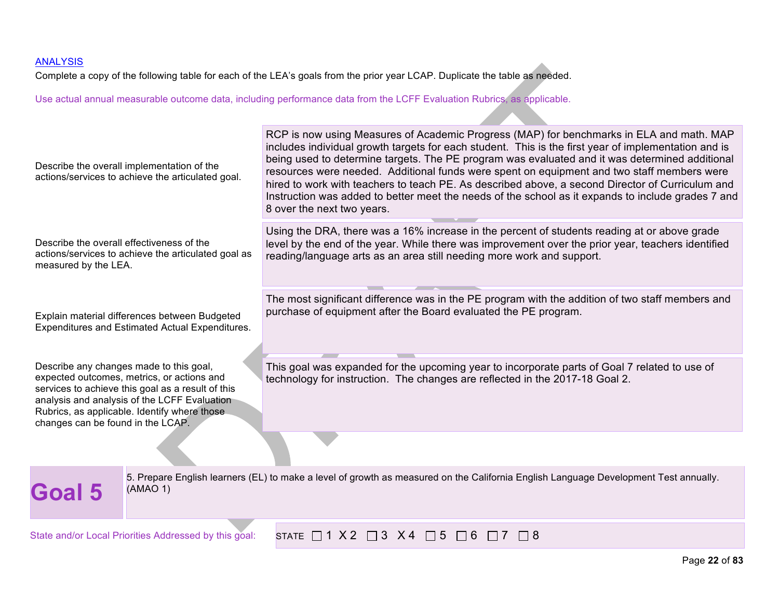Complete a copy of the following table for each of the LEA's goals from the prior year LCAP. Duplicate the table as needed.

| Describe the overall implementation of the<br>actions/services to achieve the articulated goal.                                                                                                                                                                                 | RCP is now using Measures of Academic Progress (MAP) for benchmarks in ELA and math. MAP<br>includes individual growth targets for each student. This is the first year of implementation and is<br>being used to determine targets. The PE program was evaluated and it was determined additional<br>resources were needed. Additional funds were spent on equipment and two staff members were<br>hired to work with teachers to teach PE. As described above, a second Director of Curriculum and<br>Instruction was added to better meet the needs of the school as it expands to include grades 7 and<br>8 over the next two years. |  |  |  |
|---------------------------------------------------------------------------------------------------------------------------------------------------------------------------------------------------------------------------------------------------------------------------------|------------------------------------------------------------------------------------------------------------------------------------------------------------------------------------------------------------------------------------------------------------------------------------------------------------------------------------------------------------------------------------------------------------------------------------------------------------------------------------------------------------------------------------------------------------------------------------------------------------------------------------------|--|--|--|
| Describe the overall effectiveness of the<br>actions/services to achieve the articulated goal as<br>measured by the LEA.                                                                                                                                                        | Using the DRA, there was a 16% increase in the percent of students reading at or above grade<br>level by the end of the year. While there was improvement over the prior year, teachers identified<br>reading/language arts as an area still needing more work and support.                                                                                                                                                                                                                                                                                                                                                              |  |  |  |
| Explain material differences between Budgeted<br>Expenditures and Estimated Actual Expenditures.                                                                                                                                                                                | The most significant difference was in the PE program with the addition of two staff members and<br>purchase of equipment after the Board evaluated the PE program.                                                                                                                                                                                                                                                                                                                                                                                                                                                                      |  |  |  |
| Describe any changes made to this goal,<br>expected outcomes, metrics, or actions and<br>services to achieve this goal as a result of this<br>analysis and analysis of the LCFF Evaluation<br>Rubrics, as applicable. Identify where those<br>changes can be found in the LCAP. | This goal was expanded for the upcoming year to incorporate parts of Goal 7 related to use of<br>technology for instruction. The changes are reflected in the 2017-18 Goal 2.                                                                                                                                                                                                                                                                                                                                                                                                                                                            |  |  |  |
|                                                                                                                                                                                                                                                                                 |                                                                                                                                                                                                                                                                                                                                                                                                                                                                                                                                                                                                                                          |  |  |  |
| (AMAO 1)<br>Goal 5                                                                                                                                                                                                                                                              | 5. Prepare English learners (EL) to make a level of growth as measured on the California English Language Development Test annually.                                                                                                                                                                                                                                                                                                                                                                                                                                                                                                     |  |  |  |
| State and/or Local Priorities Addressed by this goal:                                                                                                                                                                                                                           | STATE $\Box$ 1 X 2 $\Box$ 3 X 4 $\Box$ 5 $\Box$ 6 $\Box$ 7<br>$\Box$ 8                                                                                                                                                                                                                                                                                                                                                                                                                                                                                                                                                                   |  |  |  |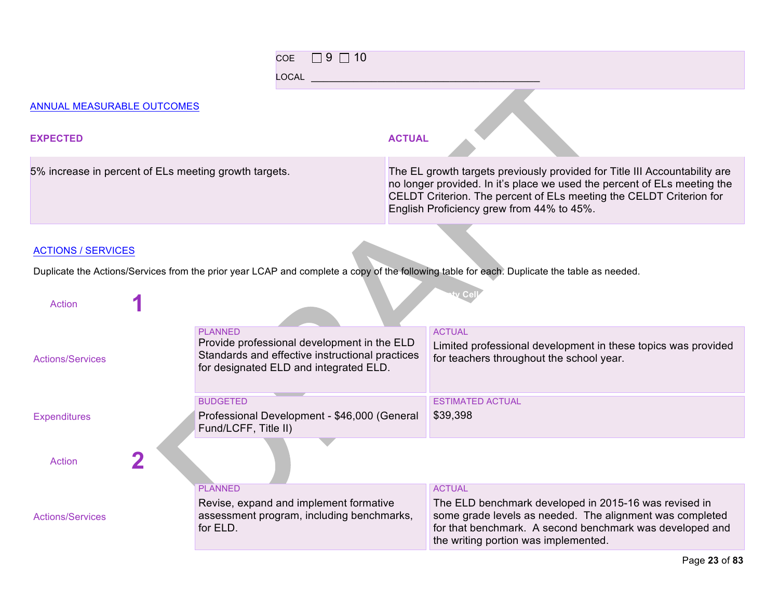|                                                       | $\Box$ 9 $\Box$ 10<br><b>COE</b>                                                                                                                           |                                                                                                                                                                                                                                                                            |                                                                                                                                                                                                                                        |
|-------------------------------------------------------|------------------------------------------------------------------------------------------------------------------------------------------------------------|----------------------------------------------------------------------------------------------------------------------------------------------------------------------------------------------------------------------------------------------------------------------------|----------------------------------------------------------------------------------------------------------------------------------------------------------------------------------------------------------------------------------------|
|                                                       | <b>LOCAL</b>                                                                                                                                               |                                                                                                                                                                                                                                                                            |                                                                                                                                                                                                                                        |
| ANNUAL MEASURABLE OUTCOMES                            |                                                                                                                                                            |                                                                                                                                                                                                                                                                            |                                                                                                                                                                                                                                        |
| <b>EXPECTED</b>                                       |                                                                                                                                                            | <b>ACTUAL</b>                                                                                                                                                                                                                                                              |                                                                                                                                                                                                                                        |
| 5% increase in percent of ELs meeting growth targets. |                                                                                                                                                            | The EL growth targets previously provided for Title III Accountability are<br>no longer provided. In it's place we used the percent of ELs meeting the<br>CELDT Criterion. The percent of ELs meeting the CELDT Criterion for<br>English Proficiency grew from 44% to 45%. |                                                                                                                                                                                                                                        |
| <b>ACTIONS / SERVICES</b>                             |                                                                                                                                                            |                                                                                                                                                                                                                                                                            |                                                                                                                                                                                                                                        |
|                                                       |                                                                                                                                                            |                                                                                                                                                                                                                                                                            | Duplicate the Actions/Services from the prior year LCAP and complete a copy of the following table for each. Duplicate the table as needed.                                                                                            |
| <b>Action</b>                                         |                                                                                                                                                            |                                                                                                                                                                                                                                                                            |                                                                                                                                                                                                                                        |
| <b>Actions/Services</b>                               | <b>PLANNED</b><br>Provide professional development in the ELD<br>Standards and effective instructional practices<br>for designated ELD and integrated ELD. |                                                                                                                                                                                                                                                                            | <b>ACTUAL</b><br>Limited professional development in these topics was provided<br>for teachers throughout the school year.                                                                                                             |
| <b>Expenditures</b>                                   | <b>BUDGETED</b><br>Professional Development - \$46,000 (General<br>Fund/LCFF, Title II)                                                                    |                                                                                                                                                                                                                                                                            | <b>ESTIMATED ACTUAL</b><br>\$39,398                                                                                                                                                                                                    |
| Action                                                |                                                                                                                                                            |                                                                                                                                                                                                                                                                            |                                                                                                                                                                                                                                        |
| <b>Actions/Services</b>                               | <b>PLANNED</b><br>Revise, expand and implement formative<br>assessment program, including benchmarks,<br>for ELD.                                          |                                                                                                                                                                                                                                                                            | <b>ACTUAL</b><br>The ELD benchmark developed in 2015-16 was revised in<br>some grade levels as needed. The alignment was completed<br>for that benchmark. A second benchmark was developed and<br>the writing portion was implemented. |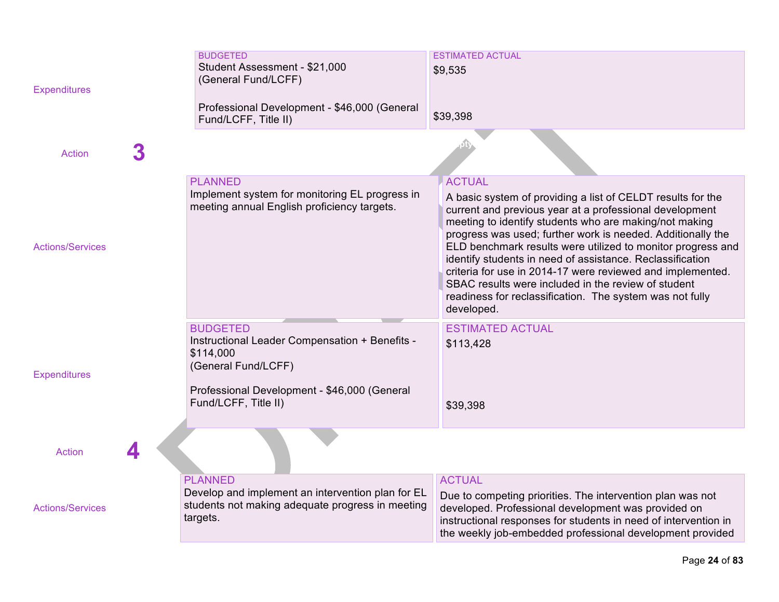| <b>Expenditures</b>     |   | <b>BUDGETED</b><br>Student Assessment - \$21,000<br>(General Fund/LCFF)<br>Professional Development - \$46,000 (General                                                       | <b>ESTIMATED ACTUAL</b><br>\$9,535                                                                                                                                                                                                                                                                                                                                                                                                                                                                                                                                                          |
|-------------------------|---|-------------------------------------------------------------------------------------------------------------------------------------------------------------------------------|---------------------------------------------------------------------------------------------------------------------------------------------------------------------------------------------------------------------------------------------------------------------------------------------------------------------------------------------------------------------------------------------------------------------------------------------------------------------------------------------------------------------------------------------------------------------------------------------|
|                         |   | Fund/LCFF, Title II)                                                                                                                                                          | \$39,398                                                                                                                                                                                                                                                                                                                                                                                                                                                                                                                                                                                    |
| <b>Action</b>           | 3 |                                                                                                                                                                               |                                                                                                                                                                                                                                                                                                                                                                                                                                                                                                                                                                                             |
| <b>Actions/Services</b> |   | <b>PLANNED</b><br>Implement system for monitoring EL progress in<br>meeting annual English proficiency targets.                                                               | <b>ACTUAL</b><br>A basic system of providing a list of CELDT results for the<br>current and previous year at a professional development<br>meeting to identify students who are making/not making<br>progress was used; further work is needed. Additionally the<br>ELD benchmark results were utilized to monitor progress and<br>identify students in need of assistance. Reclassification<br>criteria for use in 2014-17 were reviewed and implemented.<br>SBAC results were included in the review of student<br>readiness for reclassification. The system was not fully<br>developed. |
| <b>Expenditures</b>     |   | <b>BUDGETED</b><br>Instructional Leader Compensation + Benefits -<br>\$114,000<br>(General Fund/LCFF)<br>Professional Development - \$46,000 (General<br>Fund/LCFF, Title II) | <b>ESTIMATED ACTUAL</b><br>\$113,428<br>\$39,398                                                                                                                                                                                                                                                                                                                                                                                                                                                                                                                                            |
| <b>Action</b>           |   |                                                                                                                                                                               |                                                                                                                                                                                                                                                                                                                                                                                                                                                                                                                                                                                             |
| <b>Actions/Services</b> |   | <b>PLANNED</b><br>Develop and implement an intervention plan for EL<br>students not making adequate progress in meeting<br>targets.                                           | <b>ACTUAL</b><br>Due to competing priorities. The intervention plan was not<br>developed. Professional development was provided on<br>instructional responses for students in need of intervention in<br>the weekly job-embedded professional development provided                                                                                                                                                                                                                                                                                                                          |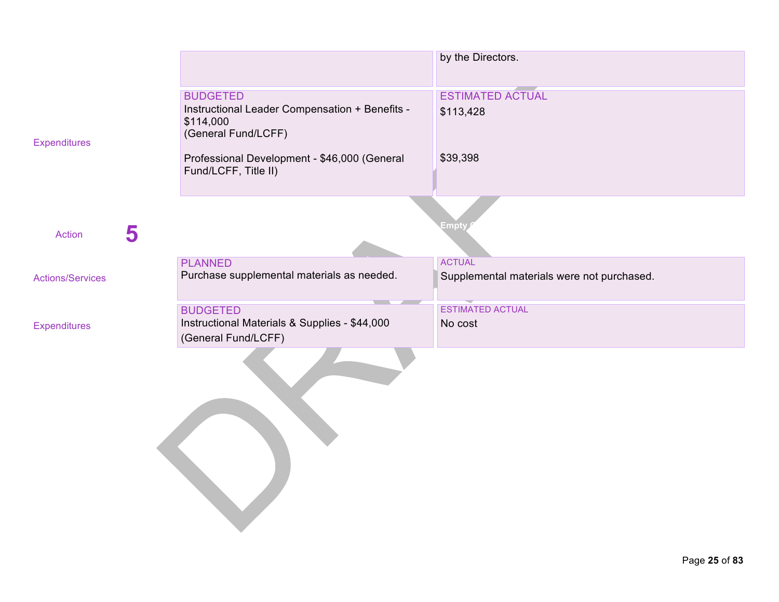|                         |                                                                                                       | by the Directors.                          |
|-------------------------|-------------------------------------------------------------------------------------------------------|--------------------------------------------|
| <b>Expenditures</b>     | <b>BUDGETED</b><br>Instructional Leader Compensation + Benefits -<br>\$114,000<br>(General Fund/LCFF) | <b>ESTIMATED ACTUAL</b><br>\$113,428       |
|                         | Professional Development - \$46,000 (General<br>Fund/LCFF, Title II)                                  | \$39,398                                   |
| 5<br><b>Action</b>      |                                                                                                       | <b>Empt</b>                                |
|                         | <b>PLANNED</b>                                                                                        | <b>ACTUAL</b>                              |
| <b>Actions/Services</b> | Purchase supplemental materials as needed.                                                            | Supplemental materials were not purchased. |
|                         | <b>BUDGETED</b>                                                                                       | <b>ESTIMATED ACTUAL</b>                    |
| <b>Expenditures</b>     | Instructional Materials & Supplies - \$44,000<br>(General Fund/LCFF)                                  | No cost                                    |
|                         |                                                                                                       |                                            |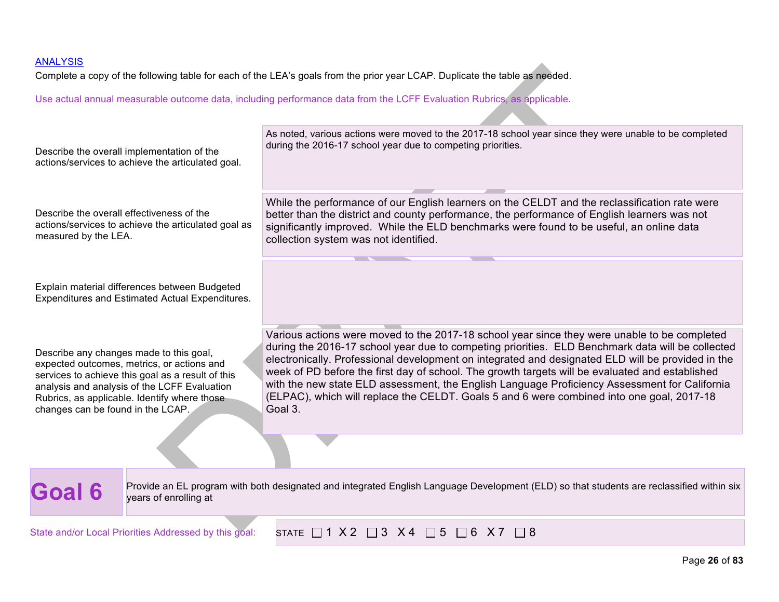Complete a copy of the following table for each of the LEA's goals from the prior year LCAP. Duplicate the table as needed.

| Describe the overall implementation of the<br>actions/services to achieve the articulated goal.                                                                                                                                                                                 | As noted, various actions were moved to the 2017-18 school year since they were unable to be completed<br>during the 2016-17 school year due to competing priorities.                                                                                                                                                                                                                                                                                                                                                                                                                                             |
|---------------------------------------------------------------------------------------------------------------------------------------------------------------------------------------------------------------------------------------------------------------------------------|-------------------------------------------------------------------------------------------------------------------------------------------------------------------------------------------------------------------------------------------------------------------------------------------------------------------------------------------------------------------------------------------------------------------------------------------------------------------------------------------------------------------------------------------------------------------------------------------------------------------|
| Describe the overall effectiveness of the<br>actions/services to achieve the articulated goal as<br>measured by the LEA.                                                                                                                                                        | While the performance of our English learners on the CELDT and the reclassification rate were<br>better than the district and county performance, the performance of English learners was not<br>significantly improved. While the ELD benchmarks were found to be useful, an online data<br>collection system was not identified.                                                                                                                                                                                                                                                                                |
| Explain material differences between Budgeted<br>Expenditures and Estimated Actual Expenditures.                                                                                                                                                                                |                                                                                                                                                                                                                                                                                                                                                                                                                                                                                                                                                                                                                   |
| Describe any changes made to this goal,<br>expected outcomes, metrics, or actions and<br>services to achieve this goal as a result of this<br>analysis and analysis of the LCFF Evaluation<br>Rubrics, as applicable. Identify where those<br>changes can be found in the LCAP. | Various actions were moved to the 2017-18 school year since they were unable to be completed<br>during the 2016-17 school year due to competing priorities. ELD Benchmark data will be collected<br>electronically. Professional development on integrated and designated ELD will be provided in the<br>week of PD before the first day of school. The growth targets will be evaluated and established<br>with the new state ELD assessment, the English Language Proficiency Assessment for California<br>(ELPAC), which will replace the CELDT. Goals 5 and 6 were combined into one goal, 2017-18<br>Goal 3. |
|                                                                                                                                                                                                                                                                                 |                                                                                                                                                                                                                                                                                                                                                                                                                                                                                                                                                                                                                   |
| <b>Goal 6</b><br>years of enrolling at                                                                                                                                                                                                                                          | Provide an EL program with both designated and integrated English Language Development (ELD) so that students are reclassified within six                                                                                                                                                                                                                                                                                                                                                                                                                                                                         |
| State and/or Local Priorities Addressed by this goal:                                                                                                                                                                                                                           | STATE $\Box$ 1 X 2 $\Box$ 3 X 4 $\Box$ 5 $\Box$ 6 X 7 $\Box$ 8                                                                                                                                                                                                                                                                                                                                                                                                                                                                                                                                                    |
|                                                                                                                                                                                                                                                                                 | Page 26 of 83                                                                                                                                                                                                                                                                                                                                                                                                                                                                                                                                                                                                     |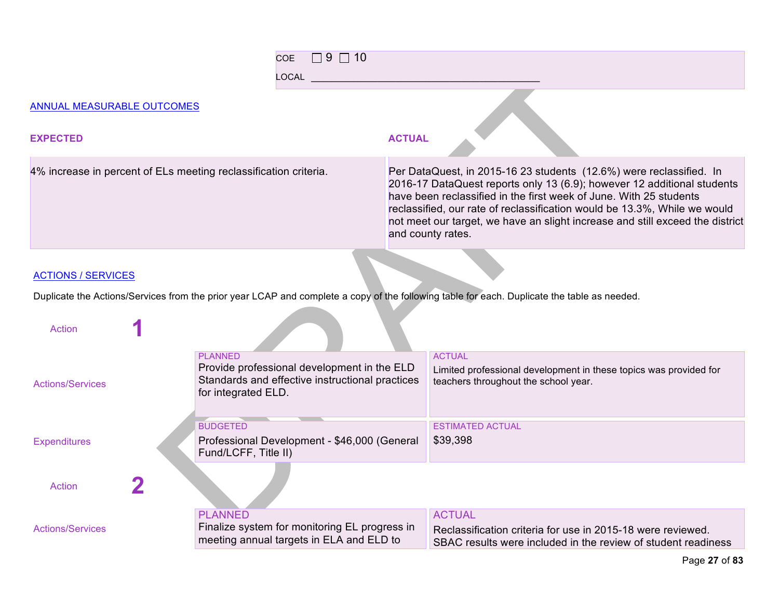| $\Box$ 9 $\Box$ 10<br>COE<br><b>LOCAL</b>                        |                                                                                                                                                                                                                                                                                                                                                                                                         |
|------------------------------------------------------------------|---------------------------------------------------------------------------------------------------------------------------------------------------------------------------------------------------------------------------------------------------------------------------------------------------------------------------------------------------------------------------------------------------------|
| ANNUAL MEASURABLE OUTCOMES                                       |                                                                                                                                                                                                                                                                                                                                                                                                         |
| <b>EXPECTED</b>                                                  | <b>ACTUAL</b>                                                                                                                                                                                                                                                                                                                                                                                           |
| 4% increase in percent of ELs meeting reclassification criteria. | Per DataQuest, in 2015-16 23 students (12.6%) were reclassified. In<br>2016-17 DataQuest reports only 13 (6.9); however 12 additional students<br>have been reclassified in the first week of June. With 25 students<br>reclassified, our rate of reclassification would be 13.3%, While we would<br>not meet our target, we have an slight increase and still exceed the district<br>and county rates. |
|                                                                  |                                                                                                                                                                                                                                                                                                                                                                                                         |

#### **ACTIONS / SERVICES**

Duplicate the Actions/Services from the prior year LCAP and complete a copy of the following table for each. Duplicate the table as needed.

| Action                  |                                                                                                                                         |                                                                                                                                               |
|-------------------------|-----------------------------------------------------------------------------------------------------------------------------------------|-----------------------------------------------------------------------------------------------------------------------------------------------|
| <b>Actions/Services</b> | <b>PLANNED</b><br>Provide professional development in the ELD<br>Standards and effective instructional practices<br>for integrated ELD. | <b>ACTUAL</b><br>Limited professional development in these topics was provided for<br>teachers throughout the school year.                    |
| <b>Expenditures</b>     | <b>BUDGETED</b><br>Professional Development - \$46,000 (General<br>Fund/LCFF, Title II)                                                 | <b>ESTIMATED ACTUAL</b><br>\$39,398                                                                                                           |
| <b>Action</b>           |                                                                                                                                         |                                                                                                                                               |
| <b>Actions/Services</b> | <b>PLANNED</b><br>Finalize system for monitoring EL progress in<br>meeting annual targets in ELA and ELD to                             | <b>ACTUAL</b><br>Reclassification criteria for use in 2015-18 were reviewed.<br>SBAC results were included in the review of student readiness |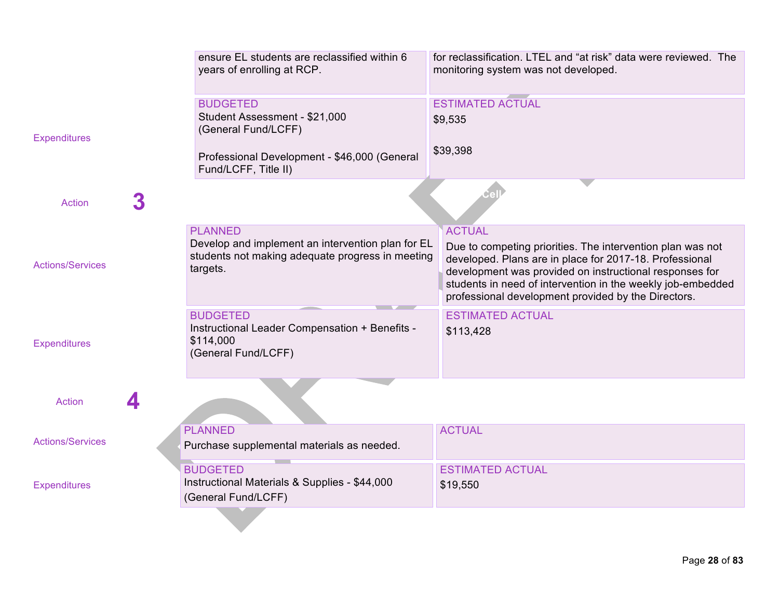|                         | ensure EL students are reclassified within 6<br>years of enrolling at RCP.                                                                      | for reclassification. LTEL and "at risk" data were reviewed. The<br>monitoring system was not developed.                                                                                                                                                                                                                |
|-------------------------|-------------------------------------------------------------------------------------------------------------------------------------------------|-------------------------------------------------------------------------------------------------------------------------------------------------------------------------------------------------------------------------------------------------------------------------------------------------------------------------|
| <b>Expenditures</b>     | <b>BUDGETED</b><br>Student Assessment - \$21,000<br>(General Fund/LCFF)<br>Professional Development - \$46,000 (General<br>Fund/LCFF, Title II) | <b>ESTIMATED ACTUAL</b><br>\$9,535<br>\$39,398                                                                                                                                                                                                                                                                          |
| 3<br><b>Action</b>      |                                                                                                                                                 |                                                                                                                                                                                                                                                                                                                         |
| <b>Actions/Services</b> | <b>PLANNED</b><br>Develop and implement an intervention plan for EL<br>students not making adequate progress in meeting<br>targets.             | <b>ACTUAL</b><br>Due to competing priorities. The intervention plan was not<br>developed. Plans are in place for 2017-18. Professional<br>development was provided on instructional responses for<br>students in need of intervention in the weekly job-embedded<br>professional development provided by the Directors. |
| <b>Expenditures</b>     | <b>BUDGETED</b><br>Instructional Leader Compensation + Benefits -<br>\$114,000<br>(General Fund/LCFF)                                           | <b>ESTIMATED ACTUAL</b><br>\$113,428                                                                                                                                                                                                                                                                                    |
| <b>Action</b>           |                                                                                                                                                 |                                                                                                                                                                                                                                                                                                                         |
| <b>Actions/Services</b> | <b>PLANNED</b><br>Purchase supplemental materials as needed.<br><b>Contract</b>                                                                 | <b>ACTUAL</b>                                                                                                                                                                                                                                                                                                           |
| <b>Expenditures</b>     | <b>BUDGETED</b><br>Instructional Materials & Supplies - \$44,000<br>(General Fund/LCFF)                                                         | <b>ESTIMATED ACTUAL</b><br>\$19,550                                                                                                                                                                                                                                                                                     |
|                         |                                                                                                                                                 |                                                                                                                                                                                                                                                                                                                         |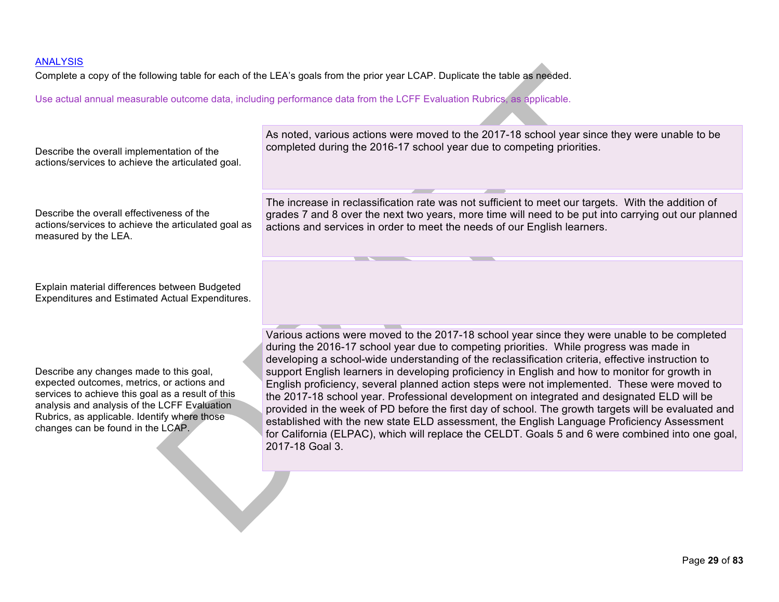Complete a copy of the following table for each of the LEA's goals from the prior year LCAP. Duplicate the table as needed.

| Describe the overall implementation of the                                                                                                                                                                                                                                      | As noted, various actions were moved to the 2017-18 school year since they were unable to be                                                                                                                                                                                                                                                                                                                                                                                                                                                                                                                                                                                                                                                                                                                                                                                                                           |
|---------------------------------------------------------------------------------------------------------------------------------------------------------------------------------------------------------------------------------------------------------------------------------|------------------------------------------------------------------------------------------------------------------------------------------------------------------------------------------------------------------------------------------------------------------------------------------------------------------------------------------------------------------------------------------------------------------------------------------------------------------------------------------------------------------------------------------------------------------------------------------------------------------------------------------------------------------------------------------------------------------------------------------------------------------------------------------------------------------------------------------------------------------------------------------------------------------------|
| actions/services to achieve the articulated goal.                                                                                                                                                                                                                               | completed during the 2016-17 school year due to competing priorities.                                                                                                                                                                                                                                                                                                                                                                                                                                                                                                                                                                                                                                                                                                                                                                                                                                                  |
| Describe the overall effectiveness of the                                                                                                                                                                                                                                       | The increase in reclassification rate was not sufficient to meet our targets. With the addition of                                                                                                                                                                                                                                                                                                                                                                                                                                                                                                                                                                                                                                                                                                                                                                                                                     |
| actions/services to achieve the articulated goal as                                                                                                                                                                                                                             | grades 7 and 8 over the next two years, more time will need to be put into carrying out our planned                                                                                                                                                                                                                                                                                                                                                                                                                                                                                                                                                                                                                                                                                                                                                                                                                    |
| measured by the LEA.                                                                                                                                                                                                                                                            | actions and services in order to meet the needs of our English learners.                                                                                                                                                                                                                                                                                                                                                                                                                                                                                                                                                                                                                                                                                                                                                                                                                                               |
| Explain material differences between Budgeted<br><b>Expenditures and Estimated Actual Expenditures.</b>                                                                                                                                                                         |                                                                                                                                                                                                                                                                                                                                                                                                                                                                                                                                                                                                                                                                                                                                                                                                                                                                                                                        |
| Describe any changes made to this goal,<br>expected outcomes, metrics, or actions and<br>services to achieve this goal as a result of this<br>analysis and analysis of the LCFF Evaluation<br>Rubrics, as applicable. Identify where those<br>changes can be found in the LCAP. | Various actions were moved to the 2017-18 school year since they were unable to be completed<br>during the 2016-17 school year due to competing priorities. While progress was made in<br>developing a school-wide understanding of the reclassification criteria, effective instruction to<br>support English learners in developing proficiency in English and how to monitor for growth in<br>English proficiency, several planned action steps were not implemented. These were moved to<br>the 2017-18 school year. Professional development on integrated and designated ELD will be<br>provided in the week of PD before the first day of school. The growth targets will be evaluated and<br>established with the new state ELD assessment, the English Language Proficiency Assessment<br>for California (ELPAC), which will replace the CELDT. Goals 5 and 6 were combined into one goal,<br>2017-18 Goal 3. |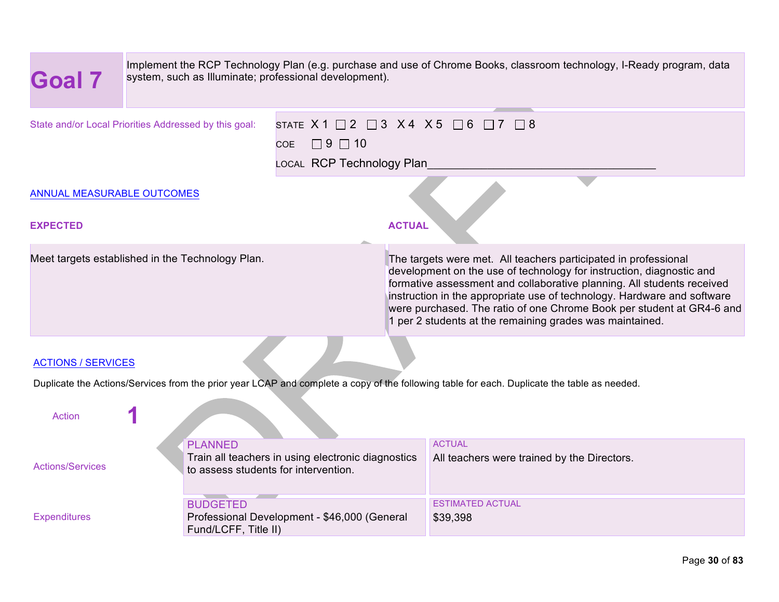| <b>Goal 7</b>                                                                                                                                                | Implement the RCP Technology Plan (e.g. purchase and use of Chrome Books, classroom technology, I-Ready program, data<br>system, such as Illuminate; professional development). |                                                    |                                                                                                                                                                                                                                                                                                                                                                                                                                   |  |  |
|--------------------------------------------------------------------------------------------------------------------------------------------------------------|---------------------------------------------------------------------------------------------------------------------------------------------------------------------------------|----------------------------------------------------|-----------------------------------------------------------------------------------------------------------------------------------------------------------------------------------------------------------------------------------------------------------------------------------------------------------------------------------------------------------------------------------------------------------------------------------|--|--|
| State and/or Local Priorities Addressed by this goal:<br>$\Box$ 9 $\Box$ 10<br>COE.<br>LOCAL RCP Technology Plan                                             |                                                                                                                                                                                 |                                                    | STATE $X1 \square 2 \square 3 X4 X5 \square 6 \square 7 \square 8$                                                                                                                                                                                                                                                                                                                                                                |  |  |
| ANNUAL MEASURABLE OUTCOMES                                                                                                                                   |                                                                                                                                                                                 |                                                    |                                                                                                                                                                                                                                                                                                                                                                                                                                   |  |  |
| <b>EXPECTED</b>                                                                                                                                              |                                                                                                                                                                                 | <b>ACTUAL</b>                                      |                                                                                                                                                                                                                                                                                                                                                                                                                                   |  |  |
| Meet targets established in the Technology Plan.                                                                                                             |                                                                                                                                                                                 |                                                    | The targets were met. All teachers participated in professional<br>development on the use of technology for instruction, diagnostic and<br>formative assessment and collaborative planning. All students received<br>instruction in the appropriate use of technology. Hardware and software<br>were purchased. The ratio of one Chrome Book per student at GR4-6 and<br>1 per 2 students at the remaining grades was maintained. |  |  |
|                                                                                                                                                              |                                                                                                                                                                                 |                                                    |                                                                                                                                                                                                                                                                                                                                                                                                                                   |  |  |
| <b>ACTIONS / SERVICES</b>                                                                                                                                    |                                                                                                                                                                                 |                                                    |                                                                                                                                                                                                                                                                                                                                                                                                                                   |  |  |
| Duplicate the Actions/Services from the prior year LCAP and complete a copy of the following table for each. Duplicate the table as needed.<br><b>Action</b> |                                                                                                                                                                                 |                                                    |                                                                                                                                                                                                                                                                                                                                                                                                                                   |  |  |
| <b>Actions/Services</b>                                                                                                                                      | <b>PLANNED</b><br>to assess students for intervention.                                                                                                                          | Train all teachers in using electronic diagnostics | <b>ACTUAL</b><br>All teachers were trained by the Directors.                                                                                                                                                                                                                                                                                                                                                                      |  |  |
| <b>Expenditures</b>                                                                                                                                          | <b>Contract Contract Contract Contract</b><br><b>BUDGETED</b><br>Fund/LCFF, Title II)                                                                                           | Professional Development - \$46,000 (General       | <b>ESTIMATED ACTUAL</b><br>\$39,398                                                                                                                                                                                                                                                                                                                                                                                               |  |  |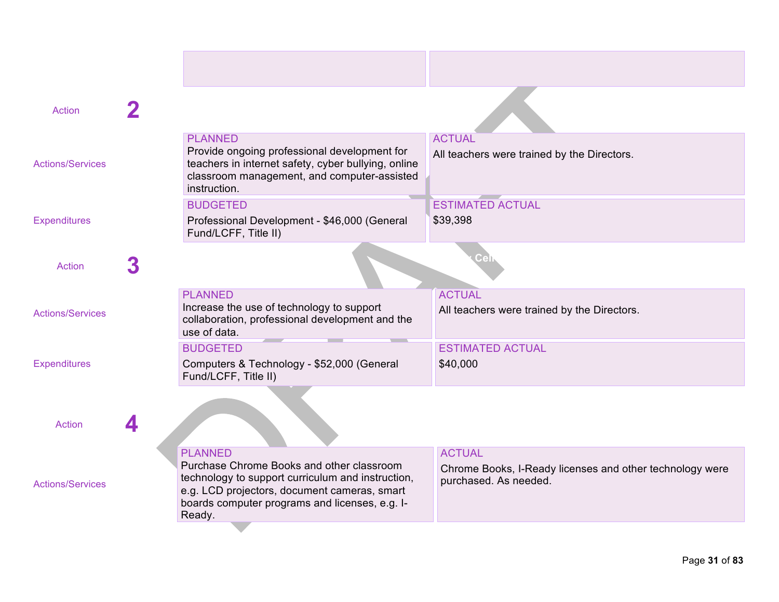| <b>Action</b>           |                                                                                                                                                                                                                              |                                                                                                    |
|-------------------------|------------------------------------------------------------------------------------------------------------------------------------------------------------------------------------------------------------------------------|----------------------------------------------------------------------------------------------------|
| <b>Actions/Services</b> | <b>PLANNED</b><br>Provide ongoing professional development for<br>teachers in internet safety, cyber bullying, online<br>classroom management, and computer-assisted<br>instruction.                                         | <b>ACTUAL</b><br>All teachers were trained by the Directors.                                       |
| <b>Expenditures</b>     | <b>BUDGETED</b><br>Professional Development - \$46,000 (General<br>Fund/LCFF, Title II)                                                                                                                                      | <b>ESTIMATED ACTUAL</b><br>\$39,398                                                                |
| <b>Action</b>           |                                                                                                                                                                                                                              |                                                                                                    |
| <b>Actions/Services</b> | <b>PLANNED</b><br>Increase the use of technology to support<br>collaboration, professional development and the<br>use of data.<br><b>Contract</b><br><b>The Contract of Street</b>                                           | <b>ACTUAL</b><br>All teachers were trained by the Directors.                                       |
| <b>Expenditures</b>     | <b>BUDGETED</b><br>Computers & Technology - \$52,000 (General<br>Fund/LCFF, Title II)                                                                                                                                        | <b>ESTIMATED ACTUAL</b><br>\$40,000                                                                |
| <b>Action</b>           |                                                                                                                                                                                                                              |                                                                                                    |
| <b>Actions/Services</b> | <b>PLANNED</b><br>Purchase Chrome Books and other classroom<br>technology to support curriculum and instruction,<br>e.g. LCD projectors, document cameras, smart<br>boards computer programs and licenses, e.g. I-<br>Ready. | <b>ACTUAL</b><br>Chrome Books, I-Ready licenses and other technology were<br>purchased. As needed. |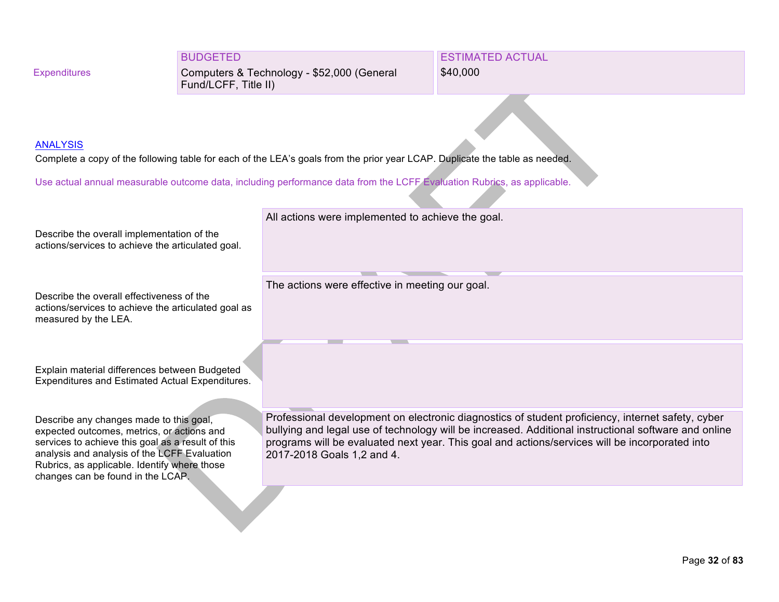#### BUDGETED

Computers & Technology - \$52,000 (General Fund/LCFF, Title II)

ESTIMATED ACTUAL \$40,000

#### **ANALYSIS**

Complete a copy of the following table for each of the LEA's goals from the prior year LCAP. Duplicate the table as needed.

Use actual annual measurable outcome data, including performance data from the LCFF Evaluation Rubrics, as applicable.

Describe the overall implementation of the actions/services to achieve the articulated goal.

Describe the overall effectiveness of the actions/services to achieve the articulated goal as measured by the LEA.

Explain material differences between Budgeted Expenditures and Estimated Actual Expenditures.

Describe any changes made to this goal, expected outcomes, metrics, or actions and services to achieve this goal as a result of this analysis and analysis of the LCFF Evaluation Rubrics, as applicable. Identify where those changes can be found in the LCAP.

Professional development on electronic diagnostics of student proficiency, internet safety, cyber bullying and legal use of technology will be increased. Additional instructional software and online programs will be evaluated next year. This goal and actions/services will be incorporated into 2017-2018 Goals 1,2 and 4.

All actions were implemented to achieve the goal.

The actions were effective in meeting our goal.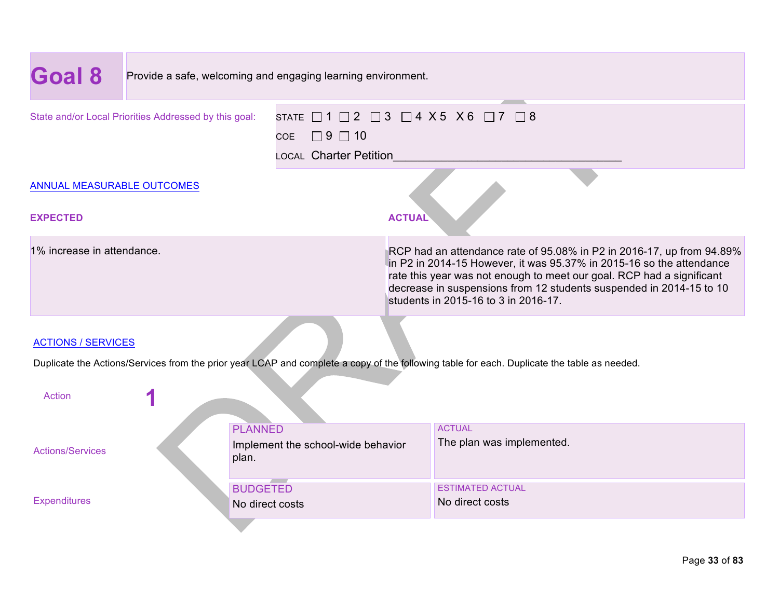| Goal 8                                                                                                                                                                                         | Provide a safe, welcoming and engaging learning environment. |                                                               |                                                                                                                                                                                                                                                                                                                                       |                                            |
|------------------------------------------------------------------------------------------------------------------------------------------------------------------------------------------------|--------------------------------------------------------------|---------------------------------------------------------------|---------------------------------------------------------------------------------------------------------------------------------------------------------------------------------------------------------------------------------------------------------------------------------------------------------------------------------------|--------------------------------------------|
| STATE $\Box$ 1 $\Box$ 2 $\Box$ 3 $\Box$ 4 $X$ 5 $X$ 6 $\Box$ 7 $\Box$ 8<br>State and/or Local Priorities Addressed by this goal:<br>$\Box$ 9 $\Box$ 10<br><b>COE</b><br>LOCAL Charter Petition |                                                              |                                                               |                                                                                                                                                                                                                                                                                                                                       |                                            |
| ANNUAL MEASURABLE OUTCOMES<br><b>EXPECTED</b>                                                                                                                                                  |                                                              |                                                               | <b>ACTUAL</b>                                                                                                                                                                                                                                                                                                                         |                                            |
| 1% increase in attendance.                                                                                                                                                                     |                                                              |                                                               | RCP had an attendance rate of 95.08% in P2 in 2016-17, up from 94.89%<br>in P2 in 2014-15 However, it was 95.37% in 2015-16 so the attendance<br>rate this year was not enough to meet our goal. RCP had a significant<br>decrease in suspensions from 12 students suspended in 2014-15 to 10<br>students in 2015-16 to 3 in 2016-17. |                                            |
| <b>ACTIONS / SERVICES</b><br>Duplicate the Actions/Services from the prior year LCAP and complete a copy of the following table for each. Duplicate the table as needed.<br><b>Action</b>      |                                                              |                                                               |                                                                                                                                                                                                                                                                                                                                       |                                            |
| <b>Actions/Services</b>                                                                                                                                                                        |                                                              | <b>PLANNED</b><br>Implement the school-wide behavior<br>plan. |                                                                                                                                                                                                                                                                                                                                       | <b>ACTUAL</b><br>The plan was implemented. |
| <b>Expenditures</b>                                                                                                                                                                            | <b>BUDGETED</b><br>No direct costs                           |                                                               |                                                                                                                                                                                                                                                                                                                                       | <b>ESTIMATED ACTUAL</b><br>No direct costs |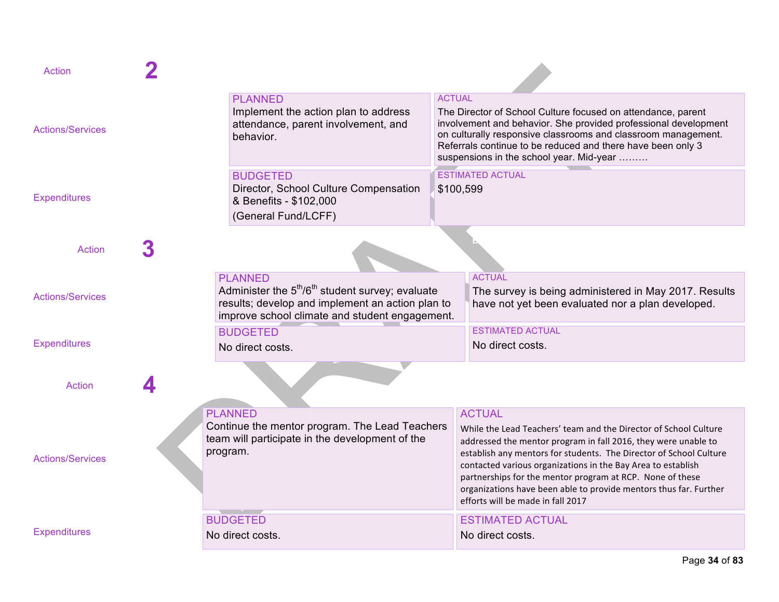| Action                  |                                                                                                                                                                                                                                                                                                                                                                                                                                                                                                                                                                                                     |
|-------------------------|-----------------------------------------------------------------------------------------------------------------------------------------------------------------------------------------------------------------------------------------------------------------------------------------------------------------------------------------------------------------------------------------------------------------------------------------------------------------------------------------------------------------------------------------------------------------------------------------------------|
| <b>Actions/Services</b> | <b>ACTUAL</b><br><b>PLANNED</b><br>Implement the action plan to address<br>The Director of School Culture focused on attendance, parent<br>involvement and behavior. She provided professional development<br>attendance, parent involvement, and<br>on culturally responsive classrooms and classroom management.<br>behavior.<br>Referrals continue to be reduced and there have been only 3<br>suspensions in the school year. Mid-year                                                                                                                                                          |
| <b>Expenditures</b>     | <b>ESTIMATED ACTUAL</b><br><b>BUDGETED</b><br>Director, School Culture Compensation<br>\$100,599<br>& Benefits - \$102,000<br>(General Fund/LCFF)                                                                                                                                                                                                                                                                                                                                                                                                                                                   |
| <b>Action</b>           |                                                                                                                                                                                                                                                                                                                                                                                                                                                                                                                                                                                                     |
| <b>Actions/Services</b> | <b>ACTUAL</b><br><b>PLANNED</b><br>Administer the $5th/6th$ student survey; evaluate<br>The survey is being administered in May 2017. Results<br>results; develop and implement an action plan to<br>have not yet been evaluated nor a plan developed.<br>improve school climate and student engagement.                                                                                                                                                                                                                                                                                            |
| <b>Expenditures</b>     | <b>FSTIMATED ACTUAL</b><br><b>BUDGETED</b><br>No direct costs.<br>No direct costs.                                                                                                                                                                                                                                                                                                                                                                                                                                                                                                                  |
| Action                  |                                                                                                                                                                                                                                                                                                                                                                                                                                                                                                                                                                                                     |
| <b>Actions/Services</b> | <b>PLANNED</b><br><b>ACTUAL</b><br>Continue the mentor program. The Lead Teachers<br>While the Lead Teachers' team and the Director of School Culture<br>team will participate in the development of the<br>addressed the mentor program in fall 2016, they were unable to<br>program.<br>establish any mentors for students. The Director of School Culture<br>contacted various organizations in the Bay Area to establish<br>partnerships for the mentor program at RCP. None of these<br>organizations have been able to provide mentors thus far. Further<br>efforts will be made in fall 2017 |
| <b>Expenditures</b>     | <b>BUDGETED</b><br><b>ESTIMATED ACTUAL</b><br>No direct costs.<br>No direct costs.                                                                                                                                                                                                                                                                                                                                                                                                                                                                                                                  |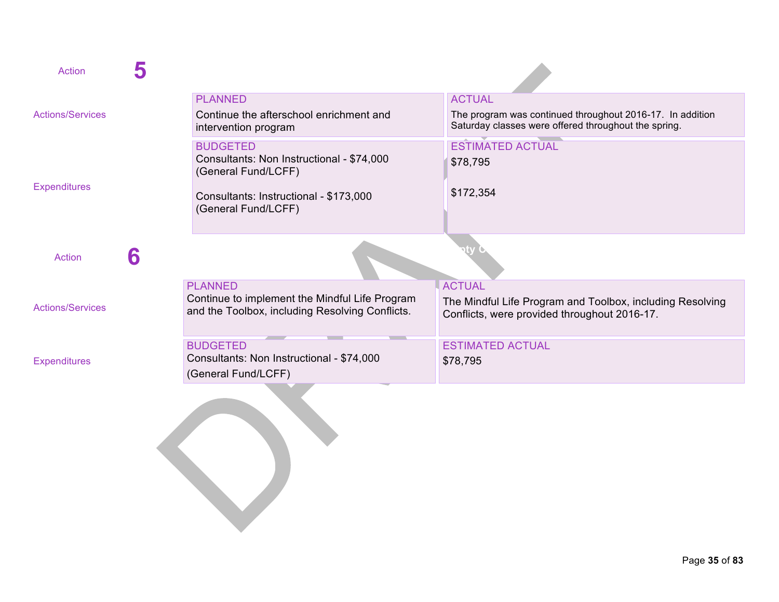| <b>Action</b>           |   |                                                                                                                     |                                                                                                                                    |
|-------------------------|---|---------------------------------------------------------------------------------------------------------------------|------------------------------------------------------------------------------------------------------------------------------------|
| <b>Actions/Services</b> |   | <b>PLANNED</b><br>Continue the afterschool enrichment and<br>intervention program                                   | <b>ACTUAL</b><br>The program was continued throughout 2016-17. In addition<br>Saturday classes were offered throughout the spring. |
|                         |   | <b>BUDGETED</b><br>Consultants: Non Instructional - \$74,000<br>(General Fund/LCFF)                                 | <b>ESTIMATED ACTUAL</b><br>\$78,795                                                                                                |
| <b>Expenditures</b>     |   | Consultants: Instructional - \$173,000<br>(General Fund/LCFF)                                                       | \$172,354                                                                                                                          |
| <b>Action</b>           | 6 |                                                                                                                     |                                                                                                                                    |
| <b>Actions/Services</b> |   | <b>PLANNED</b><br>Continue to implement the Mindful Life Program<br>and the Toolbox, including Resolving Conflicts. | <b>ACTUAL</b><br>The Mindful Life Program and Toolbox, including Resolving<br>Conflicts, were provided throughout 2016-17.         |
| <b>Expenditures</b>     |   | <b>BUDGETED</b><br>Consultants: Non Instructional - \$74,000<br>(General Fund/LCFF)                                 | <b>ESTIMATED ACTUAL</b><br>\$78,795                                                                                                |
|                         |   |                                                                                                                     |                                                                                                                                    |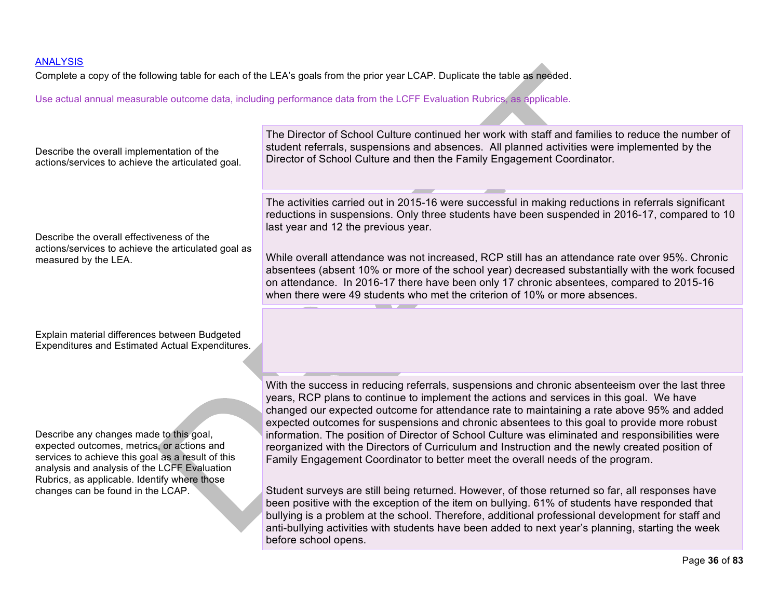Complete a copy of the following table for each of the LEA's goals from the prior year LCAP. Duplicate the table as needed.

Use actual annual measurable outcome data, including performance data from the LCFF Evaluation Rubrics, as applicable.

#### The Director of School Culture continued her work with staff and families to reduce the number of student referrals, suspensions and absences. All planned activities were implemented by the Describe the overall implementation of the Director of School Culture and then the Family Engagement Coordinator. actions/services to achieve the articulated goal. The activities carried out in 2015-16 were successful in making reductions in referrals significant reductions in suspensions. Only three students have been suspended in 2016-17, compared to 10 last year and 12 the previous year. Describe the overall effectiveness of the actions/services to achieve the articulated goal as While overall attendance was not increased, RCP still has an attendance rate over 95%. Chronic measured by the LEA. absentees (absent 10% or more of the school year) decreased substantially with the work focused on attendance. In 2016-17 there have been only 17 chronic absentees, compared to 2015-16 when there were 49 students who met the criterion of 10% or more absences. \_\_ Explain material differences between Budgeted Expenditures and Estimated Actual Expenditures. With the success in reducing referrals, suspensions and chronic absenteeism over the last three years, RCP plans to continue to implement the actions and services in this goal. We have changed our expected outcome for attendance rate to maintaining a rate above 95% and added expected outcomes for suspensions and chronic absentees to this goal to provide more robust Describe any changes made to this goal, information. The position of Director of School Culture was eliminated and responsibilities were expected outcomes, metrics, or actions and reorganized with the Directors of Curriculum and Instruction and the newly created position of services to achieve this goal as a result of this Family Engagement Coordinator to better meet the overall needs of the program. analysis and analysis of the LCFF Evaluation Rubrics, as applicable. Identify where those Student surveys are still being returned. However, of those returned so far, all responses have changes can be found in the LCAP. been positive with the exception of the item on bullying. 61% of students have responded that bullying is a problem at the school. Therefore, additional professional development for staff and anti-bullying activities with students have been added to next year's planning, starting the week before school opens.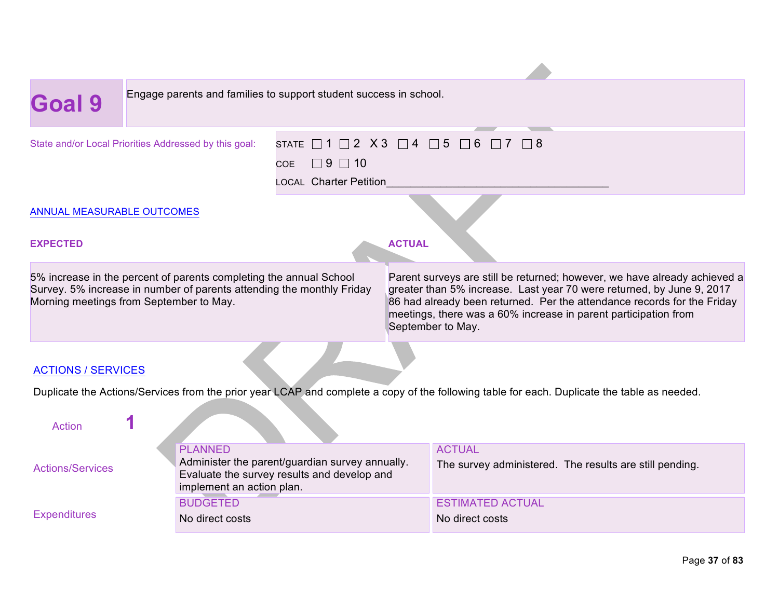| Goal 9                                                                                                                                                                                 | Engage parents and families to support student success in school.                                                                                                                                                                                                                                                     |  |  |  |  |  |  |
|----------------------------------------------------------------------------------------------------------------------------------------------------------------------------------------|-----------------------------------------------------------------------------------------------------------------------------------------------------------------------------------------------------------------------------------------------------------------------------------------------------------------------|--|--|--|--|--|--|
| State and/or Local Priorities Addressed by this goal:                                                                                                                                  | STATE $\Box$ 1 $\Box$ 2 $\chi$ 3 $\Box$ 4 $\Box$<br>-5<br>6<br>∏ 8<br>$\Box$ 9 $\Box$ 10<br><b>COE</b><br><b>LOCAL Charter Petition</b>                                                                                                                                                                               |  |  |  |  |  |  |
| ANNUAL MEASURABLE OUTCOMES                                                                                                                                                             |                                                                                                                                                                                                                                                                                                                       |  |  |  |  |  |  |
| <b>EXPECTED</b>                                                                                                                                                                        | <b>ACTUAL</b>                                                                                                                                                                                                                                                                                                         |  |  |  |  |  |  |
| 5% increase in the percent of parents completing the annual School<br>Survey. 5% increase in number of parents attending the monthly Friday<br>Morning meetings from September to May. | Parent surveys are still be returned; however, we have already achieved a<br>greater than 5% increase. Last year 70 were returned, by June 9, 2017<br>86 had already been returned. Per the attendance records for the Friday<br>meetings, there was a 60% increase in parent participation from<br>September to May. |  |  |  |  |  |  |
| <b>ACTIONS / SERVICES</b><br>Duplicate the Actions/Services from the prior year LCAP and complete a copy of the following table for each. Duplicate the table as needed.               |                                                                                                                                                                                                                                                                                                                       |  |  |  |  |  |  |
| <b>Action</b><br><b>PLANNED</b>                                                                                                                                                        | <b>ACTUAL</b>                                                                                                                                                                                                                                                                                                         |  |  |  |  |  |  |

Actions/Services

**Expenditures** 

PLANNED Administer the parent/guardian survey annually. Evaluate the survey results and develop and implement an action plan. ACTUAL The survey administered. The results are still pending. **BUDGETED** No direct costs ESTIMATED ACTUAL No direct costs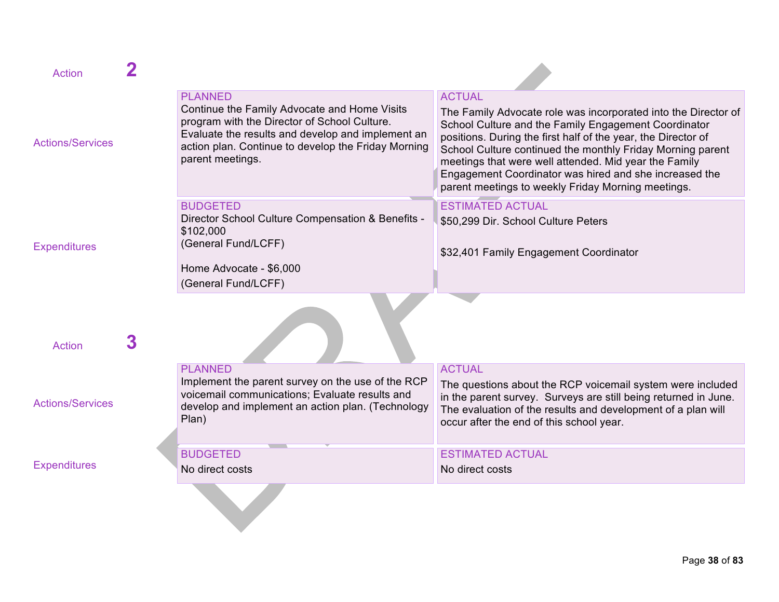| <b>Action</b>           |   |                                                                                                                                                                                                                                                |                                                                                                                                                                                                                                                                                                                                                                                                                                                 |
|-------------------------|---|------------------------------------------------------------------------------------------------------------------------------------------------------------------------------------------------------------------------------------------------|-------------------------------------------------------------------------------------------------------------------------------------------------------------------------------------------------------------------------------------------------------------------------------------------------------------------------------------------------------------------------------------------------------------------------------------------------|
| <b>Actions/Services</b> |   | <b>PLANNED</b><br>Continue the Family Advocate and Home Visits<br>program with the Director of School Culture.<br>Evaluate the results and develop and implement an<br>action plan. Continue to develop the Friday Morning<br>parent meetings. | <b>ACTUAL</b><br>The Family Advocate role was incorporated into the Director of<br>School Culture and the Family Engagement Coordinator<br>positions. During the first half of the year, the Director of<br>School Culture continued the monthly Friday Morning parent<br>meetings that were well attended. Mid year the Family<br>Engagement Coordinator was hired and she increased the<br>parent meetings to weekly Friday Morning meetings. |
| <b>Expenditures</b>     |   | <b>BUDGETED</b><br>Director School Culture Compensation & Benefits -<br>\$102,000<br>(General Fund/LCFF)<br>Home Advocate - \$6,000<br>(General Fund/LCFF)                                                                                     | <b>ESTIMATED ACTUAL</b><br>\$50,299 Dir. School Culture Peters<br>\$32,401 Family Engagement Coordinator                                                                                                                                                                                                                                                                                                                                        |
| <b>Action</b>           | 3 |                                                                                                                                                                                                                                                |                                                                                                                                                                                                                                                                                                                                                                                                                                                 |
| <b>Actions/Services</b> |   | <b>PLANNED</b><br>Implement the parent survey on the use of the RCP<br>voicemail communications; Evaluate results and<br>develop and implement an action plan. (Technology<br>Plan)                                                            | <b>ACTUAL</b><br>The questions about the RCP voicemail system were included<br>in the parent survey. Surveys are still being returned in June.<br>The evaluation of the results and development of a plan will<br>occur after the end of this school year.                                                                                                                                                                                      |
| <b>Expenditures</b>     |   | <b>BUDGETED</b><br>No direct costs                                                                                                                                                                                                             | <b>ESTIMATED ACTUAL</b><br>No direct costs                                                                                                                                                                                                                                                                                                                                                                                                      |
|                         |   |                                                                                                                                                                                                                                                |                                                                                                                                                                                                                                                                                                                                                                                                                                                 |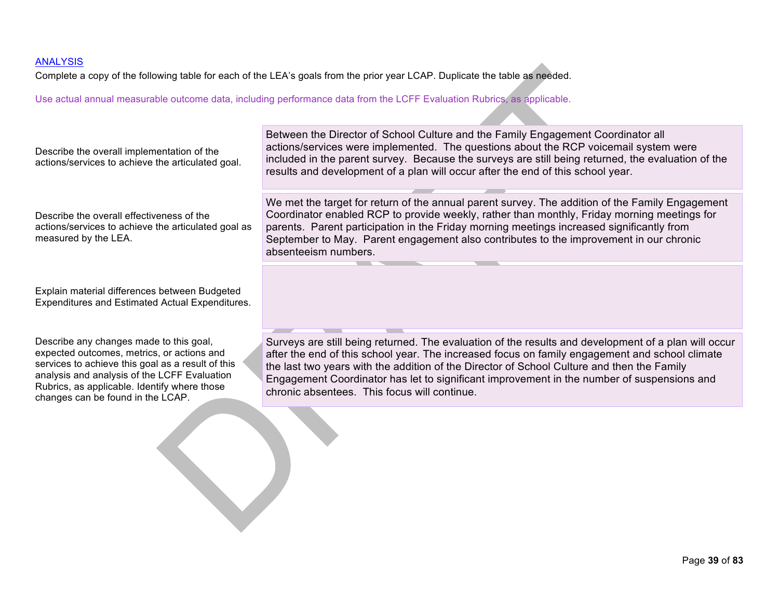### **ANALYSIS**

Complete a copy of the following table for each of the LEA's goals from the prior year LCAP. Duplicate the table as needed.

Use actual annual measurable outcome data, including performance data from the LCFF Evaluation Rubrics, as applicable.

| Describe the overall implementation of the<br>actions/services to achieve the articulated goal.                                                                                                                                                                                 | Between the Director of School Culture and the Family Engagement Coordinator all<br>actions/services were implemented. The questions about the RCP voicemail system were<br>included in the parent survey. Because the surveys are still being returned, the evaluation of the<br>results and development of a plan will occur after the end of this school year.                                                                                  |
|---------------------------------------------------------------------------------------------------------------------------------------------------------------------------------------------------------------------------------------------------------------------------------|----------------------------------------------------------------------------------------------------------------------------------------------------------------------------------------------------------------------------------------------------------------------------------------------------------------------------------------------------------------------------------------------------------------------------------------------------|
| Describe the overall effectiveness of the<br>actions/services to achieve the articulated goal as<br>measured by the LEA.                                                                                                                                                        | We met the target for return of the annual parent survey. The addition of the Family Engagement<br>Coordinator enabled RCP to provide weekly, rather than monthly, Friday morning meetings for<br>parents. Parent participation in the Friday morning meetings increased significantly from<br>September to May. Parent engagement also contributes to the improvement in our chronic<br>absenteeism numbers.                                      |
| Explain material differences between Budgeted<br>Expenditures and Estimated Actual Expenditures.                                                                                                                                                                                |                                                                                                                                                                                                                                                                                                                                                                                                                                                    |
| Describe any changes made to this goal,<br>expected outcomes, metrics, or actions and<br>services to achieve this goal as a result of this<br>analysis and analysis of the LCFF Evaluation<br>Rubrics, as applicable. Identify where those<br>changes can be found in the LCAP. | Surveys are still being returned. The evaluation of the results and development of a plan will occur<br>after the end of this school year. The increased focus on family engagement and school climate<br>the last two years with the addition of the Director of School Culture and then the Family<br>Engagement Coordinator has let to significant improvement in the number of suspensions and<br>chronic absentees. This focus will continue. |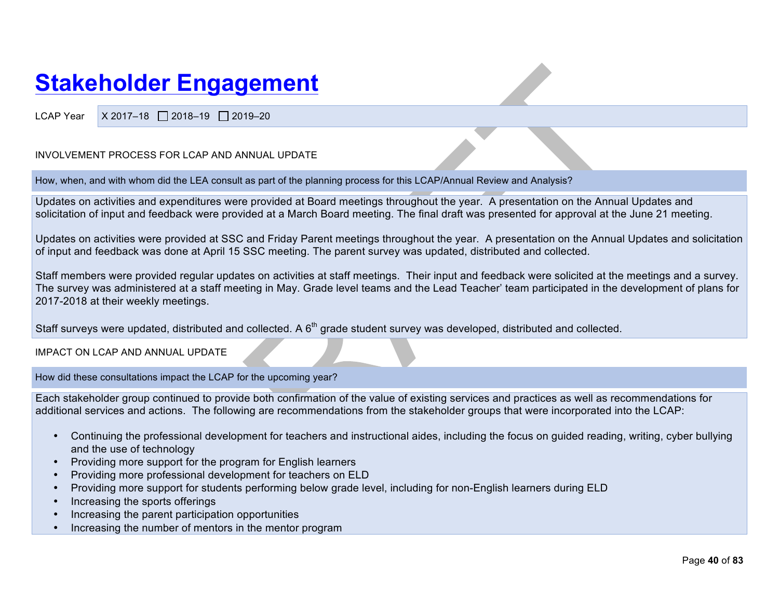## **Stakeholder Engagement**

LCAP Year  $\mid$  X 2017-18  $\mid$  2018-19  $\mid$  2019-20

#### INVOLVEMENT PROCESS FOR LCAP AND ANNUAL UPDATE

How, when, and with whom did the LEA consult as part of the planning process for this LCAP/Annual Review and Analysis?

Updates on activities and expenditures were provided at Board meetings throughout the year. A presentation on the Annual Updates and solicitation of input and feedback were provided at a March Board meeting. The final draft was presented for approval at the June 21 meeting.

Updates on activities were provided at SSC and Friday Parent meetings throughout the year. A presentation on the Annual Updates and solicitation of input and feedback was done at April 15 SSC meeting. The parent survey was updated, distributed and collected.

Staff members were provided regular updates on activities at staff meetings. Their input and feedback were solicited at the meetings and a survey. The survey was administered at a staff meeting in May. Grade level teams and the Lead Teacher' team participated in the development of plans for 2017-2018 at their weekly meetings.

Staff surveys were updated, distributed and collected. A 6<sup>th</sup> grade student survey was developed, distributed and collected.

IMPACT ON LCAP AND ANNUAL UPDATE

How did these consultations impact the LCAP for the upcoming year?

Each stakeholder group continued to provide both confirmation of the value of existing services and practices as well as recommendations for additional services and actions. The following are recommendations from the stakeholder groups that were incorporated into the LCAP:

- Continuing the professional development for teachers and instructional aides, including the focus on guided reading, writing, cyber bullying and the use of technology
- Providing more support for the program for English learners
- Providing more professional development for teachers on ELD
- Providing more support for students performing below grade level, including for non-English learners during ELD
- Increasing the sports offerings
- Increasing the parent participation opportunities
- Increasing the number of mentors in the mentor program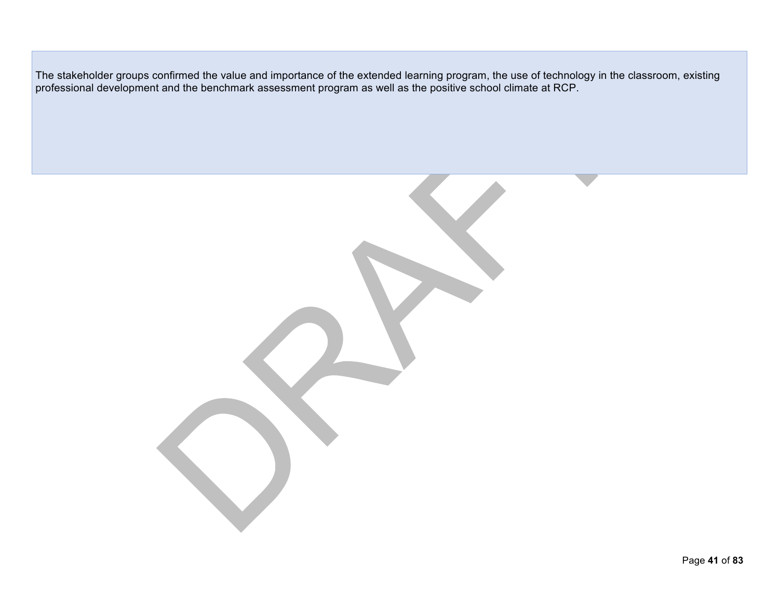The stakeholder groups confirmed the value and importance of the extended learning program, the use of technology in the classroom, existing professional development and the benchmark assessment program as well as the positive school climate at RCP.

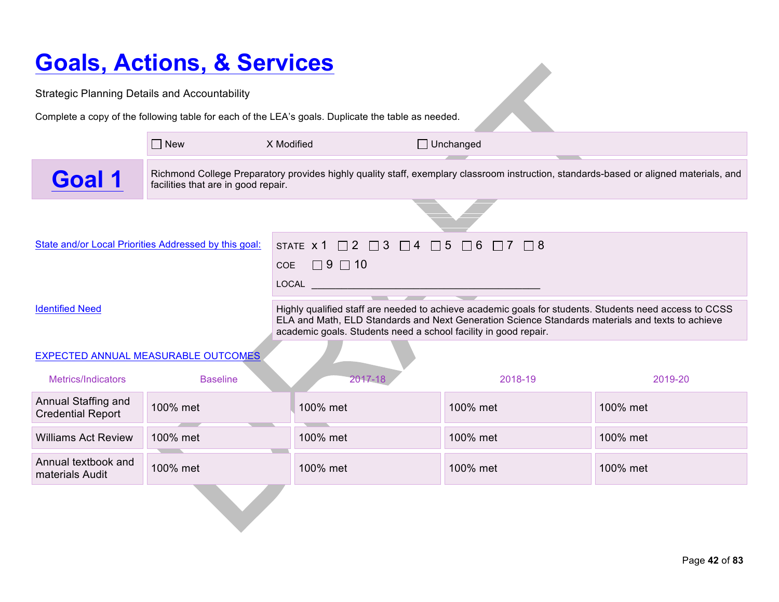# **Goals, Actions, & Services**

| <u>UUAIS, AULIUIIS, &amp; JEI VIUES</u>              |                                                       |                                                                                                                                                                                                                                                                               |                  |          |  |  |  |  |
|------------------------------------------------------|-------------------------------------------------------|-------------------------------------------------------------------------------------------------------------------------------------------------------------------------------------------------------------------------------------------------------------------------------|------------------|----------|--|--|--|--|
| <b>Strategic Planning Details and Accountability</b> |                                                       |                                                                                                                                                                                                                                                                               |                  |          |  |  |  |  |
|                                                      |                                                       | Complete a copy of the following table for each of the LEA's goals. Duplicate the table as needed.                                                                                                                                                                            |                  |          |  |  |  |  |
|                                                      | $\Box$ New                                            | X Modified                                                                                                                                                                                                                                                                    | $\Box$ Unchanged |          |  |  |  |  |
| Goal 1                                               | facilities that are in good repair.                   | Richmond College Preparatory provides highly quality staff, exemplary classroom instruction, standards-based or aligned materials, and                                                                                                                                        |                  |          |  |  |  |  |
|                                                      |                                                       |                                                                                                                                                                                                                                                                               |                  |          |  |  |  |  |
|                                                      | State and/or Local Priorities Addressed by this goal: | STATE $\times$ 1 $\Box$ 2 $\Box$ 3 $\Box$ 4 $\Box$ 5 $\Box$ 6 $\Box$ 7 $\Box$ 8<br>$\Box$ 9 $\Box$ 10<br><b>COE</b><br>$\begin{tabular}{c} \bf \texttt{LOCAL} \end{tabular}$                                                                                                  |                  |          |  |  |  |  |
| <b>Identified Need</b>                               |                                                       | Highly qualified staff are needed to achieve academic goals for students. Students need access to CCSS<br>ELA and Math, ELD Standards and Next Generation Science Standards materials and texts to achieve<br>academic goals. Students need a school facility in good repair. |                  |          |  |  |  |  |
|                                                      | EXPECTED ANNUAL MEASURABLE OUTCOMES                   |                                                                                                                                                                                                                                                                               |                  |          |  |  |  |  |
| Metrics/Indicators                                   | <b>Baseline</b>                                       | 2017-18                                                                                                                                                                                                                                                                       | 2018-19          | 2019-20  |  |  |  |  |
| Annual Staffing and<br><b>Credential Report</b>      | 100% met                                              | 100% met                                                                                                                                                                                                                                                                      | 100% met         | 100% met |  |  |  |  |
| <b>Williams Act Review</b>                           | 100% met                                              | 100% met                                                                                                                                                                                                                                                                      | 100% met         | 100% met |  |  |  |  |
| Annual textbook and<br>materials Audit               | 100% met                                              | 100% met<br>100% met<br>100% met                                                                                                                                                                                                                                              |                  |          |  |  |  |  |
|                                                      |                                                       |                                                                                                                                                                                                                                                                               |                  |          |  |  |  |  |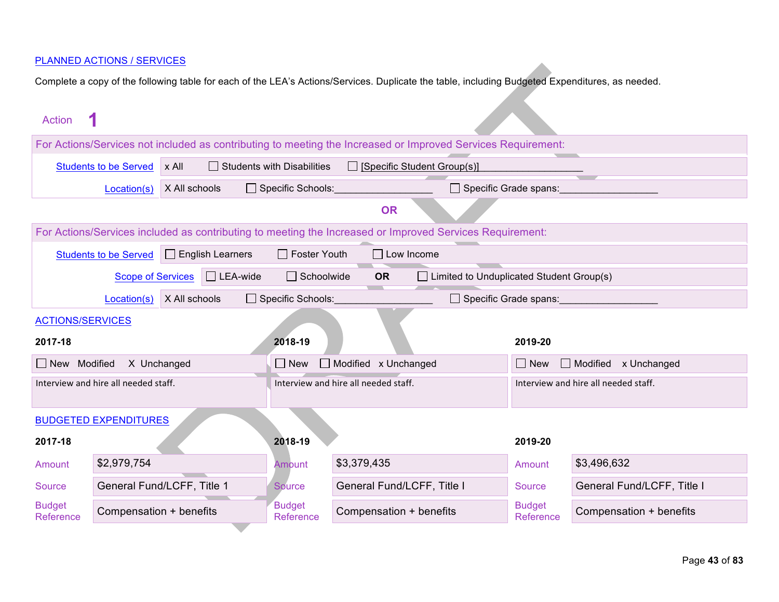| <b>Action</b>                |                                      |                            |                                   |                                      |                                                                                                              |                                      |                                    |
|------------------------------|--------------------------------------|----------------------------|-----------------------------------|--------------------------------------|--------------------------------------------------------------------------------------------------------------|--------------------------------------|------------------------------------|
|                              |                                      |                            |                                   |                                      | For Actions/Services not included as contributing to meeting the Increased or Improved Services Requirement: |                                      |                                    |
|                              | <b>Students to be Served</b>         | x All                      | $\Box$ Students with Disabilities |                                      | [Specific Student Group(s)]                                                                                  |                                      |                                    |
|                              | Location(s)                          | X All schools              | $\Box$ Specific Schools:          |                                      | $\Box$ Specific Grade spans:                                                                                 |                                      |                                    |
|                              |                                      |                            |                                   | <b>OR</b>                            |                                                                                                              |                                      |                                    |
|                              |                                      |                            |                                   |                                      | For Actions/Services included as contributing to meeting the Increased or Improved Services Requirement:     |                                      |                                    |
|                              | <b>Students to be Served</b>         | $\Box$ English Learners    | $\Box$ Foster Youth               |                                      | $\Box$ Low Income                                                                                            |                                      |                                    |
|                              | <b>Scope of Services</b>             | $\Box$ LEA-wide            | $\Box$ Schoolwide                 | <b>OR</b>                            | $\Box$ Limited to Unduplicated Student Group(s)                                                              |                                      |                                    |
|                              | Location(s)                          | X All schools              | $\Box$ Specific Schools:          |                                      | $\Box$ Specific Grade spans:                                                                                 |                                      |                                    |
| <b>ACTIONS/SERVICES</b>      |                                      |                            |                                   |                                      |                                                                                                              |                                      |                                    |
| 2017-18                      |                                      |                            | 2018-19                           |                                      |                                                                                                              | 2019-20                              |                                    |
| New Modified                 | X Unchanged                          |                            | $\Box$ New                        | $\Box$ Modified x Unchanged          |                                                                                                              | $\Box$ New                           | $\Box$ Modified $\times$ Unchanged |
|                              | Interview and hire all needed staff. |                            |                                   | Interview and hire all needed staff. |                                                                                                              | Interview and hire all needed staff. |                                    |
|                              |                                      |                            |                                   |                                      |                                                                                                              |                                      |                                    |
| <b>BUDGETED EXPENDITURES</b> |                                      |                            |                                   |                                      |                                                                                                              |                                      |                                    |
| 2017-18                      |                                      |                            | 2018-19                           |                                      |                                                                                                              | 2019-20                              |                                    |
| Amount                       | \$2,979,754                          |                            | Amount                            | \$3,379,435                          |                                                                                                              | Amount                               | \$3,496,632                        |
| Source                       |                                      | General Fund/LCFF, Title 1 | Source                            | General Fund/LCFF, Title I           |                                                                                                              | Source                               | General Fund/LCFF, Title I         |
| <b>Budget</b><br>Reference   | Compensation + benefits              |                            | <b>Budget</b><br>Reference        | Compensation + benefits              |                                                                                                              | <b>Budget</b><br>Reference           | Compensation + benefits            |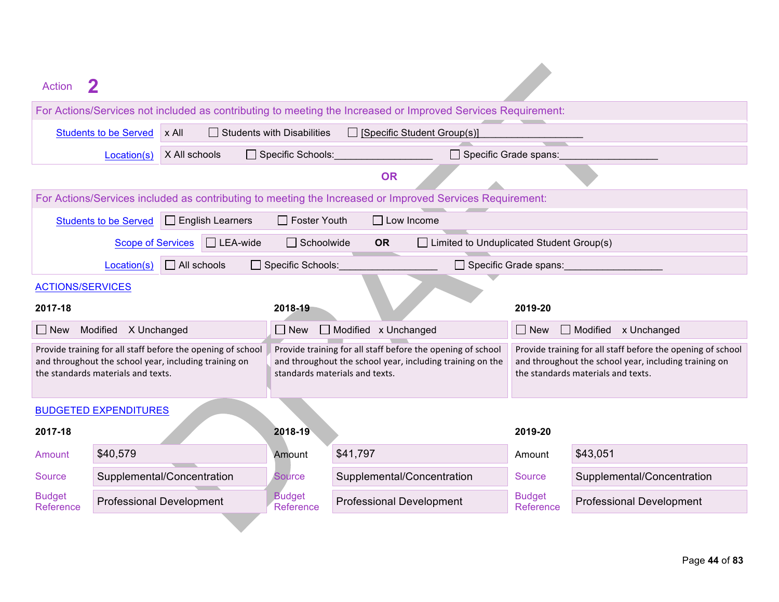| Action                                                                                                                                                     |                                   |                                                                                                                                                            |                            |                                                                                                                                                            |  |
|------------------------------------------------------------------------------------------------------------------------------------------------------------|-----------------------------------|------------------------------------------------------------------------------------------------------------------------------------------------------------|----------------------------|------------------------------------------------------------------------------------------------------------------------------------------------------------|--|
| For Actions/Services not included as contributing to meeting the Increased or Improved Services Requirement:                                               |                                   |                                                                                                                                                            |                            |                                                                                                                                                            |  |
| x All<br><b>Students to be Served</b>                                                                                                                      | $\Box$ Students with Disabilities | $\Box$ [Specific Student Group(s)]                                                                                                                         |                            |                                                                                                                                                            |  |
| X All schools<br>Location(s)                                                                                                                               | $\Box$ Specific Schools:          | Specific Grade spans:                                                                                                                                      |                            |                                                                                                                                                            |  |
|                                                                                                                                                            |                                   | <b>OR</b>                                                                                                                                                  |                            |                                                                                                                                                            |  |
| For Actions/Services included as contributing to meeting the Increased or Improved Services Requirement:                                                   |                                   |                                                                                                                                                            |                            |                                                                                                                                                            |  |
| <b>Students to be Served</b><br>$\Box$ English Learners                                                                                                    | $\Box$ Foster Youth               | $\Box$ Low Income                                                                                                                                          |                            |                                                                                                                                                            |  |
| $\Box$ LEA-wide<br><b>Scope of Services</b>                                                                                                                | $\Box$ Schoolwide                 | $\Box$ Limited to Unduplicated Student Group(s)<br><b>OR</b>                                                                                               |                            |                                                                                                                                                            |  |
| $\Box$ All schools<br>Location(s)                                                                                                                          | □ Specific Schools:               |                                                                                                                                                            | Specific Grade spans:      |                                                                                                                                                            |  |
| <b>ACTIONS/SERVICES</b>                                                                                                                                    |                                   |                                                                                                                                                            |                            |                                                                                                                                                            |  |
| 2017-18                                                                                                                                                    | 2018-19                           |                                                                                                                                                            | 2019-20                    |                                                                                                                                                            |  |
| Modified X Unchanged<br>$\Box$ New                                                                                                                         | $\Box$ New                        | Modified x Unchanged                                                                                                                                       |                            | $\Box$ Modified $\times$ Unchanged                                                                                                                         |  |
| Provide training for all staff before the opening of school<br>and throughout the school year, including training on<br>the standards materials and texts. |                                   | Provide training for all staff before the opening of school<br>and throughout the school year, including training on the<br>standards materials and texts. |                            | Provide training for all staff before the opening of school<br>and throughout the school year, including training on<br>the standards materials and texts. |  |
| <b>BUDGETED EXPENDITURES</b>                                                                                                                               |                                   |                                                                                                                                                            |                            |                                                                                                                                                            |  |
| 2017-18                                                                                                                                                    | 2018-19                           |                                                                                                                                                            | 2019-20                    |                                                                                                                                                            |  |
| \$40,579<br>Amount                                                                                                                                         | Amount                            | \$41,797                                                                                                                                                   | Amount                     | \$43,051                                                                                                                                                   |  |
| Supplemental/Concentration<br>Source                                                                                                                       | <b>Source</b>                     | Supplemental/Concentration                                                                                                                                 | Source                     | Supplemental/Concentration                                                                                                                                 |  |
| <b>Budget</b><br><b>Professional Development</b><br>Reference                                                                                              | <b>Budget</b><br>Reference        | <b>Professional Development</b>                                                                                                                            | <b>Budget</b><br>Reference | <b>Professional Development</b>                                                                                                                            |  |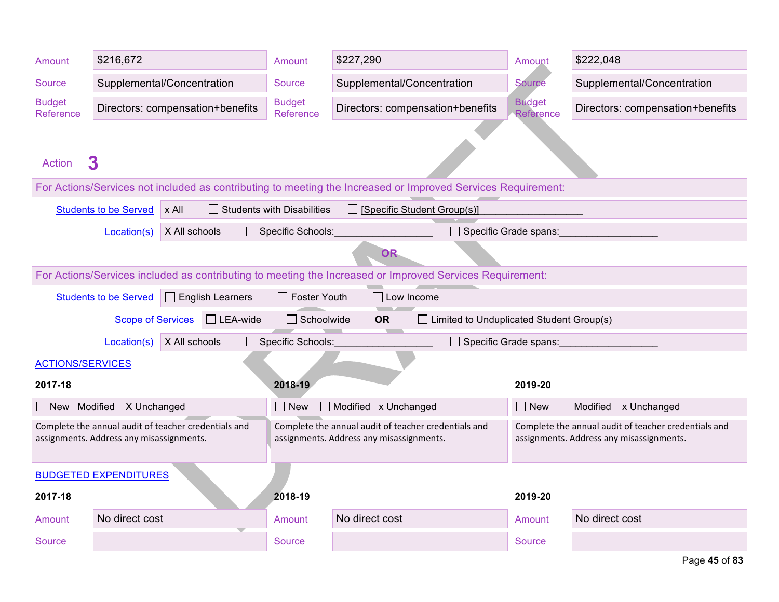| Amount                     | \$216,672                                                                                        |                                  | Amount                            | \$227,290                                                                                                    | Amount                     | \$222,048                                                                                        |  |  |  |
|----------------------------|--------------------------------------------------------------------------------------------------|----------------------------------|-----------------------------------|--------------------------------------------------------------------------------------------------------------|----------------------------|--------------------------------------------------------------------------------------------------|--|--|--|
| Source                     | Supplemental/Concentration                                                                       |                                  | Source                            | Supplemental/Concentration                                                                                   | <b>Source</b>              | Supplemental/Concentration                                                                       |  |  |  |
| <b>Budget</b><br>Reference |                                                                                                  | Directors: compensation+benefits | <b>Budget</b><br>Reference        | Directors: compensation+benefits                                                                             | <b>Budget</b><br>Reference | Directors: compensation+benefits                                                                 |  |  |  |
|                            |                                                                                                  |                                  |                                   |                                                                                                              |                            |                                                                                                  |  |  |  |
| <b>Action</b>              | 3                                                                                                |                                  |                                   |                                                                                                              |                            |                                                                                                  |  |  |  |
|                            |                                                                                                  |                                  |                                   | For Actions/Services not included as contributing to meeting the Increased or Improved Services Requirement: |                            |                                                                                                  |  |  |  |
|                            | <b>Students to be Served</b>                                                                     | x All                            | $\Box$ Students with Disabilities | □ [Specific Student Group(s)]                                                                                |                            |                                                                                                  |  |  |  |
|                            | Location(s)                                                                                      | X All schools                    | Specific Schools:                 | $\Box$ Specific Grade spans:                                                                                 |                            |                                                                                                  |  |  |  |
|                            |                                                                                                  |                                  |                                   | OR.                                                                                                          |                            |                                                                                                  |  |  |  |
|                            |                                                                                                  |                                  |                                   | For Actions/Services included as contributing to meeting the Increased or Improved Services Requirement:     |                            |                                                                                                  |  |  |  |
|                            | <b>Students to be Served</b>                                                                     | $\Box$ English Learners          | $\Box$ Foster Youth               | $\Box$ Low Income                                                                                            |                            |                                                                                                  |  |  |  |
|                            | <b>Scope of Services</b>                                                                         | $\Box$ LEA-wide                  | $\Box$ Schoolwide                 | <b>OR</b><br>$\Box$ Limited to Unduplicated Student Group(s)                                                 |                            |                                                                                                  |  |  |  |
|                            | Location(s)                                                                                      | X All schools                    | Specific Schools:                 | Specific Grade spans:                                                                                        |                            |                                                                                                  |  |  |  |
| <b>ACTIONS/SERVICES</b>    |                                                                                                  |                                  |                                   |                                                                                                              |                            |                                                                                                  |  |  |  |
| 2017-18                    |                                                                                                  |                                  | 2018-19                           |                                                                                                              | 2019-20                    |                                                                                                  |  |  |  |
| New Modified               | X Unchanged                                                                                      |                                  | $\Box$ New                        | Modified x Unchanged                                                                                         | $\Box$ New                 | Modified x Unchanged                                                                             |  |  |  |
|                            | Complete the annual audit of teacher credentials and<br>assignments. Address any misassignments. |                                  |                                   | Complete the annual audit of teacher credentials and<br>assignments. Address any misassignments.             |                            | Complete the annual audit of teacher credentials and<br>assignments. Address any misassignments. |  |  |  |
|                            |                                                                                                  |                                  |                                   |                                                                                                              |                            |                                                                                                  |  |  |  |
|                            | <b>BUDGETED EXPENDITURES</b>                                                                     |                                  |                                   |                                                                                                              |                            |                                                                                                  |  |  |  |
| 2017-18                    |                                                                                                  |                                  | 2018-19                           |                                                                                                              | 2019-20                    |                                                                                                  |  |  |  |
| Amount                     | No direct cost                                                                                   |                                  | Amount                            | No direct cost                                                                                               | Amount                     | No direct cost                                                                                   |  |  |  |
| <b>Source</b>              |                                                                                                  |                                  | <b>Source</b>                     |                                                                                                              | <b>Source</b>              |                                                                                                  |  |  |  |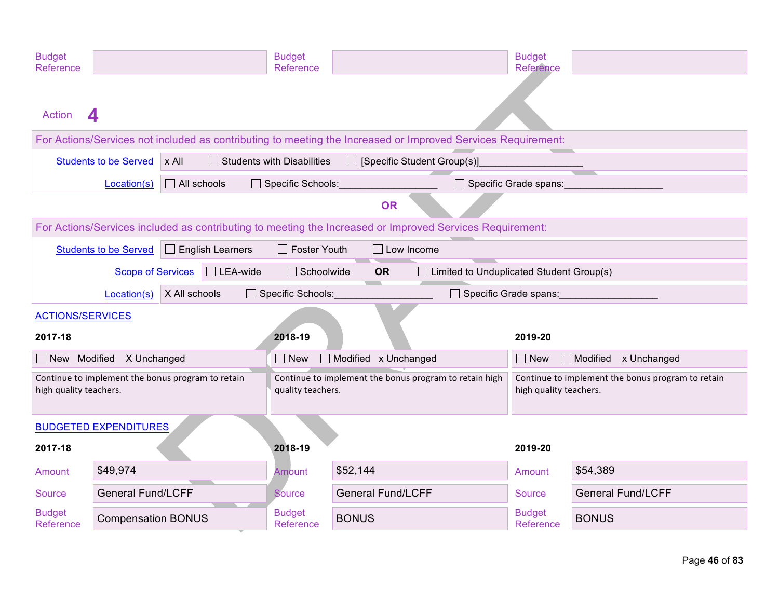| <b>Budget</b><br>Reference                                                  |                                 |                                                                                                              | <b>Budget</b><br>Reference                                                  |                               |                                                                             | <b>Budget</b><br>Reference |                                                            |
|-----------------------------------------------------------------------------|---------------------------------|--------------------------------------------------------------------------------------------------------------|-----------------------------------------------------------------------------|-------------------------------|-----------------------------------------------------------------------------|----------------------------|------------------------------------------------------------|
| <b>Action</b>                                                               | 4                               |                                                                                                              |                                                                             |                               |                                                                             |                            |                                                            |
|                                                                             |                                 | For Actions/Services not included as contributing to meeting the Increased or Improved Services Requirement: |                                                                             |                               |                                                                             |                            |                                                            |
|                                                                             | <b>Students to be Served</b>    | x All                                                                                                        | $\Box$ Students with Disabilities                                           | □ [Specific Student Group(s)] |                                                                             |                            |                                                            |
|                                                                             | Location(s)                     | $\Box$ All schools                                                                                           | $\Box$ Specific Schools:                                                    |                               |                                                                             |                            | Specific Grade spans: Specific Art & Specific Art & Spans: |
|                                                                             |                                 |                                                                                                              |                                                                             | <b>OR</b>                     |                                                                             |                            |                                                            |
|                                                                             |                                 | For Actions/Services included as contributing to meeting the Increased or Improved Services Requirement:     |                                                                             |                               |                                                                             |                            |                                                            |
|                                                                             | <b>Students to be Served</b>    | $\Box$ English Learners                                                                                      | $\Box$ Foster Youth                                                         | $\Box$ Low Income             |                                                                             |                            |                                                            |
|                                                                             | <b>Scope of Services</b>        | $\Box$ LEA-wide                                                                                              | $\Box$ Schoolwide                                                           | <b>OR</b>                     | $\Box$ Limited to Unduplicated Student Group(s)                             |                            |                                                            |
|                                                                             | Location(s)                     | X All schools                                                                                                | $\Box$ Specific Schools:                                                    |                               | Specific Grade spans:                                                       |                            |                                                            |
| <b>ACTIONS/SERVICES</b>                                                     |                                 |                                                                                                              |                                                                             |                               |                                                                             |                            |                                                            |
| 2017-18                                                                     |                                 |                                                                                                              | 2018-19                                                                     |                               |                                                                             | 2019-20                    |                                                            |
|                                                                             | $\Box$ New Modified X Unchanged |                                                                                                              | $\Box$ New                                                                  | Modified x Unchanged          |                                                                             | $\Box$ New                 | Modified x Unchanged                                       |
| Continue to implement the bonus program to retain<br>high quality teachers. |                                 |                                                                                                              | Continue to implement the bonus program to retain high<br>quality teachers. |                               | Continue to implement the bonus program to retain<br>high quality teachers. |                            |                                                            |
| <b>BUDGETED EXPENDITURES</b>                                                |                                 |                                                                                                              |                                                                             |                               |                                                                             |                            |                                                            |
| 2017-18                                                                     |                                 |                                                                                                              | 2018-19                                                                     |                               |                                                                             | 2019-20                    |                                                            |
| Amount                                                                      | \$49,974                        |                                                                                                              | Amount                                                                      | \$52,144                      |                                                                             | Amount                     | \$54,389                                                   |
| Source                                                                      | <b>General Fund/LCFF</b>        |                                                                                                              | <b>Source</b>                                                               | <b>General Fund/LCFF</b>      |                                                                             | <b>Source</b>              | <b>General Fund/LCFF</b>                                   |
| <b>Budget</b><br>Reference                                                  | <b>Compensation BONUS</b>       |                                                                                                              | <b>Budget</b><br>Reference                                                  | <b>BONUS</b>                  |                                                                             | <b>Budget</b><br>Reference | <b>BONUS</b>                                               |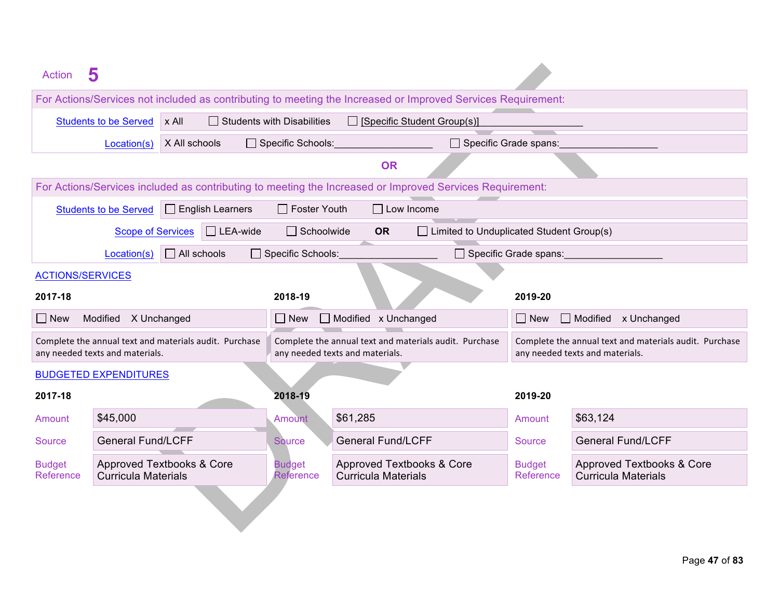| <b>Action</b>              | 5                                                                                         |                                                                                           |                                                                                                              |                                                                                           |                                                         |  |
|----------------------------|-------------------------------------------------------------------------------------------|-------------------------------------------------------------------------------------------|--------------------------------------------------------------------------------------------------------------|-------------------------------------------------------------------------------------------|---------------------------------------------------------|--|
|                            |                                                                                           |                                                                                           | For Actions/Services not included as contributing to meeting the Increased or Improved Services Requirement: |                                                                                           |                                                         |  |
|                            | $x$ All<br><b>Students to be Served</b>                                                   | $\Box$ Students with Disabilities                                                         | $\Box$ [Specific Student Group(s)]                                                                           |                                                                                           |                                                         |  |
|                            | X All schools<br>Location(s)                                                              | Specific Schools:                                                                         | □ Specific Grade spans:                                                                                      |                                                                                           |                                                         |  |
|                            |                                                                                           |                                                                                           | <b>OR</b>                                                                                                    |                                                                                           |                                                         |  |
|                            |                                                                                           |                                                                                           | For Actions/Services included as contributing to meeting the Increased or Improved Services Requirement:     |                                                                                           |                                                         |  |
|                            | $\Box$ English Learners<br><b>Students to be Served</b>                                   | $\Box$ Foster Youth                                                                       | $\Box$ Low Income                                                                                            |                                                                                           |                                                         |  |
|                            | $\Box$ LEA-wide<br><b>Scope of Services</b>                                               | $\Box$ Schoolwide                                                                         | <b>OR</b><br>$\Box$ Limited to Unduplicated Student Group(s)                                                 |                                                                                           |                                                         |  |
|                            | $\Box$ All schools<br>Location(s)                                                         | Specific Schools:                                                                         |                                                                                                              | Specific Grade spans:                                                                     |                                                         |  |
| <b>ACTIONS/SERVICES</b>    |                                                                                           |                                                                                           |                                                                                                              |                                                                                           |                                                         |  |
| 2017-18                    |                                                                                           | 2018-19                                                                                   |                                                                                                              | 2019-20                                                                                   |                                                         |  |
| $\Box$ New                 | Modified X Unchanged                                                                      |                                                                                           | □ New □ Modified x Unchanged                                                                                 |                                                                                           | $\Box$ Modified $\times$ Unchanged<br>$\Box$ New        |  |
|                            | Complete the annual text and materials audit. Purchase<br>any needed texts and materials. | Complete the annual text and materials audit. Purchase<br>any needed texts and materials. |                                                                                                              | Complete the annual text and materials audit. Purchase<br>any needed texts and materials. |                                                         |  |
|                            | <b>BUDGETED EXPENDITURES</b>                                                              |                                                                                           |                                                                                                              |                                                                                           |                                                         |  |
| 2017-18                    |                                                                                           | 2018-19                                                                                   |                                                                                                              | 2019-20                                                                                   |                                                         |  |
| Amount                     | \$45,000                                                                                  | <b>Amount</b>                                                                             | \$61,285                                                                                                     | Amount                                                                                    | \$63,124                                                |  |
| Source                     | <b>General Fund/LCFF</b>                                                                  | <b>Source</b>                                                                             | <b>General Fund/LCFF</b>                                                                                     | <b>Source</b>                                                                             | <b>General Fund/LCFF</b>                                |  |
| <b>Budget</b><br>Reference | Approved Textbooks & Core<br><b>Curricula Materials</b>                                   | <b>Budget</b><br><b>Reference</b>                                                         | Approved Textbooks & Core<br><b>Curricula Materials</b>                                                      | <b>Budget</b><br>Reference                                                                | Approved Textbooks & Core<br><b>Curricula Materials</b> |  |
|                            |                                                                                           |                                                                                           |                                                                                                              |                                                                                           |                                                         |  |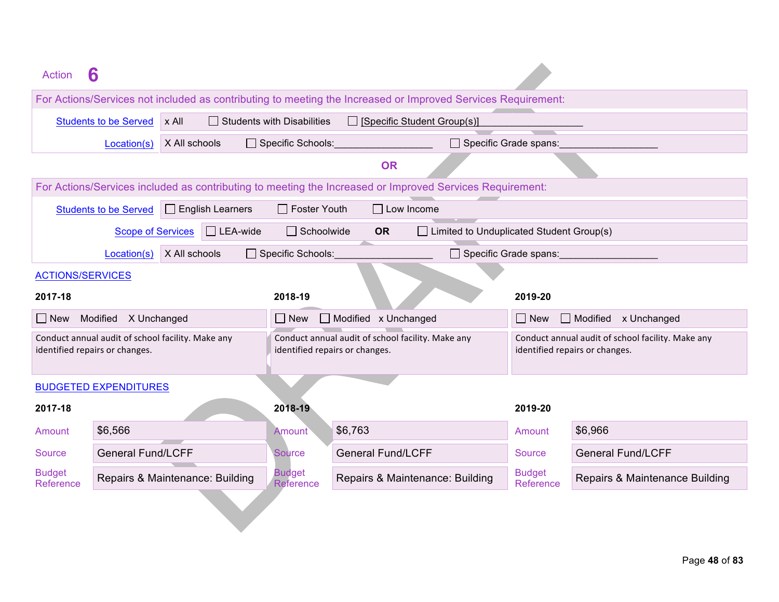| Action                     | n                                                                                   |                                                                                     |                                                                                                              |                                                                                     |                                    |
|----------------------------|-------------------------------------------------------------------------------------|-------------------------------------------------------------------------------------|--------------------------------------------------------------------------------------------------------------|-------------------------------------------------------------------------------------|------------------------------------|
|                            |                                                                                     |                                                                                     | For Actions/Services not included as contributing to meeting the Increased or Improved Services Requirement: |                                                                                     |                                    |
|                            | $x$ All<br><b>Students to be Served</b>                                             | $\Box$ Students with Disabilities                                                   | $\Box$ [Specific Student Group(s)]                                                                           |                                                                                     |                                    |
|                            | X All schools<br>Location(s)                                                        | Specific Schools:                                                                   | $\Box$ Specific Grade spans:                                                                                 |                                                                                     |                                    |
|                            |                                                                                     |                                                                                     | <b>OR</b>                                                                                                    |                                                                                     |                                    |
|                            |                                                                                     |                                                                                     | For Actions/Services included as contributing to meeting the Increased or Improved Services Requirement:     |                                                                                     |                                    |
|                            | $\Box$ English Learners<br><b>Students to be Served</b>                             | $\Box$ Foster Youth                                                                 | $\Box$ Low Income                                                                                            |                                                                                     |                                    |
|                            | $\Box$ LEA-wide<br><b>Scope of Services</b>                                         | $\Box$ Schoolwide                                                                   | $\Box$ Limited to Unduplicated Student Group(s)<br><b>OR</b>                                                 |                                                                                     |                                    |
|                            | X All schools<br>Location(s)                                                        | □ Specific Schools:                                                                 | Specific Grade spans:                                                                                        |                                                                                     |                                    |
| <b>ACTIONS/SERVICES</b>    |                                                                                     |                                                                                     |                                                                                                              |                                                                                     |                                    |
| 2017-18                    |                                                                                     | 2018-19                                                                             |                                                                                                              | 2019-20                                                                             |                                    |
| $\Box$ New                 | Modified X Unchanged                                                                | $\Box$ New                                                                          | Modified x Unchanged                                                                                         | $\Box$ New                                                                          | $\Box$ Modified $\times$ Unchanged |
|                            | Conduct annual audit of school facility. Make any<br>identified repairs or changes. | Conduct annual audit of school facility. Make any<br>identified repairs or changes. |                                                                                                              | Conduct annual audit of school facility. Make any<br>identified repairs or changes. |                                    |
|                            | <b>BUDGETED EXPENDITURES</b>                                                        |                                                                                     |                                                                                                              |                                                                                     |                                    |
| 2017-18                    |                                                                                     | 2018-19                                                                             |                                                                                                              | 2019-20                                                                             |                                    |
| Amount                     | \$6,566                                                                             | Amount                                                                              | \$6,763                                                                                                      | Amount                                                                              | \$6,966                            |
| Source                     | <b>General Fund/LCFF</b>                                                            | <b>Source</b>                                                                       | <b>General Fund/LCFF</b>                                                                                     | <b>Source</b>                                                                       | <b>General Fund/LCFF</b>           |
| <b>Budget</b><br>Reference | Repairs & Maintenance: Building                                                     | <b>Budget</b><br>Reference                                                          | Repairs & Maintenance: Building                                                                              | <b>Budget</b><br>Reference                                                          | Repairs & Maintenance Building     |
|                            |                                                                                     |                                                                                     |                                                                                                              |                                                                                     |                                    |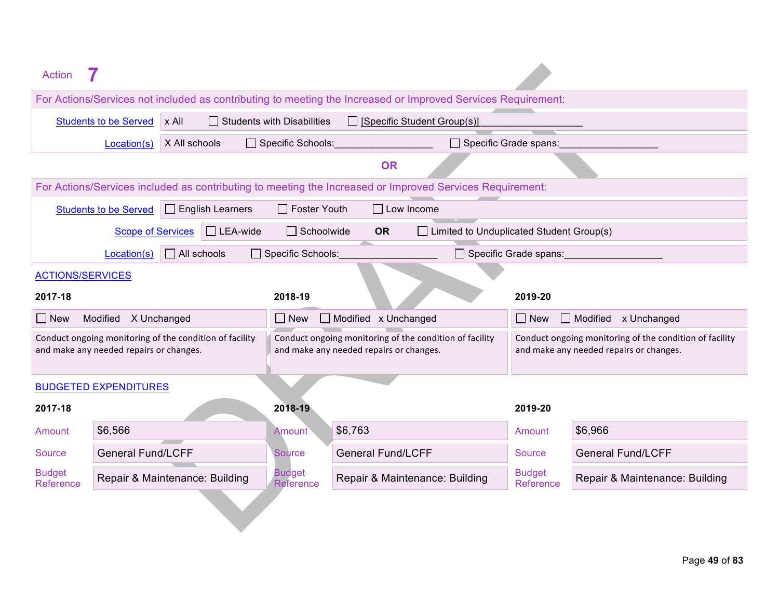| Action                     |                                                                                                    |                                                                                                    |                                                                                                              |                                                                                                    |                                    |  |  |
|----------------------------|----------------------------------------------------------------------------------------------------|----------------------------------------------------------------------------------------------------|--------------------------------------------------------------------------------------------------------------|----------------------------------------------------------------------------------------------------|------------------------------------|--|--|
|                            |                                                                                                    |                                                                                                    | For Actions/Services not included as contributing to meeting the Increased or Improved Services Requirement: |                                                                                                    |                                    |  |  |
|                            | x All<br><b>Students to be Served</b>                                                              | $\Box$ Students with Disabilities                                                                  | $\Box$ [Specific Student Group(s)]                                                                           |                                                                                                    |                                    |  |  |
|                            | X All schools<br>Location(s)                                                                       | □ Specific Schools:                                                                                | $\Box$ Specific Grade spans:                                                                                 |                                                                                                    |                                    |  |  |
|                            |                                                                                                    |                                                                                                    | <b>OR</b>                                                                                                    |                                                                                                    |                                    |  |  |
|                            |                                                                                                    |                                                                                                    | For Actions/Services included as contributing to meeting the Increased or Improved Services Requirement:     |                                                                                                    |                                    |  |  |
|                            | $\Box$ English Learners<br><b>Students to be Served</b>                                            | $\Box$ Foster Youth                                                                                | $\Box$ Low Income                                                                                            |                                                                                                    |                                    |  |  |
|                            | $\Box$ LEA-wide<br><b>Scope of Services</b>                                                        | $\Box$ Schoolwide                                                                                  | <b>OR</b><br>$\Box$ Limited to Unduplicated Student Group(s)                                                 |                                                                                                    |                                    |  |  |
|                            | $\Box$ All schools<br>Location(s)                                                                  | □ Specific Schools:                                                                                |                                                                                                              | $\Box$ Specific Grade spans:                                                                       |                                    |  |  |
| <b>ACTIONS/SERVICES</b>    |                                                                                                    |                                                                                                    |                                                                                                              |                                                                                                    |                                    |  |  |
| 2017-18                    |                                                                                                    | 2018-19                                                                                            |                                                                                                              | 2019-20                                                                                            |                                    |  |  |
| $\Box$ New                 | Modified X Unchanged                                                                               | $\Box$ New                                                                                         | Modified x Unchanged                                                                                         | $\Box$ New                                                                                         | $\Box$ Modified $\times$ Unchanged |  |  |
|                            | Conduct ongoing monitoring of the condition of facility<br>and make any needed repairs or changes. | Conduct ongoing monitoring of the condition of facility<br>and make any needed repairs or changes. |                                                                                                              | Conduct ongoing monitoring of the condition of facility<br>and make any needed repairs or changes. |                                    |  |  |
|                            | <b>BUDGETED EXPENDITURES</b>                                                                       |                                                                                                    |                                                                                                              |                                                                                                    |                                    |  |  |
| 2017-18                    |                                                                                                    | 2018-19                                                                                            |                                                                                                              | 2019-20                                                                                            |                                    |  |  |
| Amount                     | \$6,566                                                                                            | <b>Amount</b>                                                                                      | \$6,763                                                                                                      | Amount                                                                                             | \$6,966                            |  |  |
| <b>Source</b>              | <b>General Fund/LCFF</b>                                                                           | <b>Source</b>                                                                                      | <b>General Fund/LCFF</b>                                                                                     | <b>Source</b>                                                                                      | <b>General Fund/LCFF</b>           |  |  |
| <b>Budget</b><br>Reference | Repair & Maintenance: Building                                                                     | <b>Budget</b><br>Reference                                                                         | Repair & Maintenance: Building                                                                               | <b>Budget</b><br>Reference                                                                         | Repair & Maintenance: Building     |  |  |
|                            |                                                                                                    |                                                                                                    |                                                                                                              |                                                                                                    |                                    |  |  |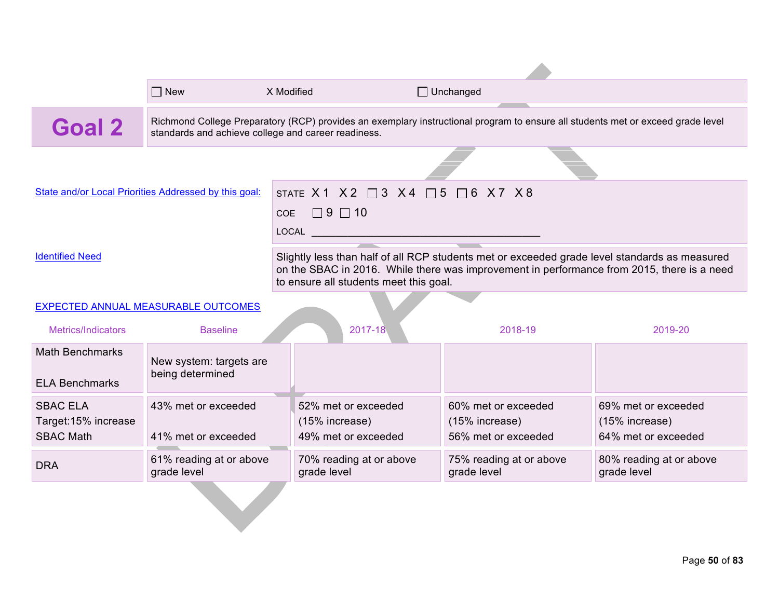|                                                 | $\sqsupset$ New                                       | X Modified |                                                                                                                                                                                                                                       | $\Box$ Unchanged                       |                                        |  |  |  |
|-------------------------------------------------|-------------------------------------------------------|------------|---------------------------------------------------------------------------------------------------------------------------------------------------------------------------------------------------------------------------------------|----------------------------------------|----------------------------------------|--|--|--|
| Goal 2                                          | standards and achieve college and career readiness.   |            | Richmond College Preparatory (RCP) provides an exemplary instructional program to ensure all students met or exceed grade level                                                                                                       |                                        |                                        |  |  |  |
|                                                 |                                                       |            |                                                                                                                                                                                                                                       |                                        |                                        |  |  |  |
|                                                 | State and/or Local Priorities Addressed by this goal: |            | STATE X1 X2 $\Box$ 3 X4 $\Box$ 5                                                                                                                                                                                                      | $\Box$ 6 X 7 X 8                       |                                        |  |  |  |
|                                                 |                                                       | <b>COE</b> | $\Box$ 9 $\Box$ 10                                                                                                                                                                                                                    |                                        |                                        |  |  |  |
|                                                 |                                                       |            |                                                                                                                                                                                                                                       |                                        |                                        |  |  |  |
| <b>Identified Need</b>                          |                                                       |            | Slightly less than half of all RCP students met or exceeded grade level standards as measured<br>on the SBAC in 2016. While there was improvement in performance from 2015, there is a need<br>to ensure all students meet this goal. |                                        |                                        |  |  |  |
|                                                 | EXPECTED ANNUAL MEASURABLE OUTCOMES                   |            |                                                                                                                                                                                                                                       |                                        |                                        |  |  |  |
| Metrics/Indicators                              | <b>Baseline</b>                                       |            | 2017-18                                                                                                                                                                                                                               | 2018-19                                | 2019-20                                |  |  |  |
| <b>Math Benchmarks</b><br><b>ELA Benchmarks</b> | New system: targets are<br>being determined           |            |                                                                                                                                                                                                                                       |                                        |                                        |  |  |  |
| <b>SBAC ELA</b>                                 | 43% met or exceeded                                   |            | 52% met or exceeded                                                                                                                                                                                                                   | 60% met or exceeded                    | 69% met or exceeded                    |  |  |  |
| Target:15% increase<br><b>SBAC Math</b>         | 41% met or exceeded                                   |            | (15% increase)<br>49% met or exceeded                                                                                                                                                                                                 | (15% increase)<br>56% met or exceeded  | (15% increase)<br>64% met or exceeded  |  |  |  |
| <b>DRA</b>                                      | 61% reading at or above<br>grade level                |            | 70% reading at or above<br>grade level                                                                                                                                                                                                | 75% reading at or above<br>grade level | 80% reading at or above<br>grade level |  |  |  |
|                                                 |                                                       |            |                                                                                                                                                                                                                                       |                                        |                                        |  |  |  |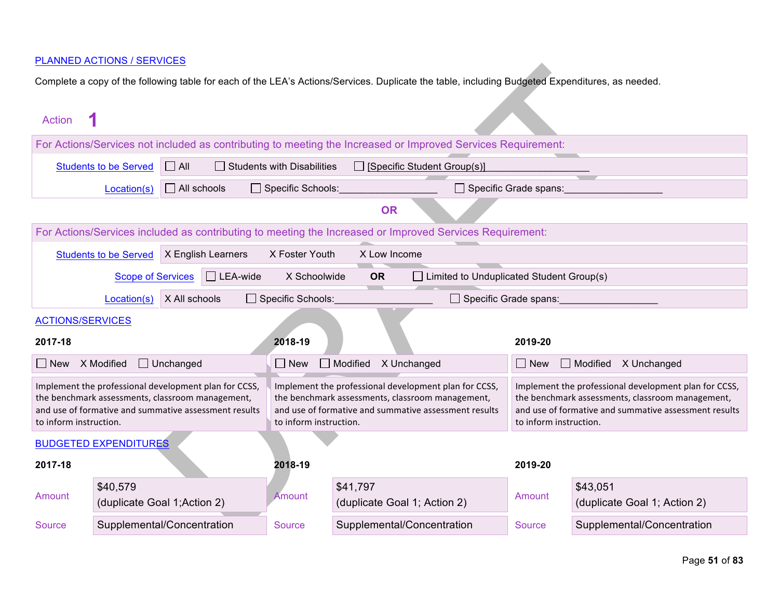| Action                                                                                                                                                                                       |                                                                                          |                    |                                                                                                                                                                                                                        |                                   |                 |                                                                                                                                                                    |                              |                                          |
|----------------------------------------------------------------------------------------------------------------------------------------------------------------------------------------------|------------------------------------------------------------------------------------------|--------------------|------------------------------------------------------------------------------------------------------------------------------------------------------------------------------------------------------------------------|-----------------------------------|-----------------|--------------------------------------------------------------------------------------------------------------------------------------------------------------------|------------------------------|------------------------------------------|
|                                                                                                                                                                                              |                                                                                          |                    |                                                                                                                                                                                                                        |                                   |                 | For Actions/Services not included as contributing to meeting the Increased or Improved Services Requirement:                                                       |                              |                                          |
|                                                                                                                                                                                              | <b>Students to be Served</b>                                                             | $\Box$ All         |                                                                                                                                                                                                                        | <b>Students with Disabilities</b> |                 | $\Box$ [Specific Student Group(s)]                                                                                                                                 |                              |                                          |
|                                                                                                                                                                                              | Location(s)                                                                              | $\Box$ All schools |                                                                                                                                                                                                                        | $\Box$ Specific Schools:          |                 |                                                                                                                                                                    | $\Box$ Specific Grade spans: |                                          |
|                                                                                                                                                                                              |                                                                                          |                    |                                                                                                                                                                                                                        |                                   | <b>OR</b>       |                                                                                                                                                                    |                              |                                          |
|                                                                                                                                                                                              |                                                                                          |                    |                                                                                                                                                                                                                        |                                   |                 | For Actions/Services included as contributing to meeting the Increased or Improved Services Requirement:                                                           |                              |                                          |
|                                                                                                                                                                                              | <b>Students to be Served</b>                                                             | X English Learners |                                                                                                                                                                                                                        | X Foster Youth                    | X Low Income    |                                                                                                                                                                    |                              |                                          |
|                                                                                                                                                                                              | <b>Scope of Services</b>                                                                 |                    | $\Box$ LEA-wide                                                                                                                                                                                                        | X Schoolwide                      | <b>OR</b>       | $\Box$ Limited to Unduplicated Student Group(s)                                                                                                                    |                              |                                          |
|                                                                                                                                                                                              | $\Box$ Specific Schools:<br>X All schools<br>$\Box$ Specific Grade spans:<br>Location(s) |                    |                                                                                                                                                                                                                        |                                   |                 |                                                                                                                                                                    |                              |                                          |
|                                                                                                                                                                                              | <b>ACTIONS/SERVICES</b>                                                                  |                    |                                                                                                                                                                                                                        |                                   |                 |                                                                                                                                                                    |                              |                                          |
| 2017-18                                                                                                                                                                                      |                                                                                          |                    |                                                                                                                                                                                                                        | 2018-19                           |                 |                                                                                                                                                                    | 2019-20                      |                                          |
| l I New                                                                                                                                                                                      | X Modified                                                                               | $\Box$ Unchanged   |                                                                                                                                                                                                                        | $\Box$ New                        | $\Box$ Modified | X Unchanged                                                                                                                                                        | l I New                      | $\Box$ Modified<br>X Unchanged           |
| Implement the professional development plan for CCSS,<br>the benchmark assessments, classroom management,<br>and use of formative and summative assessment results<br>to inform instruction. |                                                                                          |                    | Implement the professional development plan for CCSS,<br>the benchmark assessments, classroom management,<br>and use of formative and summative assessment results<br>to inform instruction.<br>to inform instruction. |                                   |                 | Implement the professional development plan for CCSS,<br>the benchmark assessments, classroom management,<br>and use of formative and summative assessment results |                              |                                          |
|                                                                                                                                                                                              | <b>BUDGETED EXPENDITURES</b>                                                             |                    |                                                                                                                                                                                                                        |                                   |                 |                                                                                                                                                                    |                              |                                          |
| 2017-18                                                                                                                                                                                      |                                                                                          |                    |                                                                                                                                                                                                                        | 2018-19                           |                 |                                                                                                                                                                    | 2019-20                      |                                          |
| Amount                                                                                                                                                                                       | \$40,579<br>(duplicate Goal 1; Action 2)                                                 |                    |                                                                                                                                                                                                                        | Amount                            | \$41,797        | (duplicate Goal 1; Action 2)                                                                                                                                       | Amount                       | \$43,051<br>(duplicate Goal 1; Action 2) |
| Source                                                                                                                                                                                       | Supplemental/Concentration                                                               |                    |                                                                                                                                                                                                                        | <b>Source</b>                     |                 | Supplemental/Concentration                                                                                                                                         | <b>Source</b>                | Supplemental/Concentration               |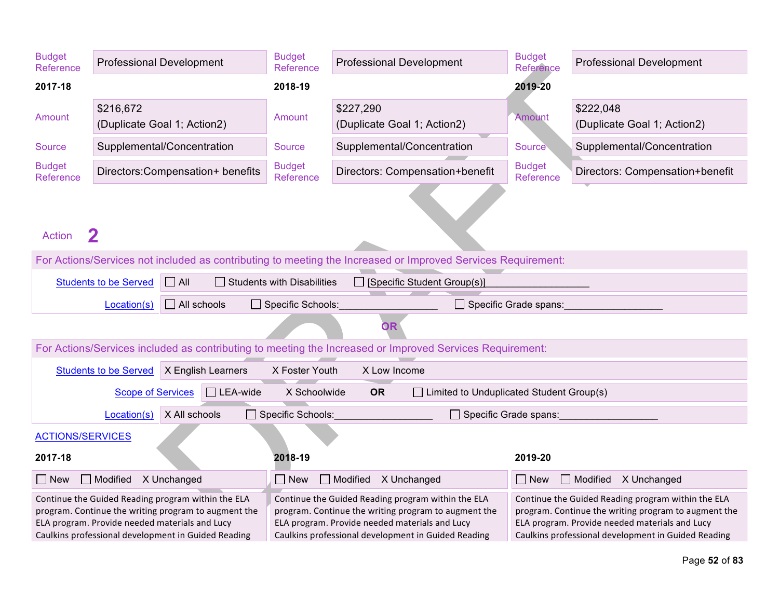| <b>Budget</b><br>Reference                                                                                                                                                                                          |                                                                                                                  | <b>Professional Development</b>  | <b>Budget</b><br>Reference                                                                                                                                                                                                                                                                                                                                                                                                                 | <b>Professional Development</b>                                                                          | <b>Budget</b><br><b>Reference</b> | <b>Professional Development</b>          |  |
|---------------------------------------------------------------------------------------------------------------------------------------------------------------------------------------------------------------------|------------------------------------------------------------------------------------------------------------------|----------------------------------|--------------------------------------------------------------------------------------------------------------------------------------------------------------------------------------------------------------------------------------------------------------------------------------------------------------------------------------------------------------------------------------------------------------------------------------------|----------------------------------------------------------------------------------------------------------|-----------------------------------|------------------------------------------|--|
| 2017-18                                                                                                                                                                                                             |                                                                                                                  |                                  | 2018-19                                                                                                                                                                                                                                                                                                                                                                                                                                    |                                                                                                          | 2019-20                           |                                          |  |
| Amount                                                                                                                                                                                                              | \$216,672                                                                                                        | (Duplicate Goal 1; Action2)      | Amount                                                                                                                                                                                                                                                                                                                                                                                                                                     | \$227,290<br>(Duplicate Goal 1; Action2)                                                                 | Amount                            | \$222,048<br>(Duplicate Goal 1; Action2) |  |
| Source                                                                                                                                                                                                              |                                                                                                                  | Supplemental/Concentration       | Source                                                                                                                                                                                                                                                                                                                                                                                                                                     | Supplemental/Concentration                                                                               | Source                            | Supplemental/Concentration               |  |
| <b>Budget</b><br>Reference                                                                                                                                                                                          |                                                                                                                  | Directors:Compensation+ benefits | <b>Budget</b><br>Reference                                                                                                                                                                                                                                                                                                                                                                                                                 | Directors: Compensation+benefit                                                                          | <b>Budget</b><br>Reference        | Directors: Compensation+benefit          |  |
| <b>Action</b>                                                                                                                                                                                                       | $\mathbf 2$                                                                                                      |                                  |                                                                                                                                                                                                                                                                                                                                                                                                                                            |                                                                                                          |                                   |                                          |  |
| For Actions/Services not included as contributing to meeting the Increased or Improved Services Requirement:                                                                                                        |                                                                                                                  |                                  |                                                                                                                                                                                                                                                                                                                                                                                                                                            |                                                                                                          |                                   |                                          |  |
|                                                                                                                                                                                                                     | <b>Students to be Served</b><br>$\Box$ All<br>$\Box$ Students with Disabilities<br>□ [Specific Student Group(s)] |                                  |                                                                                                                                                                                                                                                                                                                                                                                                                                            |                                                                                                          |                                   |                                          |  |
|                                                                                                                                                                                                                     | Location(s)                                                                                                      | $\Box$ All schools               | □ Specific Schools:                                                                                                                                                                                                                                                                                                                                                                                                                        |                                                                                                          | $\Box$ Specific Grade spans:      |                                          |  |
|                                                                                                                                                                                                                     |                                                                                                                  |                                  |                                                                                                                                                                                                                                                                                                                                                                                                                                            | <b>OR</b>                                                                                                |                                   |                                          |  |
|                                                                                                                                                                                                                     |                                                                                                                  |                                  |                                                                                                                                                                                                                                                                                                                                                                                                                                            | For Actions/Services included as contributing to meeting the Increased or Improved Services Requirement: |                                   |                                          |  |
|                                                                                                                                                                                                                     | <b>Students to be Served</b>                                                                                     | X English Learners               | X Foster Youth                                                                                                                                                                                                                                                                                                                                                                                                                             | X Low Income                                                                                             |                                   |                                          |  |
|                                                                                                                                                                                                                     | <b>Scope of Services</b>                                                                                         | $\Box$ LEA-wide                  | X Schoolwide                                                                                                                                                                                                                                                                                                                                                                                                                               | <b>OR</b><br>$\Box$ Limited to Unduplicated Student Group(s)                                             |                                   |                                          |  |
|                                                                                                                                                                                                                     | Location(s)                                                                                                      | X All schools                    | Specific Schools:                                                                                                                                                                                                                                                                                                                                                                                                                          | $\Box$ Specific Grade spans:                                                                             |                                   |                                          |  |
| <b>ACTIONS/SERVICES</b>                                                                                                                                                                                             |                                                                                                                  |                                  |                                                                                                                                                                                                                                                                                                                                                                                                                                            |                                                                                                          |                                   |                                          |  |
| 2017-18                                                                                                                                                                                                             |                                                                                                                  |                                  | 2018-19                                                                                                                                                                                                                                                                                                                                                                                                                                    |                                                                                                          | 2019-20                           |                                          |  |
| $\Box$ New                                                                                                                                                                                                          | $\Box$ Modified $\angle$ X Unchanged                                                                             |                                  | $\Box$ New                                                                                                                                                                                                                                                                                                                                                                                                                                 | Modified X Unchanged                                                                                     | $\Box$ New                        | Modified X Unchanged                     |  |
| Continue the Guided Reading program within the ELA<br>program. Continue the writing program to augment the<br>ELA program. Provide needed materials and Lucy<br>Caulkins professional development in Guided Reading |                                                                                                                  |                                  | Continue the Guided Reading program within the ELA<br>Continue the Guided Reading program within the ELA<br>program. Continue the writing program to augment the<br>program. Continue the writing program to augment the<br>ELA program. Provide needed materials and Lucy<br>ELA program. Provide needed materials and Lucy<br>Caulkins professional development in Guided Reading<br>Caulkins professional development in Guided Reading |                                                                                                          |                                   |                                          |  |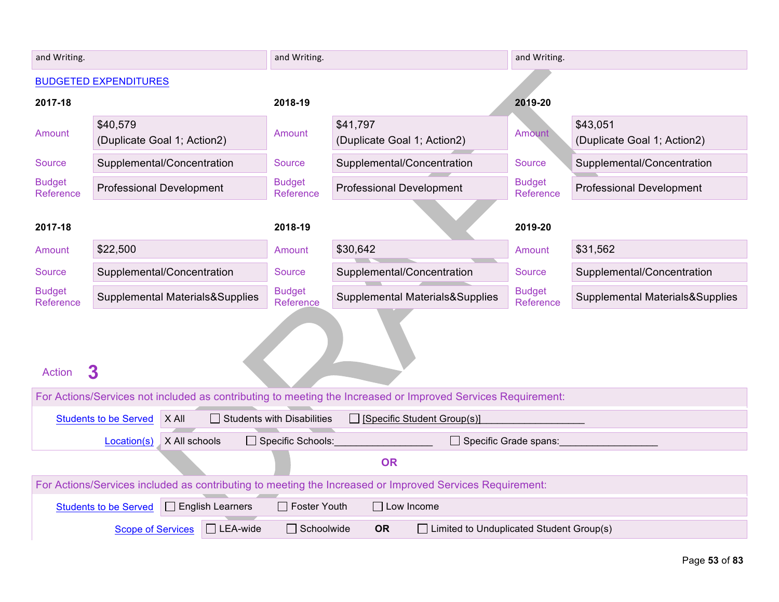| and Writing.               |                                                                       | and Writing.                                             |                                                                                                              | and Writing.               |                                         |
|----------------------------|-----------------------------------------------------------------------|----------------------------------------------------------|--------------------------------------------------------------------------------------------------------------|----------------------------|-----------------------------------------|
|                            | <b>BUDGETED EXPENDITURES</b>                                          |                                                          |                                                                                                              |                            |                                         |
| 2017-18                    |                                                                       | 2018-19                                                  |                                                                                                              | 2019-20                    |                                         |
| Amount                     | \$40,579<br>(Duplicate Goal 1; Action2)                               | Amount                                                   | \$41,797<br>(Duplicate Goal 1; Action2)                                                                      | <b>Amount</b>              | \$43,051<br>(Duplicate Goal 1; Action2) |
| Source                     | Supplemental/Concentration                                            | <b>Source</b>                                            | Supplemental/Concentration                                                                                   | Source                     | Supplemental/Concentration              |
| <b>Budget</b><br>Reference | <b>Professional Development</b>                                       | <b>Budget</b><br>Reference                               | <b>Professional Development</b>                                                                              | <b>Budget</b><br>Reference | <b>Professional Development</b>         |
| 2017-18                    |                                                                       | 2018-19                                                  |                                                                                                              | 2019-20                    |                                         |
| Amount                     | \$22,500                                                              | Amount                                                   | \$30,642                                                                                                     | Amount                     | \$31,562                                |
| <b>Source</b>              | Supplemental/Concentration                                            | Source                                                   | Supplemental/Concentration                                                                                   | <b>Source</b>              | Supplemental/Concentration              |
| <b>Budget</b><br>Reference | Supplemental Materials&Supplies                                       | <b>Budget</b><br>Reference                               | Supplemental Materials&Supplies                                                                              | <b>Budget</b><br>Reference | Supplemental Materials&Supplies         |
| <b>Action</b>              | $\overline{\mathbf{3}}$                                               |                                                          | For Actions/Services not included as contributing to meeting the Increased or Improved Services Requirement: |                            |                                         |
|                            |                                                                       |                                                          |                                                                                                              |                            |                                         |
|                            | X All<br><b>Students to be Served</b><br>X All schools<br>Location(s) | $\Box$ Students with Disabilities<br>□ Specific Schools: | $\Box$ [Specific Student Group(s)]<br>Specific Grade spans:                                                  |                            |                                         |
|                            | <b>OR</b>                                                             |                                                          |                                                                                                              |                            |                                         |
|                            |                                                                       |                                                          | For Actions/Services included as contributing to meeting the Increased or Improved Services Requirement:     |                            |                                         |
|                            | $\Box$ English Learners<br><b>Students to be Served</b>               | $\Box$ Foster Youth                                      | $\Box$ Low Income                                                                                            |                            |                                         |
|                            | $\Box$ LEA-wide<br><b>Scope of Services</b>                           | $\Box$ Schoolwide                                        | <b>OR</b><br>$\Box$ Limited to Unduplicated Student Group(s)                                                 |                            |                                         |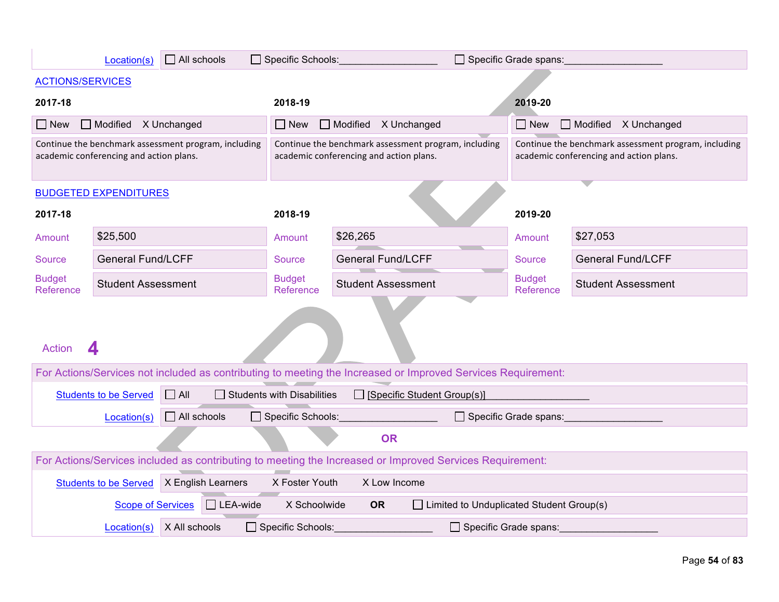|                                                                                                          | Location(s)                             | $\Box$ All schools                                   |                                                                                                 | Specific Schools:<br>Specific Grade spans:                                                                   |                              |                                                                                                 |
|----------------------------------------------------------------------------------------------------------|-----------------------------------------|------------------------------------------------------|-------------------------------------------------------------------------------------------------|--------------------------------------------------------------------------------------------------------------|------------------------------|-------------------------------------------------------------------------------------------------|
| <b>ACTIONS/SERVICES</b>                                                                                  |                                         |                                                      |                                                                                                 |                                                                                                              |                              |                                                                                                 |
| 2017-18                                                                                                  |                                         |                                                      | 2018-19                                                                                         |                                                                                                              | 2019-20                      |                                                                                                 |
| $\Box$ New                                                                                               | Modified X Unchanged                    |                                                      | $\Box$ New                                                                                      | $\Box$ Modified $\angle$ X Unchanged                                                                         | $\Box$ New                   | Modified X Unchanged                                                                            |
|                                                                                                          | academic conferencing and action plans. | Continue the benchmark assessment program, including | Continue the benchmark assessment program, including<br>academic conferencing and action plans. |                                                                                                              |                              | Continue the benchmark assessment program, including<br>academic conferencing and action plans. |
|                                                                                                          | <b>BUDGETED EXPENDITURES</b>            |                                                      |                                                                                                 |                                                                                                              |                              |                                                                                                 |
| 2017-18                                                                                                  |                                         |                                                      | 2018-19                                                                                         |                                                                                                              | 2019-20                      |                                                                                                 |
| Amount                                                                                                   | \$25,500                                |                                                      | Amount                                                                                          | \$26,265                                                                                                     | Amount                       | \$27,053                                                                                        |
| Source                                                                                                   | <b>General Fund/LCFF</b>                |                                                      | Source                                                                                          | <b>General Fund/LCFF</b>                                                                                     | Source                       | <b>General Fund/LCFF</b>                                                                        |
| <b>Budget</b><br>Reference                                                                               | <b>Student Assessment</b>               |                                                      | <b>Budget</b><br>Reference                                                                      | <b>Student Assessment</b>                                                                                    | <b>Budget</b><br>Reference   | <b>Student Assessment</b>                                                                       |
| <b>Action</b>                                                                                            | 4                                       |                                                      |                                                                                                 |                                                                                                              |                              |                                                                                                 |
|                                                                                                          |                                         |                                                      |                                                                                                 | For Actions/Services not included as contributing to meeting the Increased or Improved Services Requirement: |                              |                                                                                                 |
|                                                                                                          | <b>Students to be Served</b>            | $\Box$ All                                           | $\Box$ Students with Disabilities                                                               | $\Box$ [Specific Student Group(s)]                                                                           |                              |                                                                                                 |
|                                                                                                          | Location(s)                             | $\Box$ All schools                                   | Specific Schools:                                                                               |                                                                                                              | $\Box$ Specific Grade spans: |                                                                                                 |
|                                                                                                          | <b>OR</b>                               |                                                      |                                                                                                 |                                                                                                              |                              |                                                                                                 |
| For Actions/Services included as contributing to meeting the Increased or Improved Services Requirement: |                                         |                                                      |                                                                                                 |                                                                                                              |                              |                                                                                                 |
|                                                                                                          | <b>Students to be Served</b>            | X English Learners                                   | X Foster Youth                                                                                  | X Low Income                                                                                                 |                              |                                                                                                 |
|                                                                                                          | <b>Scope of Services</b>                | $\Box$ LEA-wide                                      | X Schoolwide                                                                                    | <b>OR</b><br>$\Box$ Limited to Unduplicated Student Group(s)                                                 |                              |                                                                                                 |
|                                                                                                          | Location(s)                             | X All schools                                        | Specific Schools:                                                                               | $\Box$ Specific Grade spans:                                                                                 |                              |                                                                                                 |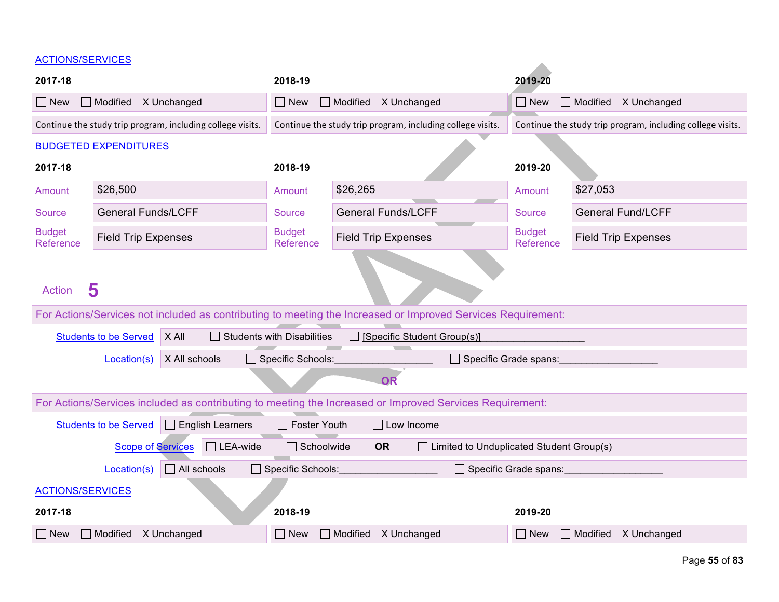#### ACTIONS/SERVICES

| AUTIUNJOENVIUEJ                   |                                                                                                                   |               |                         |                                                   |                                    |                                                                                                          |                            |                                                            |  |
|-----------------------------------|-------------------------------------------------------------------------------------------------------------------|---------------|-------------------------|---------------------------------------------------|------------------------------------|----------------------------------------------------------------------------------------------------------|----------------------------|------------------------------------------------------------|--|
| 2017-18                           |                                                                                                                   |               |                         | 2018-19                                           |                                    |                                                                                                          | 2019-20                    |                                                            |  |
| $\Box$ New                        | $\Box$ Modified $\angle$ X Unchanged                                                                              |               |                         | $\Box$ Modified<br>$\Box$ New<br>X Unchanged      |                                    |                                                                                                          | $\Box$ New                 | Modified X Unchanged                                       |  |
|                                   | Continue the study trip program, including college visits.                                                        |               |                         |                                                   |                                    | Continue the study trip program, including college visits.                                               |                            | Continue the study trip program, including college visits. |  |
|                                   | <b>BUDGETED EXPENDITURES</b>                                                                                      |               |                         |                                                   |                                    |                                                                                                          |                            |                                                            |  |
| 2017-18                           |                                                                                                                   |               |                         | 2018-19                                           |                                    |                                                                                                          | 2019-20                    |                                                            |  |
| Amount                            | \$26,500                                                                                                          |               |                         | Amount                                            | \$26,265                           |                                                                                                          | Amount                     | \$27,053                                                   |  |
| Source                            | <b>General Funds/LCFF</b>                                                                                         |               |                         | <b>Source</b>                                     | <b>General Funds/LCFF</b>          |                                                                                                          | <b>Source</b>              | <b>General Fund/LCFF</b>                                   |  |
| <b>Budget</b><br>Reference        | <b>Field Trip Expenses</b>                                                                                        |               |                         | <b>Budget</b><br>Reference                        | <b>Field Trip Expenses</b>         |                                                                                                          | <b>Budget</b><br>Reference | <b>Field Trip Expenses</b>                                 |  |
| <b>Action</b>                     | 5<br>For Actions/Services not included as contributing to meeting the Increased or Improved Services Requirement: |               |                         |                                                   |                                    |                                                                                                          |                            |                                                            |  |
|                                   | <b>Students to be Served</b>                                                                                      | X All         |                         | $\Box$ Students with Disabilities                 | $\Box$ [Specific Student Group(s)] |                                                                                                          |                            |                                                            |  |
|                                   | Location(s)                                                                                                       | X All schools |                         | Specific Schools:<br>$\Box$ Specific Grade spans: |                                    |                                                                                                          |                            |                                                            |  |
|                                   |                                                                                                                   |               |                         |                                                   | <b>OR</b>                          |                                                                                                          |                            |                                                            |  |
|                                   |                                                                                                                   |               |                         |                                                   |                                    | For Actions/Services included as contributing to meeting the Increased or Improved Services Requirement: |                            |                                                            |  |
|                                   | <b>Students to be Served</b>                                                                                      |               | $\Box$ English Learners | <b>Foster Youth</b>                               | $\Box$ Low Income                  |                                                                                                          |                            |                                                            |  |
|                                   | <b>Scope of Services</b>                                                                                          |               | $\Box$ LEA-wide         | $\Box$ Schoolwide                                 | <b>OR</b>                          | $\Box$ Limited to Unduplicated Student Group(s)                                                          |                            |                                                            |  |
| $\Box$ All schools<br>Location(s) |                                                                                                                   |               | □ Specific Schools:     |                                                   |                                    | Specific Grade spans:                                                                                    |                            |                                                            |  |
| <b>ACTIONS/SERVICES</b>           |                                                                                                                   |               |                         |                                                   |                                    |                                                                                                          |                            |                                                            |  |
| 2017-18                           |                                                                                                                   |               |                         | 2018-19                                           |                                    |                                                                                                          | 2019-20                    |                                                            |  |
| $\Box$ New                        | $\Box$ Modified $\Lambda$ Unchanged                                                                               |               |                         | $\Box$ Modified $\Lambda$ Unchanged<br>$\Box$ New |                                    |                                                                                                          | $\Box$ New                 | $\Box$ Modified<br>X Unchanged                             |  |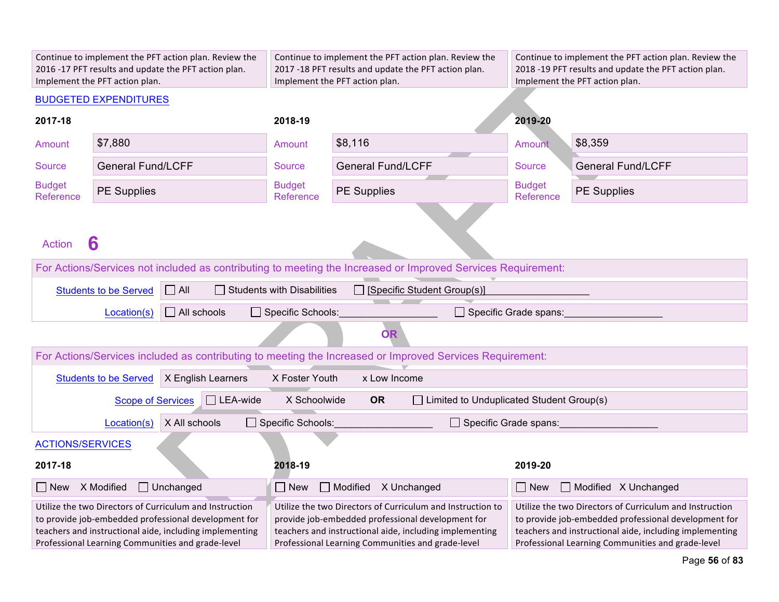| Continue to implement the PFT action plan. Review the<br>2016 -17 PFT results and update the PFT action plan.<br>Implement the PFT action plan. |                                                                                                                                                                                                                                 |                            | Continue to implement the PFT action plan. Review the<br>2017 -18 PFT results and update the PFT action plan.<br>Implement the PFT action plan.                                                                                                                                                                                                                                                                                                                    |                            | Continue to implement the PFT action plan. Review the<br>2018 -19 PFT results and update the PFT action plan.<br>Implement the PFT action plan. |  |
|-------------------------------------------------------------------------------------------------------------------------------------------------|---------------------------------------------------------------------------------------------------------------------------------------------------------------------------------------------------------------------------------|----------------------------|--------------------------------------------------------------------------------------------------------------------------------------------------------------------------------------------------------------------------------------------------------------------------------------------------------------------------------------------------------------------------------------------------------------------------------------------------------------------|----------------------------|-------------------------------------------------------------------------------------------------------------------------------------------------|--|
|                                                                                                                                                 | <b>BUDGETED EXPENDITURES</b>                                                                                                                                                                                                    |                            |                                                                                                                                                                                                                                                                                                                                                                                                                                                                    |                            |                                                                                                                                                 |  |
| 2017-18                                                                                                                                         |                                                                                                                                                                                                                                 | 2018-19                    |                                                                                                                                                                                                                                                                                                                                                                                                                                                                    | 2019-20                    |                                                                                                                                                 |  |
| Amount                                                                                                                                          | \$7,880                                                                                                                                                                                                                         | Amount                     | \$8,116                                                                                                                                                                                                                                                                                                                                                                                                                                                            | Amount                     | \$8,359                                                                                                                                         |  |
| <b>Source</b>                                                                                                                                   | <b>General Fund/LCFF</b>                                                                                                                                                                                                        | <b>Source</b>              | <b>General Fund/LCFF</b>                                                                                                                                                                                                                                                                                                                                                                                                                                           | <b>Source</b>              | <b>General Fund/LCFF</b>                                                                                                                        |  |
| <b>Budget</b><br>Reference                                                                                                                      | <b>PE Supplies</b>                                                                                                                                                                                                              | <b>Budget</b><br>Reference | <b>PE Supplies</b>                                                                                                                                                                                                                                                                                                                                                                                                                                                 | <b>Budget</b><br>Reference | <b>PE Supplies</b>                                                                                                                              |  |
| <b>Action</b>                                                                                                                                   | 6                                                                                                                                                                                                                               |                            |                                                                                                                                                                                                                                                                                                                                                                                                                                                                    |                            |                                                                                                                                                 |  |
| For Actions/Services not included as contributing to meeting the Increased or Improved Services Requirement:                                    |                                                                                                                                                                                                                                 |                            |                                                                                                                                                                                                                                                                                                                                                                                                                                                                    |                            |                                                                                                                                                 |  |
| $\Box$ All<br>[Specific Student Group(s)]<br>$\Box$ Students with Disabilities<br><b>Students to be Served</b>                                  |                                                                                                                                                                                                                                 |                            |                                                                                                                                                                                                                                                                                                                                                                                                                                                                    |                            |                                                                                                                                                 |  |
| $\Box$ All schools<br>Location(s)<br>Specific Schools:<br>$\Box$ Specific Grade spans:                                                          |                                                                                                                                                                                                                                 |                            |                                                                                                                                                                                                                                                                                                                                                                                                                                                                    |                            |                                                                                                                                                 |  |
|                                                                                                                                                 |                                                                                                                                                                                                                                 |                            | <b>OR</b>                                                                                                                                                                                                                                                                                                                                                                                                                                                          |                            |                                                                                                                                                 |  |
|                                                                                                                                                 |                                                                                                                                                                                                                                 |                            | For Actions/Services included as contributing to meeting the Increased or Improved Services Requirement:                                                                                                                                                                                                                                                                                                                                                           |                            |                                                                                                                                                 |  |
|                                                                                                                                                 | X English Learners<br><b>Students to be Served</b>                                                                                                                                                                              | X Foster Youth             | x Low Income                                                                                                                                                                                                                                                                                                                                                                                                                                                       |                            |                                                                                                                                                 |  |
|                                                                                                                                                 | $\Box$ LEA-wide<br><b>Scope of Services</b>                                                                                                                                                                                     | X Schoolwide               | <b>OR</b><br>$\Box$ Limited to Unduplicated Student Group(s)                                                                                                                                                                                                                                                                                                                                                                                                       |                            |                                                                                                                                                 |  |
|                                                                                                                                                 | X All schools<br>Location(s)                                                                                                                                                                                                    | Specific Schools:          | $\Box$ Specific Grade spans:                                                                                                                                                                                                                                                                                                                                                                                                                                       |                            |                                                                                                                                                 |  |
| <b>ACTIONS/SERVICES</b>                                                                                                                         |                                                                                                                                                                                                                                 |                            |                                                                                                                                                                                                                                                                                                                                                                                                                                                                    |                            |                                                                                                                                                 |  |
| 2017-18                                                                                                                                         |                                                                                                                                                                                                                                 | 2018-19                    |                                                                                                                                                                                                                                                                                                                                                                                                                                                                    | 2019-20                    |                                                                                                                                                 |  |
| ∣ New                                                                                                                                           | X Modified<br>$\Box$ Unchanged                                                                                                                                                                                                  | $\Box$ New                 | Modified X Unchanged                                                                                                                                                                                                                                                                                                                                                                                                                                               | $\Box$ New                 | Modified X Unchanged                                                                                                                            |  |
|                                                                                                                                                 | Utilize the two Directors of Curriculum and Instruction<br>to provide job-embedded professional development for<br>teachers and instructional aide, including implementing<br>Professional Learning Communities and grade-level |                            | Utilize the two Directors of Curriculum and Instruction to<br>Utilize the two Directors of Curriculum and Instruction<br>provide job-embedded professional development for<br>to provide job-embedded professional development for<br>teachers and instructional aide, including implementing<br>teachers and instructional aide, including implementing<br>Professional Learning Communities and grade-level<br>Professional Learning Communities and grade-level |                            |                                                                                                                                                 |  |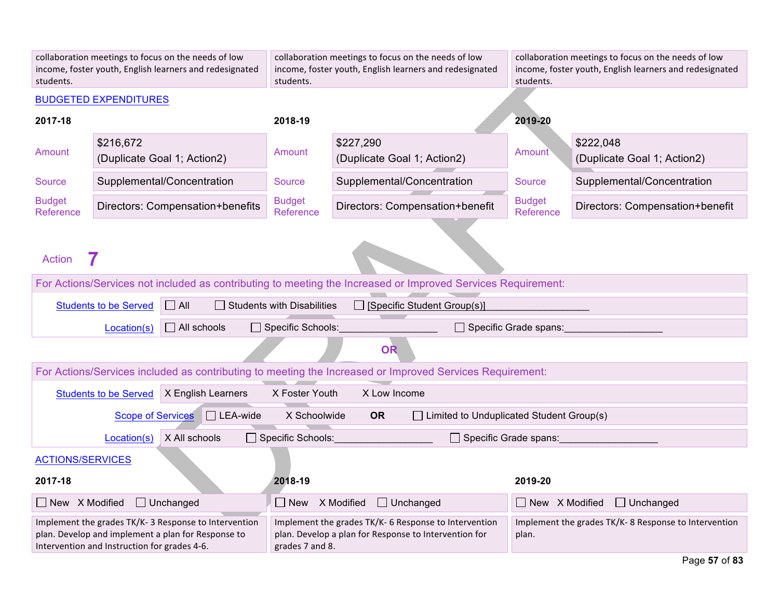| students.                                                                                                                                                  |                              | collaboration meetings to focus on the needs of low<br>income, foster youth, English learners and redesignated | collaboration meetings to focus on the needs of low<br>income, foster youth, English learners and redesignated<br>students. |                                                                                                                                                                                                    | collaboration meetings to focus on the needs of low<br>income, foster youth, English learners and redesignated<br>students. |                                          |
|------------------------------------------------------------------------------------------------------------------------------------------------------------|------------------------------|----------------------------------------------------------------------------------------------------------------|-----------------------------------------------------------------------------------------------------------------------------|----------------------------------------------------------------------------------------------------------------------------------------------------------------------------------------------------|-----------------------------------------------------------------------------------------------------------------------------|------------------------------------------|
|                                                                                                                                                            | <b>BUDGETED EXPENDITURES</b> |                                                                                                                |                                                                                                                             |                                                                                                                                                                                                    |                                                                                                                             |                                          |
| 2017-18                                                                                                                                                    |                              |                                                                                                                | 2018-19                                                                                                                     |                                                                                                                                                                                                    | 2019-20                                                                                                                     |                                          |
| Amount                                                                                                                                                     | \$216,672                    | (Duplicate Goal 1; Action2)                                                                                    | Amount                                                                                                                      | \$227,290<br>(Duplicate Goal 1; Action2)                                                                                                                                                           | Amount                                                                                                                      | \$222,048<br>(Duplicate Goal 1; Action2) |
| <b>Source</b>                                                                                                                                              |                              | Supplemental/Concentration                                                                                     | Source                                                                                                                      | Supplemental/Concentration                                                                                                                                                                         | <b>Source</b>                                                                                                               | Supplemental/Concentration               |
| <b>Budget</b><br>Reference                                                                                                                                 |                              | Directors: Compensation+benefits                                                                               | <b>Budget</b><br><b>Reference</b>                                                                                           | Directors: Compensation+benefit                                                                                                                                                                    | <b>Budget</b><br>Reference                                                                                                  | Directors: Compensation+benefit          |
| <b>Action</b>                                                                                                                                              |                              |                                                                                                                |                                                                                                                             |                                                                                                                                                                                                    |                                                                                                                             |                                          |
| For Actions/Services not included as contributing to meeting the Increased or Improved Services Requirement:                                               |                              |                                                                                                                |                                                                                                                             |                                                                                                                                                                                                    |                                                                                                                             |                                          |
|                                                                                                                                                            | <b>Students to be Served</b> | $\Box$ All                                                                                                     | $\Box$ Students with Disabilities                                                                                           | [Specific Student Group(s)]                                                                                                                                                                        |                                                                                                                             |                                          |
| $\Box$ All schools<br>Location(s)                                                                                                                          |                              |                                                                                                                | □ Specific Schools:                                                                                                         | $\Box$ Specific Grade spans:                                                                                                                                                                       |                                                                                                                             |                                          |
|                                                                                                                                                            |                              |                                                                                                                |                                                                                                                             | <b>OR</b>                                                                                                                                                                                          |                                                                                                                             |                                          |
|                                                                                                                                                            |                              |                                                                                                                |                                                                                                                             | For Actions/Services included as contributing to meeting the Increased or Improved Services Requirement:                                                                                           |                                                                                                                             |                                          |
|                                                                                                                                                            | <b>Students to be Served</b> | X English Learners                                                                                             | X Foster Youth                                                                                                              | X Low Income                                                                                                                                                                                       |                                                                                                                             |                                          |
|                                                                                                                                                            | <b>Scope of Services</b>     | $\Box$ LEA-wide                                                                                                | X Schoolwide                                                                                                                | <b>OR</b><br>$\Box$ Limited to Unduplicated Student Group(s)                                                                                                                                       |                                                                                                                             |                                          |
|                                                                                                                                                            | Location(s)                  | X All schools                                                                                                  | □ Specific Schools:                                                                                                         | $\Box$ Specific Grade spans:                                                                                                                                                                       |                                                                                                                             |                                          |
| <b>ACTIONS/SERVICES</b>                                                                                                                                    |                              |                                                                                                                |                                                                                                                             |                                                                                                                                                                                                    |                                                                                                                             |                                          |
| 2017-18                                                                                                                                                    |                              |                                                                                                                | 2018-19                                                                                                                     |                                                                                                                                                                                                    | 2019-20                                                                                                                     |                                          |
| $\Box$ New $\ X$ Modified                                                                                                                                  |                              | $\Box$ Unchanged                                                                                               | $\Box$ New $\Lambda$ Modified                                                                                               | $\Box$ Unchanged                                                                                                                                                                                   | $\Box$ New $\ X$ Modified                                                                                                   | $\Box$ Unchanged                         |
| Implement the grades TK/K-3 Response to Intervention<br>plan. Develop and implement a plan for Response to<br>Intervention and Instruction for grades 4-6. |                              |                                                                                                                |                                                                                                                             | Implement the grades TK/K- 6 Response to Intervention<br>Implement the grades TK/K-8 Response to Intervention<br>plan. Develop a plan for Response to Intervention for<br>plan.<br>grades 7 and 8. |                                                                                                                             |                                          |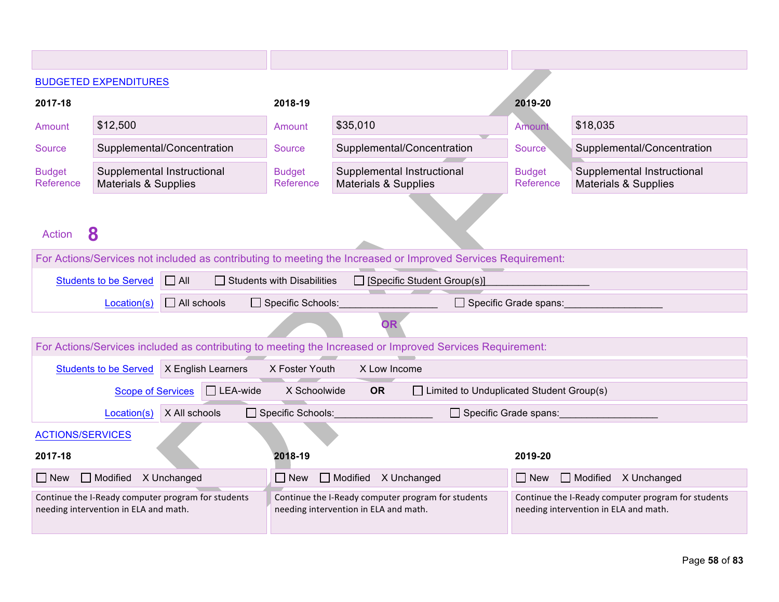|                                            | <b>BUDGETED EXPENDITURES</b>                                                                |                    |                                                                                             |                                                                                                              |                            |                                                                                             |  |
|--------------------------------------------|---------------------------------------------------------------------------------------------|--------------------|---------------------------------------------------------------------------------------------|--------------------------------------------------------------------------------------------------------------|----------------------------|---------------------------------------------------------------------------------------------|--|
| 2017-18                                    |                                                                                             |                    | 2018-19                                                                                     |                                                                                                              | 2019-20                    |                                                                                             |  |
| Amount                                     | \$12,500                                                                                    |                    | Amount                                                                                      | \$35,010                                                                                                     | Amount                     | \$18,035                                                                                    |  |
| Source                                     | Supplemental/Concentration                                                                  |                    | Source                                                                                      | Supplemental/Concentration                                                                                   | Source                     | Supplemental/Concentration                                                                  |  |
| <b>Budget</b><br>Reference                 | Supplemental Instructional<br><b>Materials &amp; Supplies</b>                               |                    | <b>Budget</b><br>Reference                                                                  | Supplemental Instructional<br><b>Materials &amp; Supplies</b>                                                | <b>Budget</b><br>Reference | Supplemental Instructional<br><b>Materials &amp; Supplies</b>                               |  |
| <b>Action</b>                              | 8                                                                                           |                    |                                                                                             |                                                                                                              |                            |                                                                                             |  |
|                                            |                                                                                             |                    |                                                                                             | For Actions/Services not included as contributing to meeting the Increased or Improved Services Requirement: |                            |                                                                                             |  |
| $\Box$ All<br><b>Students to be Served</b> |                                                                                             |                    | <b>Students with Disabilities</b>                                                           | □ [Specific Student Group(s)]                                                                                |                            |                                                                                             |  |
|                                            | Specific Schools:<br>$\Box$ All schools<br>$\Box$ Specific Grade spans:<br>Location(s)      |                    |                                                                                             |                                                                                                              |                            |                                                                                             |  |
|                                            |                                                                                             |                    |                                                                                             | OR                                                                                                           |                            |                                                                                             |  |
|                                            |                                                                                             |                    |                                                                                             | For Actions/Services included as contributing to meeting the Increased or Improved Services Requirement:     |                            |                                                                                             |  |
|                                            | <b>Students to be Served</b>                                                                | X English Learners | X Foster Youth                                                                              | X Low Income                                                                                                 |                            |                                                                                             |  |
|                                            | <b>Scope of Services</b>                                                                    | $\Box$ LEA-wide    | X Schoolwide                                                                                | <b>OR</b><br>$\Box$ Limited to Unduplicated Student Group(s)                                                 |                            |                                                                                             |  |
|                                            | Location(s)                                                                                 | X All schools      | $\Box$ Specific Schools:                                                                    | Specific Grade spans:                                                                                        |                            |                                                                                             |  |
| <b>ACTIONS/SERVICES</b>                    |                                                                                             |                    |                                                                                             |                                                                                                              |                            |                                                                                             |  |
| 2017-18                                    |                                                                                             |                    | 2018-19                                                                                     |                                                                                                              | 2019-20                    |                                                                                             |  |
| New                                        | $\Box$ Modified<br>X Unchanged                                                              |                    | $\Box$ New                                                                                  | $\Box$ Modified<br>X Unchanged                                                                               | $\vert$ New                | $\Box$ Modified<br>X Unchanged                                                              |  |
|                                            | Continue the I-Ready computer program for students<br>needing intervention in ELA and math. |                    | Continue the I-Ready computer program for students<br>needing intervention in ELA and math. |                                                                                                              |                            | Continue the I-Ready computer program for students<br>needing intervention in ELA and math. |  |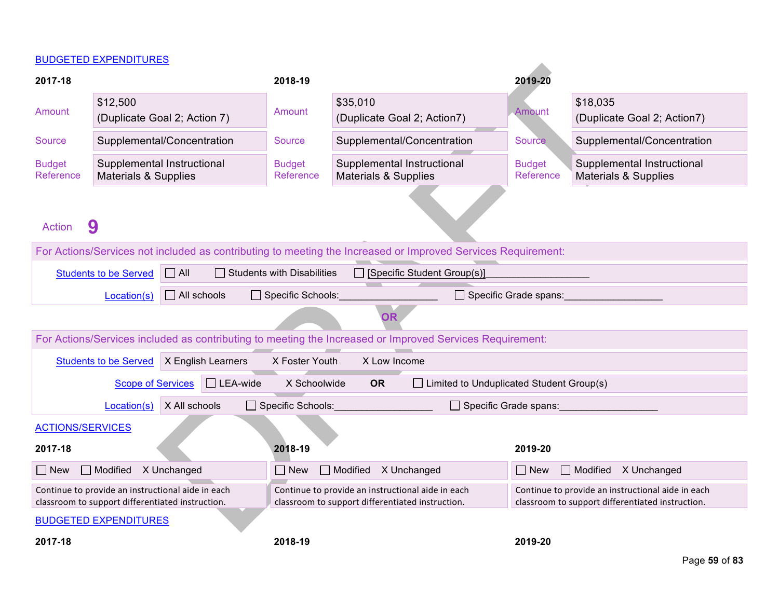#### BUDGETED EXPENDITURES

|                                                                                               | <b>DUDGETED EXPENDITURES</b>                                                                          |                                                                                                       |                                                                                                              |                                    |                                                                                                       |
|-----------------------------------------------------------------------------------------------|-------------------------------------------------------------------------------------------------------|-------------------------------------------------------------------------------------------------------|--------------------------------------------------------------------------------------------------------------|------------------------------------|-------------------------------------------------------------------------------------------------------|
| 2017-18                                                                                       |                                                                                                       | 2018-19                                                                                               |                                                                                                              | 2019-20                            |                                                                                                       |
| Amount                                                                                        | \$12,500<br>(Duplicate Goal 2; Action 7)                                                              | Amount                                                                                                | \$35,010<br>(Duplicate Goal 2; Action7)                                                                      | Amount                             | \$18,035<br>(Duplicate Goal 2; Action7)                                                               |
| <b>Source</b>                                                                                 | Supplemental/Concentration                                                                            | Source                                                                                                | Supplemental/Concentration                                                                                   | <b>Source</b>                      | Supplemental/Concentration                                                                            |
| <b>Budget</b><br>Reference                                                                    | Supplemental Instructional<br><b>Materials &amp; Supplies</b>                                         | <b>Budget</b><br>Reference                                                                            | Supplemental Instructional<br><b>Materials &amp; Supplies</b>                                                | <b>Budget</b><br>Reference         | Supplemental Instructional<br><b>Materials &amp; Supplies</b>                                         |
| <b>Action</b>                                                                                 | 9                                                                                                     |                                                                                                       |                                                                                                              |                                    |                                                                                                       |
|                                                                                               |                                                                                                       |                                                                                                       | For Actions/Services not included as contributing to meeting the Increased or Improved Services Requirement: |                                    |                                                                                                       |
|                                                                                               | $\Box$ All<br><b>Students to be Served</b>                                                            | $\Box$ Students with Disabilities                                                                     | $\Box$ [Specific Student Group(s)]                                                                           |                                    |                                                                                                       |
| $\Box$ All schools<br>$\Box$ Specific Schools:<br>$\Box$ Specific Grade spans:<br>Location(s) |                                                                                                       |                                                                                                       |                                                                                                              |                                    |                                                                                                       |
|                                                                                               |                                                                                                       |                                                                                                       | <b>OR</b>                                                                                                    |                                    |                                                                                                       |
|                                                                                               |                                                                                                       |                                                                                                       | For Actions/Services included as contributing to meeting the Increased or Improved Services Requirement:     |                                    |                                                                                                       |
|                                                                                               | X English Learners<br><b>Students to be Served</b>                                                    | X Foster Youth                                                                                        | X Low Income                                                                                                 |                                    |                                                                                                       |
|                                                                                               | $\Box$ LEA-wide<br><b>Scope of Services</b>                                                           | X Schoolwide                                                                                          | <b>OR</b><br>$\Box$ Limited to Unduplicated Student Group(s)                                                 |                                    |                                                                                                       |
|                                                                                               | X All schools<br>Location(s)                                                                          | Specific Schools:                                                                                     |                                                                                                              | $\Box$ Specific Grade spans:       |                                                                                                       |
| <b>ACTIONS/SERVICES</b>                                                                       |                                                                                                       |                                                                                                       |                                                                                                              |                                    |                                                                                                       |
| 2018-19<br>2017-18<br>2019-20                                                                 |                                                                                                       |                                                                                                       |                                                                                                              |                                    |                                                                                                       |
| $\Box$ New                                                                                    | $\Box$ Modified $\Lambda$ Unchanged                                                                   | $\Box$ New                                                                                            | Modified X Unchanged                                                                                         | Modified X Unchanged<br>$\Box$ New |                                                                                                       |
|                                                                                               | Continue to provide an instructional aide in each<br>classroom to support differentiated instruction. | Continue to provide an instructional aide in each<br>classroom to support differentiated instruction. |                                                                                                              |                                    | Continue to provide an instructional aide in each<br>classroom to support differentiated instruction. |
|                                                                                               | <b>BUDGETED EXPENDITURES</b>                                                                          |                                                                                                       |                                                                                                              |                                    |                                                                                                       |
| 2017-18                                                                                       |                                                                                                       | 2018-19                                                                                               |                                                                                                              | 2019-20                            |                                                                                                       |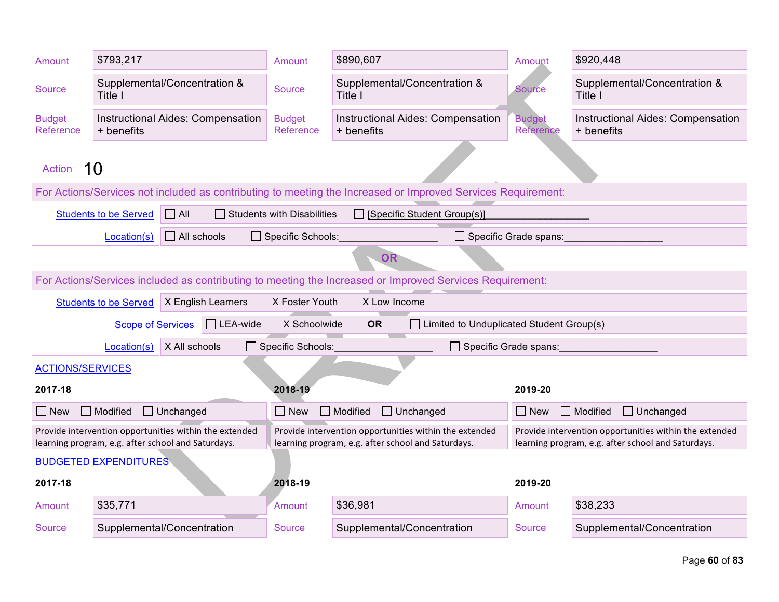| Amount                     | \$793,217                                                                                                |                                                                                                              | Amount                            | \$890,607                                                                                                    | Amount                       | \$920,448                                                                                                    |
|----------------------------|----------------------------------------------------------------------------------------------------------|--------------------------------------------------------------------------------------------------------------|-----------------------------------|--------------------------------------------------------------------------------------------------------------|------------------------------|--------------------------------------------------------------------------------------------------------------|
| <b>Source</b>              | Title I                                                                                                  | Supplemental/Concentration &                                                                                 | Source                            | Supplemental/Concentration &<br>Title I                                                                      | <b>Source</b>                | Supplemental/Concentration &<br>Title I                                                                      |
| <b>Budget</b><br>Reference | + benefits                                                                                               | Instructional Aides: Compensation                                                                            | <b>Budget</b><br>Reference        | <b>Instructional Aides: Compensation</b><br>+ benefits                                                       | <b>Budget</b><br>Reference   | <b>Instructional Aides: Compensation</b><br>+ benefits                                                       |
| <b>Action</b>              | 10                                                                                                       |                                                                                                              |                                   |                                                                                                              |                              |                                                                                                              |
|                            |                                                                                                          |                                                                                                              |                                   | For Actions/Services not included as contributing to meeting the Increased or Improved Services Requirement: |                              |                                                                                                              |
|                            | <b>Students to be Served</b>                                                                             | $\Box$ All                                                                                                   | $\Box$ Students with Disabilities | $\Box$ [Specific Student Group(s)]                                                                           |                              |                                                                                                              |
|                            | Location(s)                                                                                              | $\Box$ All schools                                                                                           | $\Box$ Specific Schools:          |                                                                                                              | $\Box$ Specific Grade spans: |                                                                                                              |
| <b>OR</b>                  |                                                                                                          |                                                                                                              |                                   |                                                                                                              |                              |                                                                                                              |
|                            | For Actions/Services included as contributing to meeting the Increased or Improved Services Requirement: |                                                                                                              |                                   |                                                                                                              |                              |                                                                                                              |
|                            | <b>Students to be Served</b>                                                                             | X English Learners                                                                                           | X Foster Youth                    | X Low Income                                                                                                 |                              |                                                                                                              |
|                            | <b>Scope of Services</b>                                                                                 | $\Box$ LEA-wide                                                                                              | X Schoolwide                      | $\Box$ Limited to Unduplicated Student Group(s)<br><b>OR</b>                                                 |                              |                                                                                                              |
|                            | Location(s)                                                                                              | X All schools                                                                                                | Specific Schools:                 | Specific Grade spans:                                                                                        |                              |                                                                                                              |
| <b>ACTIONS/SERVICES</b>    |                                                                                                          |                                                                                                              |                                   |                                                                                                              |                              |                                                                                                              |
| 2017-18                    |                                                                                                          |                                                                                                              | 2018-19                           |                                                                                                              | 2019-20                      |                                                                                                              |
| $\Box$ New                 | $\Box$ Modified                                                                                          | $\Box$ Unchanged                                                                                             | $\Box$ New                        | $\Box$ Modified<br>$\Box$ Unchanged                                                                          | $\Box$ New                   | $\Box$ Modified<br>$\Box$ Unchanged                                                                          |
|                            |                                                                                                          | Provide intervention opportunities within the extended<br>learning program, e.g. after school and Saturdays. |                                   | Provide intervention opportunities within the extended<br>learning program, e.g. after school and Saturdays. |                              | Provide intervention opportunities within the extended<br>learning program, e.g. after school and Saturdays. |
|                            | <b>BUDGETED EXPENDITURES</b>                                                                             |                                                                                                              |                                   |                                                                                                              |                              |                                                                                                              |
| 2017-18                    |                                                                                                          |                                                                                                              | 2018-19                           |                                                                                                              | 2019-20                      |                                                                                                              |
| Amount                     | \$35,771                                                                                                 |                                                                                                              | Amount                            | \$36,981                                                                                                     | Amount                       | \$38,233                                                                                                     |
| Source                     |                                                                                                          | Supplemental/Concentration                                                                                   | Source                            | Supplemental/Concentration                                                                                   | Source                       | Supplemental/Concentration                                                                                   |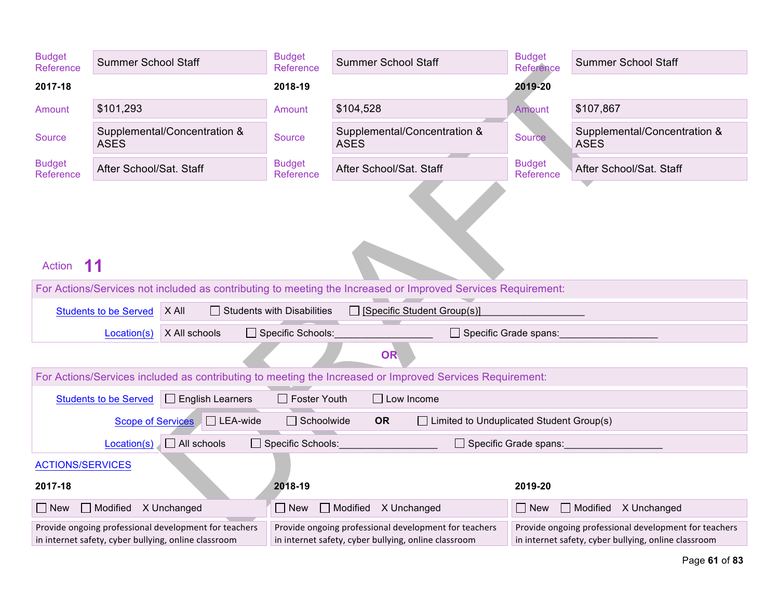| <b>Budget</b><br>Reference | <b>Summer School Staff</b>                                                                                    | <b>Budget</b><br>Reference        | <b>Budget</b><br><b>Summer School Staff</b><br><b>Summer School Staff</b><br>Reference                        |                            |                                                                                                               |  |  |
|----------------------------|---------------------------------------------------------------------------------------------------------------|-----------------------------------|---------------------------------------------------------------------------------------------------------------|----------------------------|---------------------------------------------------------------------------------------------------------------|--|--|
| 2017-18                    |                                                                                                               | 2018-19                           |                                                                                                               | 2019-20                    |                                                                                                               |  |  |
| Amount                     | \$101,293                                                                                                     | Amount                            | \$104,528                                                                                                     | <b>Amount</b>              | \$107,867                                                                                                     |  |  |
| <b>Source</b>              | Supplemental/Concentration &<br><b>ASES</b>                                                                   | Source                            | Supplemental/Concentration &<br><b>ASES</b>                                                                   | Source                     | Supplemental/Concentration &<br><b>ASES</b>                                                                   |  |  |
| <b>Budget</b><br>Reference | After School/Sat. Staff                                                                                       | <b>Budget</b><br><b>Reference</b> | After School/Sat. Staff                                                                                       | <b>Budget</b><br>Reference | After School/Sat. Staff                                                                                       |  |  |
| <b>Action</b>              | For Actions/Services not included as contributing to meeting the Increased or Improved Services Requirement:  |                                   |                                                                                                               |                            |                                                                                                               |  |  |
|                            | X All<br><b>Students to be Served</b>                                                                         | $\Box$ Students with Disabilities | [Specific Student Group(s)]                                                                                   |                            |                                                                                                               |  |  |
|                            | X All schools<br>Location(s)                                                                                  | Specific Schools:                 |                                                                                                               | Specific Grade spans:      |                                                                                                               |  |  |
|                            |                                                                                                               |                                   | <b>OR</b>                                                                                                     |                            |                                                                                                               |  |  |
|                            |                                                                                                               |                                   | For Actions/Services included as contributing to meeting the Increased or Improved Services Requirement:      |                            |                                                                                                               |  |  |
|                            | <b>Students to be Served</b><br>$\Box$ English Learners                                                       | $\Box$ Foster Youth               | $\Box$ Low Income                                                                                             |                            |                                                                                                               |  |  |
|                            | $\Box$ LEA-wide<br><b>Scope of Services</b>                                                                   | $\Box$ Schoolwide                 | <b>OR</b><br>$\Box$ Limited to Unduplicated Student Group(s)                                                  |                            |                                                                                                               |  |  |
|                            | $\Box$ All schools<br>Location(s)                                                                             | □ Specific Schools:               |                                                                                                               | □ Specific Grade spans:    |                                                                                                               |  |  |
|                            | <b>ACTIONS/SERVICES</b>                                                                                       |                                   |                                                                                                               |                            |                                                                                                               |  |  |
| 2017-18                    |                                                                                                               | 2018-19                           |                                                                                                               | 2019-20                    |                                                                                                               |  |  |
| $\Box$ New                 | Modified X Unchanged                                                                                          | $\Box$ New                        | Modified X Unchanged                                                                                          | $\Box$ New                 | Modified X Unchanged                                                                                          |  |  |
|                            | Provide ongoing professional development for teachers<br>in internet safety, cyber bullying, online classroom |                                   | Provide ongoing professional development for teachers<br>in internet safety, cyber bullying, online classroom |                            | Provide ongoing professional development for teachers<br>in internet safety, cyber bullying, online classroom |  |  |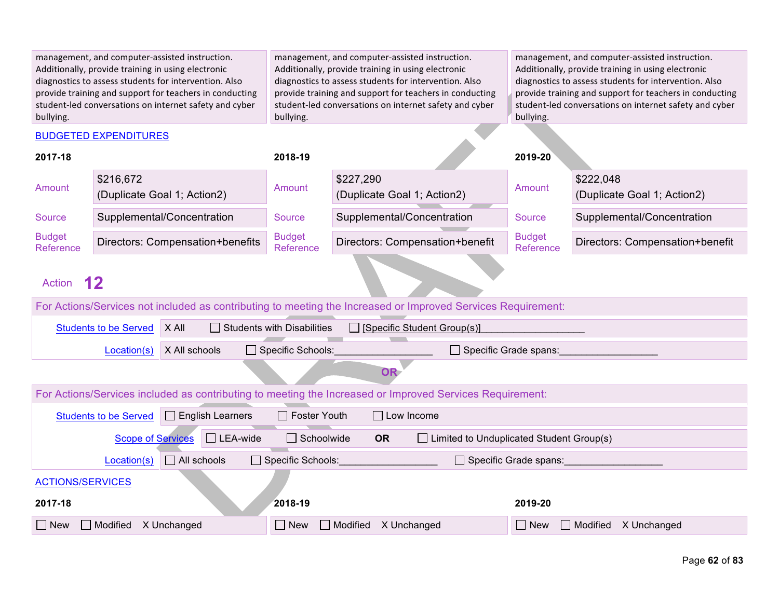| management, and computer-assisted instruction.          | management, and computer-assisted instruction.          | management, and computer-assisted instruction.          |
|---------------------------------------------------------|---------------------------------------------------------|---------------------------------------------------------|
| Additionally, provide training in using electronic      | Additionally, provide training in using electronic      | Additionally, provide training in using electronic      |
| diagnostics to assess students for intervention. Also   | diagnostics to assess students for intervention. Also   | diagnostics to assess students for intervention. Also   |
| provide training and support for teachers in conducting | provide training and support for teachers in conducting | provide training and support for teachers in conducting |
| student-led conversations on internet safety and cyber  | student-led conversations on internet safety and cyber  | student-led conversations on internet safety and cyber  |
| bullying.                                               | bullying.                                               | bullying.                                               |
| <b>BUDGETED EXPENDITURES</b>                            |                                                         |                                                         |

| 2017-18                                                                                                      |                                                                                                                  |                                  | 2018-19                    |                                                                                                          | 2019-20                      |                                          |  |  |
|--------------------------------------------------------------------------------------------------------------|------------------------------------------------------------------------------------------------------------------|----------------------------------|----------------------------|----------------------------------------------------------------------------------------------------------|------------------------------|------------------------------------------|--|--|
| Amount                                                                                                       | \$216,672                                                                                                        | (Duplicate Goal 1; Action2)      | Amount                     | \$227,290<br>(Duplicate Goal 1; Action2)                                                                 | Amount                       | \$222,048<br>(Duplicate Goal 1; Action2) |  |  |
| <b>Source</b>                                                                                                |                                                                                                                  | Supplemental/Concentration       | Source                     | Supplemental/Concentration                                                                               | <b>Source</b>                | Supplemental/Concentration               |  |  |
| <b>Budget</b><br>Reference                                                                                   |                                                                                                                  | Directors: Compensation+benefits | <b>Budget</b><br>Reference | Directors: Compensation+benefit                                                                          | <b>Budget</b><br>Reference   | Directors: Compensation+benefit          |  |  |
| <b>Action</b>                                                                                                | $12 \,$                                                                                                          |                                  |                            |                                                                                                          |                              |                                          |  |  |
| For Actions/Services not included as contributing to meeting the Increased or Improved Services Requirement: |                                                                                                                  |                                  |                            |                                                                                                          |                              |                                          |  |  |
|                                                                                                              | X All<br>$\Box$ Students with Disabilities<br>$\Box$ [Specific Student Group(s)]<br><b>Students to be Served</b> |                                  |                            |                                                                                                          |                              |                                          |  |  |
|                                                                                                              | Location(s)                                                                                                      | X All schools                    | $\Box$ Specific Schools:   | $\Box$ Specific Grade spans:                                                                             |                              |                                          |  |  |
|                                                                                                              |                                                                                                                  |                                  |                            | <b>OR</b>                                                                                                |                              |                                          |  |  |
|                                                                                                              |                                                                                                                  |                                  |                            | For Actions/Services included as contributing to meeting the Increased or Improved Services Requirement: |                              |                                          |  |  |
|                                                                                                              | <b>Students to be Served</b>                                                                                     | $\Box$ English Learners          | $\Box$ Foster Youth        | $\Box$ Low Income                                                                                        |                              |                                          |  |  |
|                                                                                                              | <b>Scope of Services</b>                                                                                         | $\Box$ LEA-wide                  | $\Box$ Schoolwide          | <b>OR</b><br>$\Box$ Limited to Unduplicated Student Group(s)                                             |                              |                                          |  |  |
|                                                                                                              | Location(s)                                                                                                      | $\Box$ All schools               | $\Box$ Specific Schools:   |                                                                                                          | $\Box$ Specific Grade spans: |                                          |  |  |
|                                                                                                              | <b>ACTIONS/SERVICES</b>                                                                                          |                                  |                            |                                                                                                          |                              |                                          |  |  |
| 2017-18                                                                                                      |                                                                                                                  |                                  | 2018-19                    |                                                                                                          | 2019-20                      |                                          |  |  |
| Modified<br>X Unchanged<br>$\Box$ New                                                                        |                                                                                                                  |                                  | $\Box$ New                 | $\Box$ Modified<br>X Unchanged                                                                           | $\Box$ New                   | $\Box$ Modified<br>X Unchanged           |  |  |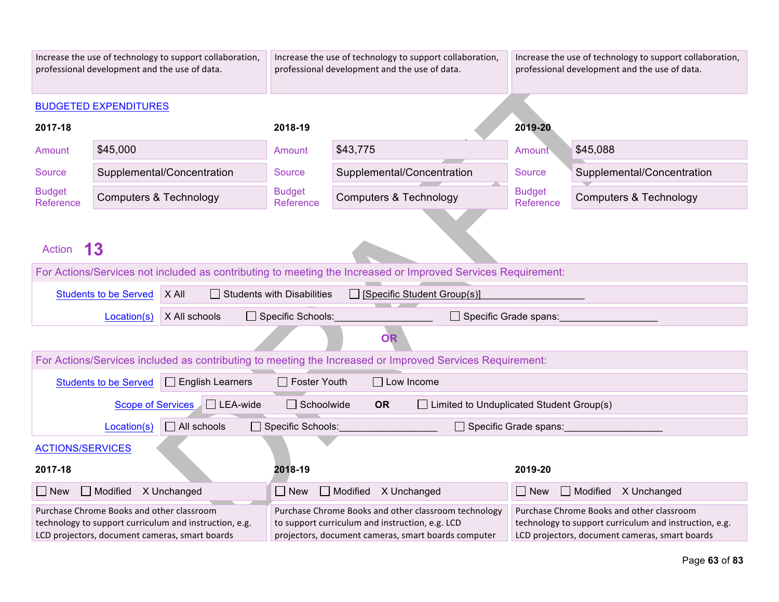| Increase the use of technology to support collaboration,<br>professional development and the use of data.                                             |                              |                            |                            | Increase the use of technology to support collaboration,<br>professional development and the use of data.                                                      |                            | Increase the use of technology to support collaboration,<br>professional development and the use of data.                                             |  |  |
|-------------------------------------------------------------------------------------------------------------------------------------------------------|------------------------------|----------------------------|----------------------------|----------------------------------------------------------------------------------------------------------------------------------------------------------------|----------------------------|-------------------------------------------------------------------------------------------------------------------------------------------------------|--|--|
|                                                                                                                                                       | <b>BUDGETED EXPENDITURES</b> |                            |                            |                                                                                                                                                                |                            |                                                                                                                                                       |  |  |
| 2017-18                                                                                                                                               |                              |                            | 2018-19                    |                                                                                                                                                                | 2019-20                    |                                                                                                                                                       |  |  |
| Amount                                                                                                                                                | \$45,000                     |                            | Amount                     | \$43,775                                                                                                                                                       | Amount                     | \$45,088                                                                                                                                              |  |  |
| <b>Source</b>                                                                                                                                         |                              | Supplemental/Concentration | Source                     | Supplemental/Concentration                                                                                                                                     | <b>Source</b>              | Supplemental/Concentration                                                                                                                            |  |  |
| <b>Budget</b><br>Reference                                                                                                                            | Computers & Technology       |                            | <b>Budget</b><br>Reference | <b>Computers &amp; Technology</b>                                                                                                                              | <b>Budget</b><br>Reference | <b>Computers &amp; Technology</b>                                                                                                                     |  |  |
| 13<br><b>Action</b>                                                                                                                                   |                              |                            |                            |                                                                                                                                                                |                            |                                                                                                                                                       |  |  |
| For Actions/Services not included as contributing to meeting the Increased or Improved Services Requirement:                                          |                              |                            |                            |                                                                                                                                                                |                            |                                                                                                                                                       |  |  |
| X All<br>$\Box$ Students with Disabilities<br><b>Students to be Served</b>                                                                            |                              |                            |                            | [Specific Student Group(s)]                                                                                                                                    |                            |                                                                                                                                                       |  |  |
|                                                                                                                                                       | Location(s)                  | X All schools              | □ Specific Schools:        |                                                                                                                                                                | Specific Grade spans:      |                                                                                                                                                       |  |  |
|                                                                                                                                                       |                              |                            |                            | <b>OR</b>                                                                                                                                                      |                            |                                                                                                                                                       |  |  |
|                                                                                                                                                       |                              |                            |                            | For Actions/Services included as contributing to meeting the Increased or Improved Services Requirement:                                                       |                            |                                                                                                                                                       |  |  |
|                                                                                                                                                       | <b>Students to be Served</b> | $\Box$ English Learners    | $\Box$ Foster Youth        | $\Box$ Low Income                                                                                                                                              |                            |                                                                                                                                                       |  |  |
|                                                                                                                                                       | <b>Scope of Services</b>     | $\Box$ LEA-wide            | $\Box$ Schoolwide          | <b>OR</b><br>$\Box$ Limited to Unduplicated Student Group(s)                                                                                                   |                            |                                                                                                                                                       |  |  |
|                                                                                                                                                       | Location(s)                  | $\Box$ All schools         | □ Specific Schools:        |                                                                                                                                                                | Specific Grade spans:      |                                                                                                                                                       |  |  |
| <b>ACTIONS/SERVICES</b>                                                                                                                               |                              |                            |                            |                                                                                                                                                                |                            |                                                                                                                                                       |  |  |
| 2017-18                                                                                                                                               |                              |                            | 2018-19                    |                                                                                                                                                                | 2019-20                    |                                                                                                                                                       |  |  |
| Modified X Unchanged<br>$\Box$ New                                                                                                                    |                              |                            | $\square$ New              | Modified X Unchanged                                                                                                                                           | $\square$ New              | Modified X Unchanged                                                                                                                                  |  |  |
| Purchase Chrome Books and other classroom<br>technology to support curriculum and instruction, e.g.<br>LCD projectors, document cameras, smart boards |                              |                            |                            | Purchase Chrome Books and other classroom technology<br>to support curriculum and instruction, e.g. LCD<br>projectors, document cameras, smart boards computer |                            | Purchase Chrome Books and other classroom<br>technology to support curriculum and instruction, e.g.<br>LCD projectors, document cameras, smart boards |  |  |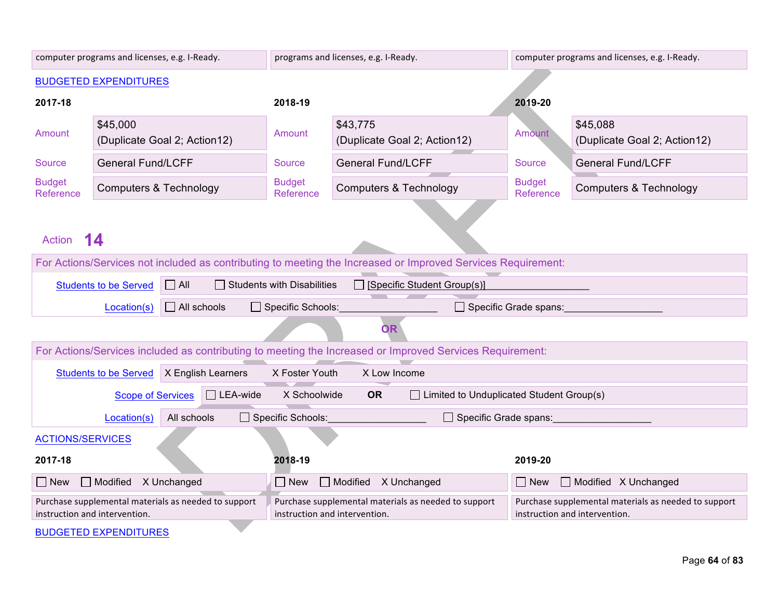|                                                                                                                | computer programs and licenses, e.g. I-Ready.                                                                |                               | programs and licenses, e.g. I-Ready.                                                                     | computer programs and licenses, e.g. I-Ready. |                                                                                       |  |  |  |
|----------------------------------------------------------------------------------------------------------------|--------------------------------------------------------------------------------------------------------------|-------------------------------|----------------------------------------------------------------------------------------------------------|-----------------------------------------------|---------------------------------------------------------------------------------------|--|--|--|
|                                                                                                                | <b>BUDGETED EXPENDITURES</b>                                                                                 |                               |                                                                                                          |                                               |                                                                                       |  |  |  |
| 2017-18                                                                                                        |                                                                                                              | 2018-19                       |                                                                                                          | 2019-20                                       |                                                                                       |  |  |  |
| Amount                                                                                                         | \$45,000<br>(Duplicate Goal 2; Action12)                                                                     | Amount                        | \$43,775<br>Amount<br>(Duplicate Goal 2; Action12)                                                       |                                               | \$45,088<br>(Duplicate Goal 2; Action12)                                              |  |  |  |
| Source                                                                                                         | <b>General Fund/LCFF</b>                                                                                     | Source                        | <b>General Fund/LCFF</b>                                                                                 | <b>Source</b>                                 | <b>General Fund/LCFF</b>                                                              |  |  |  |
| <b>Budget</b><br>Reference                                                                                     | <b>Computers &amp; Technology</b>                                                                            | <b>Budget</b><br>Reference    | <b>Computers &amp; Technology</b>                                                                        | <b>Budget</b><br>Reference                    | <b>Computers &amp; Technology</b>                                                     |  |  |  |
| Action                                                                                                         | 14                                                                                                           |                               |                                                                                                          |                                               |                                                                                       |  |  |  |
|                                                                                                                | For Actions/Services not included as contributing to meeting the Increased or Improved Services Requirement: |                               |                                                                                                          |                                               |                                                                                       |  |  |  |
| $\Box$ All<br><b>Students with Disabilities</b><br>[Specific Student Group(s)]<br><b>Students to be Served</b> |                                                                                                              |                               |                                                                                                          |                                               |                                                                                       |  |  |  |
|                                                                                                                | $\Box$ All schools<br>Location(s)                                                                            | Specific Schools:             |                                                                                                          | $\Box$ Specific Grade spans:                  |                                                                                       |  |  |  |
|                                                                                                                |                                                                                                              |                               | <b>OR</b>                                                                                                |                                               |                                                                                       |  |  |  |
|                                                                                                                |                                                                                                              |                               | For Actions/Services included as contributing to meeting the Increased or Improved Services Requirement: |                                               |                                                                                       |  |  |  |
|                                                                                                                | <b>Students to be Served</b><br>X English Learners                                                           | X Foster Youth                | X Low Income                                                                                             |                                               |                                                                                       |  |  |  |
|                                                                                                                | $\Box$ LEA-wide<br><b>Scope of Services</b>                                                                  | X Schoolwide                  | <b>OR</b><br>$\Box$ Limited to Unduplicated Student Group(s)                                             |                                               |                                                                                       |  |  |  |
|                                                                                                                | Location(s)<br>All schools                                                                                   | $\Box$ Specific Schools:      | $\Box$ Specific Grade spans:                                                                             |                                               |                                                                                       |  |  |  |
| <b>ACTIONS/SERVICES</b>                                                                                        |                                                                                                              |                               |                                                                                                          |                                               |                                                                                       |  |  |  |
| 2017-18                                                                                                        |                                                                                                              | 2018-19                       |                                                                                                          | 2019-20                                       |                                                                                       |  |  |  |
| $\Box$ Modified $\angle$ X Unchanged<br>Modified X Unchanged<br>$\Box$ New<br>$\Box$ New                       |                                                                                                              |                               |                                                                                                          | $\Box$ New                                    | Modified X Unchanged                                                                  |  |  |  |
| instruction and intervention.                                                                                  | Purchase supplemental materials as needed to support                                                         | instruction and intervention. | Purchase supplemental materials as needed to support                                                     |                                               | Purchase supplemental materials as needed to support<br>instruction and intervention. |  |  |  |
|                                                                                                                | <b>RHIDCETED EVDENDITHDES</b>                                                                                |                               |                                                                                                          |                                               |                                                                                       |  |  |  |

BUDGETED EXPENDITURES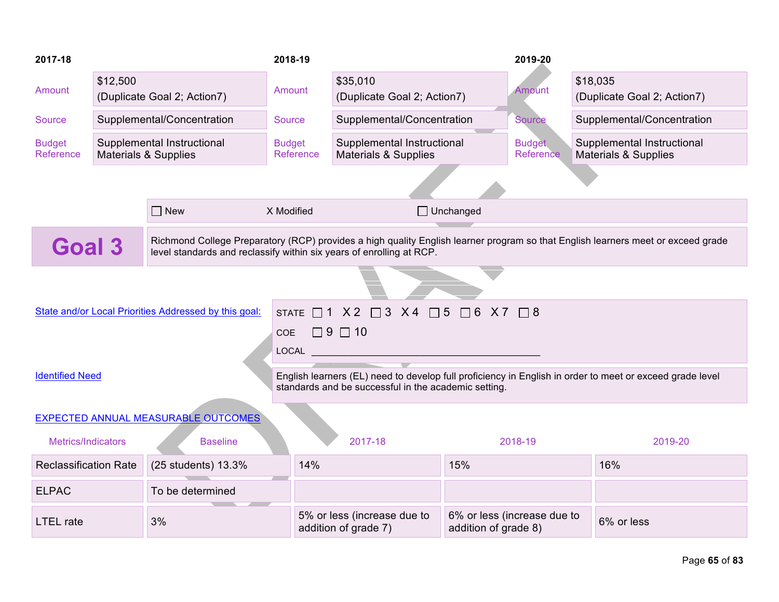| 2017-18                                                                                                                                                                                                                   |          |                                                                                   | 2018-19                         |                                                                |     | 2019-20                     |                                                                                                          |  |
|---------------------------------------------------------------------------------------------------------------------------------------------------------------------------------------------------------------------------|----------|-----------------------------------------------------------------------------------|---------------------------------|----------------------------------------------------------------|-----|-----------------------------|----------------------------------------------------------------------------------------------------------|--|
| Amount                                                                                                                                                                                                                    | \$12,500 | (Duplicate Goal 2; Action7)                                                       | Amount                          | \$35,010<br>(Duplicate Goal 2; Action7)                        |     | Amount                      | \$18,035<br>(Duplicate Goal 2; Action7)                                                                  |  |
| Source                                                                                                                                                                                                                    |          | Supplemental/Concentration                                                        | Source                          | Supplemental/Concentration                                     |     | <b>Source</b>               | Supplemental/Concentration                                                                               |  |
| <b>Budget</b><br>Reference                                                                                                                                                                                                |          | Supplemental Instructional<br><b>Materials &amp; Supplies</b>                     | <b>Budget</b><br>Reference      | Supplemental Instructional<br><b>Materials &amp; Supplies</b>  |     | <b>Budget</b><br>Reference  | Supplemental Instructional<br><b>Materials &amp; Supplies</b>                                            |  |
|                                                                                                                                                                                                                           |          |                                                                                   |                                 |                                                                |     |                             |                                                                                                          |  |
|                                                                                                                                                                                                                           |          | $\Box$ New                                                                        | X Modified                      | $\Box$ Unchanged                                               |     |                             |                                                                                                          |  |
| Richmond College Preparatory (RCP) provides a high quality English learner program so that English learners meet or exceed grade<br><b>Goal 3</b><br>level standards and reclassify within six years of enrolling at RCP. |          |                                                                                   |                                 |                                                                |     |                             |                                                                                                          |  |
|                                                                                                                                                                                                                           |          |                                                                                   |                                 |                                                                |     |                             |                                                                                                          |  |
|                                                                                                                                                                                                                           |          | State and/or Local Priorities Addressed by this goal:                             | COE $\Box$ 9 $\Box$ 10<br>LOCAL | STATE $\Box$ 1 X 2 $\Box$ 3 X 4 $\Box$ 5 $\Box$ 6 X 7 $\Box$ 8 |     |                             |                                                                                                          |  |
| <b>Identified Need</b>                                                                                                                                                                                                    |          |                                                                                   |                                 | standards and be successful in the academic setting.           |     |                             | English learners (EL) need to develop full proficiency in English in order to meet or exceed grade level |  |
|                                                                                                                                                                                                                           |          | EXPECTED ANNUAL MEASURABLE OUTCOMES                                               |                                 |                                                                |     |                             |                                                                                                          |  |
| Metrics/Indicators                                                                                                                                                                                                        |          | <b>Baseline</b>                                                                   |                                 | 2017-18                                                        |     | 2018-19                     | 2019-20                                                                                                  |  |
| <b>Reclassification Rate</b>                                                                                                                                                                                              |          | (25 students) 13.3%                                                               | 14%<br><b>Contract</b>          |                                                                | 15% |                             | 16%                                                                                                      |  |
| <b>ELPAC</b>                                                                                                                                                                                                              |          | To be determined                                                                  |                                 |                                                                |     |                             |                                                                                                          |  |
| <b>LTEL</b> rate                                                                                                                                                                                                          |          | 5% or less (increase due to<br>3%<br>addition of grade 7)<br>addition of grade 8) |                                 |                                                                |     | 6% or less (increase due to | 6% or less                                                                                               |  |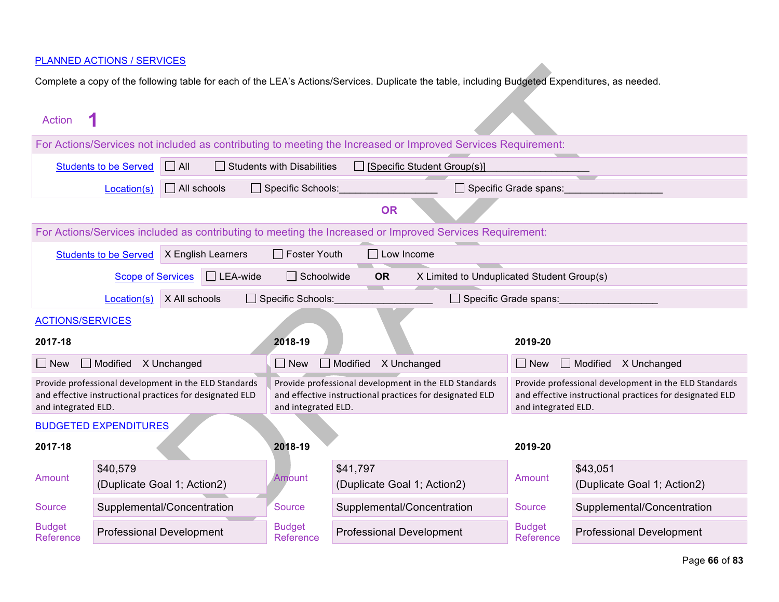| <b>Action</b>              |                                                                                                                             |                    |                    |                                   |                                         |                                                                                                                   |                                                                                                                                          |                                         |  |  |
|----------------------------|-----------------------------------------------------------------------------------------------------------------------------|--------------------|--------------------|-----------------------------------|-----------------------------------------|-------------------------------------------------------------------------------------------------------------------|------------------------------------------------------------------------------------------------------------------------------------------|-----------------------------------------|--|--|
|                            |                                                                                                                             |                    |                    |                                   |                                         | For Actions/Services not included as contributing to meeting the Increased or Improved Services Requirement:      |                                                                                                                                          |                                         |  |  |
|                            | <b>Students to be Served</b>                                                                                                | $\Box$ All         |                    | <b>Students with Disabilities</b> |                                         | $\Box$ [Specific Student Group(s)]                                                                                |                                                                                                                                          |                                         |  |  |
|                            | Location(s)                                                                                                                 | $\Box$ All schools |                    | $\Box$ Specific Schools:          |                                         |                                                                                                                   | Specific Grade spans:                                                                                                                    |                                         |  |  |
|                            |                                                                                                                             |                    |                    |                                   | <b>OR</b>                               |                                                                                                                   |                                                                                                                                          |                                         |  |  |
|                            |                                                                                                                             |                    |                    |                                   |                                         | For Actions/Services included as contributing to meeting the Increased or Improved Services Requirement:          |                                                                                                                                          |                                         |  |  |
|                            | <b>Students to be Served</b>                                                                                                |                    | X English Learners | $\Box$ Foster Youth               | $\Box$ Low Income                       |                                                                                                                   |                                                                                                                                          |                                         |  |  |
|                            | $\Box$ LEA-wide<br>X Limited to Unduplicated Student Group(s)<br>$\Box$ Schoolwide<br><b>OR</b><br><b>Scope of Services</b> |                    |                    |                                   |                                         |                                                                                                                   |                                                                                                                                          |                                         |  |  |
|                            | $\Box$ Specific Schools:<br>X All schools<br>Specific Grade spans:<br>Location(s)                                           |                    |                    |                                   |                                         |                                                                                                                   |                                                                                                                                          |                                         |  |  |
| <b>ACTIONS/SERVICES</b>    |                                                                                                                             |                    |                    |                                   |                                         |                                                                                                                   |                                                                                                                                          |                                         |  |  |
| 2017-18                    |                                                                                                                             |                    |                    | 2018-19                           |                                         |                                                                                                                   | 2019-20                                                                                                                                  |                                         |  |  |
| $\Box$ New                 | $\Box$ Modified                                                                                                             | X Unchanged        |                    | $\Box$ New                        | Modified                                | X Unchanged                                                                                                       | $\Box$ New                                                                                                                               | $\Box$ Modified<br>X Unchanged          |  |  |
| and integrated ELD.        | Provide professional development in the ELD Standards<br>and effective instructional practices for designated ELD           |                    |                    | and integrated ELD.               |                                         | Provide professional development in the ELD Standards<br>and effective instructional practices for designated ELD | Provide professional development in the ELD Standards<br>and effective instructional practices for designated ELD<br>and integrated ELD. |                                         |  |  |
|                            | <b>BUDGETED EXPENDITURES</b>                                                                                                |                    |                    |                                   |                                         |                                                                                                                   |                                                                                                                                          |                                         |  |  |
| 2017-18                    |                                                                                                                             |                    |                    | 2018-19                           |                                         |                                                                                                                   | 2019-20                                                                                                                                  |                                         |  |  |
| Amount                     | \$40,579<br>(Duplicate Goal 1; Action2)                                                                                     |                    |                    | Amount                            | \$41,797<br>(Duplicate Goal 1; Action2) |                                                                                                                   | Amount                                                                                                                                   | \$43,051<br>(Duplicate Goal 1; Action2) |  |  |
| <b>Source</b>              | Supplemental/Concentration                                                                                                  |                    |                    | <b>Source</b>                     |                                         | Supplemental/Concentration                                                                                        | <b>Source</b>                                                                                                                            | Supplemental/Concentration              |  |  |
| <b>Budget</b><br>Reference | <b>Professional Development</b>                                                                                             |                    |                    | <b>Budget</b><br>Reference        | <b>Professional Development</b>         |                                                                                                                   | <b>Budget</b><br>Reference                                                                                                               | <b>Professional Development</b>         |  |  |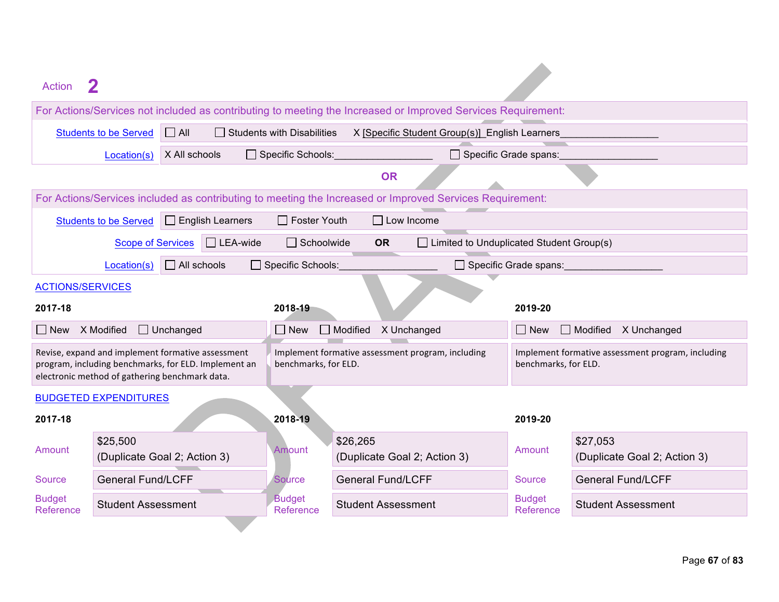| Action                     |                                                                                                                                                             |                                   |                                                                                                                                |                              |                                          |  |  |  |  |
|----------------------------|-------------------------------------------------------------------------------------------------------------------------------------------------------------|-----------------------------------|--------------------------------------------------------------------------------------------------------------------------------|------------------------------|------------------------------------------|--|--|--|--|
|                            | For Actions/Services not included as contributing to meeting the Increased or Improved Services Requirement:                                                |                                   |                                                                                                                                |                              |                                          |  |  |  |  |
|                            | $\Box$ All<br><b>Students to be Served</b>                                                                                                                  | <b>Students with Disabilities</b> | X [Specific Student Group(s)] English Learners                                                                                 |                              |                                          |  |  |  |  |
|                            | X All schools<br>Location(s)                                                                                                                                | □ Specific Schools:               | $\Box$ Specific Grade spans:                                                                                                   |                              |                                          |  |  |  |  |
|                            |                                                                                                                                                             |                                   | <b>OR</b>                                                                                                                      |                              |                                          |  |  |  |  |
|                            |                                                                                                                                                             |                                   | For Actions/Services included as contributing to meeting the Increased or Improved Services Requirement:                       |                              |                                          |  |  |  |  |
|                            | $\Box$ English Learners<br><b>Students to be Served</b>                                                                                                     | $\Box$ Foster Youth               | $\Box$ Low Income                                                                                                              |                              |                                          |  |  |  |  |
|                            | <b>Scope of Services</b><br>$\Box$ LEA-wide                                                                                                                 | $\Box$ Schoolwide                 | <b>OR</b><br>$\Box$ Limited to Unduplicated Student Group(s)                                                                   |                              |                                          |  |  |  |  |
|                            | $\Box$ All schools<br>Location(s)                                                                                                                           | Specific Schools:                 |                                                                                                                                | $\Box$ Specific Grade spans: |                                          |  |  |  |  |
| <b>ACTIONS/SERVICES</b>    |                                                                                                                                                             |                                   |                                                                                                                                |                              |                                          |  |  |  |  |
| 2017-18                    |                                                                                                                                                             | 2018-19                           |                                                                                                                                | 2019-20                      |                                          |  |  |  |  |
| $\Box$ New                 | X Modified<br>$\Box$ Unchanged                                                                                                                              | $\Box$ New                        | Modified<br>X Unchanged                                                                                                        | $\Box$ New                   | $\Box$ Modified<br>X Unchanged           |  |  |  |  |
|                            | Revise, expand and implement formative assessment<br>program, including benchmarks, for ELD. Implement an<br>electronic method of gathering benchmark data. | benchmarks, for ELD.              | Implement formative assessment program, including<br>Implement formative assessment program, including<br>benchmarks, for ELD. |                              |                                          |  |  |  |  |
|                            | <b>BUDGETED EXPENDITURES</b>                                                                                                                                |                                   |                                                                                                                                |                              |                                          |  |  |  |  |
| 2017-18                    |                                                                                                                                                             | 2018-19                           |                                                                                                                                | 2019-20                      |                                          |  |  |  |  |
| Amount                     | \$25,500<br>(Duplicate Goal 2; Action 3)                                                                                                                    | Amount                            | \$26,265<br>(Duplicate Goal 2; Action 3)                                                                                       | Amount                       | \$27,053<br>(Duplicate Goal 2; Action 3) |  |  |  |  |
| Source                     | <b>General Fund/LCFF</b>                                                                                                                                    | <b>Source</b>                     | <b>General Fund/LCFF</b>                                                                                                       | <b>Source</b>                | <b>General Fund/LCFF</b>                 |  |  |  |  |
| <b>Budget</b><br>Reference | <b>Student Assessment</b>                                                                                                                                   | <b>Budget</b><br>Reference        | <b>Student Assessment</b>                                                                                                      | <b>Budget</b><br>Reference   | <b>Student Assessment</b>                |  |  |  |  |
|                            |                                                                                                                                                             |                                   |                                                                                                                                |                              |                                          |  |  |  |  |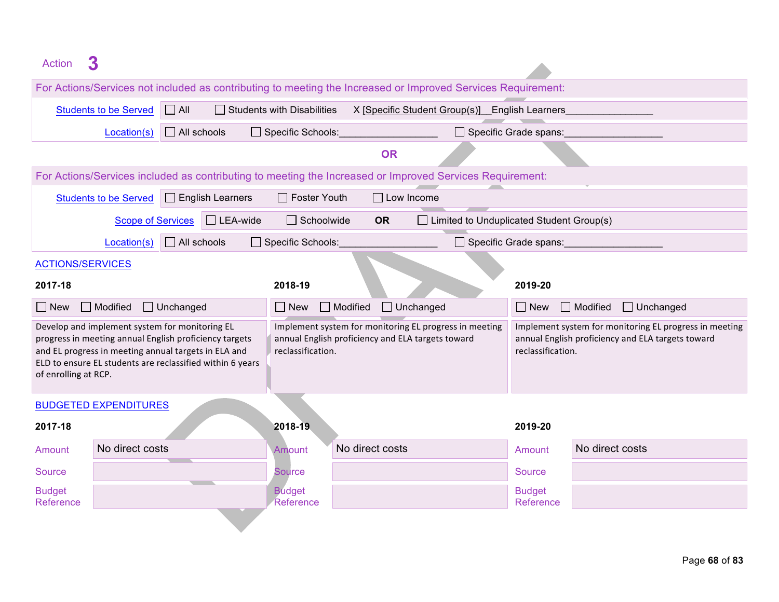| 3<br><b>Action</b>                                                                                                                                                                                                                                    |                                                                                                              |                         |                                                                        |                 |                   |                                                        |  |                              |                                                                                                             |
|-------------------------------------------------------------------------------------------------------------------------------------------------------------------------------------------------------------------------------------------------------|--------------------------------------------------------------------------------------------------------------|-------------------------|------------------------------------------------------------------------|-----------------|-------------------|--------------------------------------------------------|--|------------------------------|-------------------------------------------------------------------------------------------------------------|
|                                                                                                                                                                                                                                                       | For Actions/Services not included as contributing to meeting the Increased or Improved Services Requirement: |                         |                                                                        |                 |                   |                                                        |  |                              |                                                                                                             |
| <b>Students to be Served</b>                                                                                                                                                                                                                          | $\Box$ All                                                                                                   |                         | <b>Students with Disabilities</b>                                      |                 |                   | X [Specific Student Group(s)] English Learners         |  |                              |                                                                                                             |
|                                                                                                                                                                                                                                                       | $\Box$ All schools<br>Location(s)                                                                            |                         | $\Box$ Specific Schools:                                               |                 |                   |                                                        |  | $\Box$ Specific Grade spans: |                                                                                                             |
|                                                                                                                                                                                                                                                       |                                                                                                              |                         |                                                                        |                 | <b>OR</b>         |                                                        |  |                              |                                                                                                             |
|                                                                                                                                                                                                                                                       | For Actions/Services included as contributing to meeting the Increased or Improved Services Requirement:     |                         |                                                                        |                 |                   |                                                        |  |                              |                                                                                                             |
| <b>Students to be Served</b>                                                                                                                                                                                                                          |                                                                                                              | $\Box$ English Learners | □ Foster Youth                                                         |                 | $\Box$ Low Income |                                                        |  |                              |                                                                                                             |
|                                                                                                                                                                                                                                                       | <b>Scope of Services</b>                                                                                     | $\Box$ LEA-wide         | $\Box$ Schoolwide                                                      | <b>OR</b>       |                   | $\Box$ Limited to Unduplicated Student Group(s)        |  |                              |                                                                                                             |
|                                                                                                                                                                                                                                                       | $\Box$ All schools<br>Location(s)                                                                            |                         | Specific Schools:                                                      |                 |                   |                                                        |  | $\Box$ Specific Grade spans: |                                                                                                             |
| <b>ACTIONS/SERVICES</b>                                                                                                                                                                                                                               |                                                                                                              |                         |                                                                        |                 |                   |                                                        |  |                              |                                                                                                             |
| 2017-18                                                                                                                                                                                                                                               | 2018-19<br>2019-20                                                                                           |                         |                                                                        |                 |                   |                                                        |  |                              |                                                                                                             |
| $\Box$ Modified<br>$\Box$ New                                                                                                                                                                                                                         | $\Box$ Unchanged                                                                                             |                         | $\Box$ New $\Box$ Modified                                             |                 | $\Box$ Unchanged  |                                                        |  | $\Box$ New                   | $\Box$ Modified<br>$\Box$ Unchanged                                                                         |
| Develop and implement system for monitoring EL<br>progress in meeting annual English proficiency targets<br>and EL progress in meeting annual targets in ELA and<br>ELD to ensure EL students are reclassified within 6 years<br>of enrolling at RCP. |                                                                                                              |                         | annual English proficiency and ELA targets toward<br>reclassification. |                 |                   | Implement system for monitoring EL progress in meeting |  | reclassification.            | Implement system for monitoring EL progress in meeting<br>annual English proficiency and ELA targets toward |
| <b>BUDGETED EXPENDITURES</b>                                                                                                                                                                                                                          |                                                                                                              |                         |                                                                        |                 |                   |                                                        |  |                              |                                                                                                             |
| 2017-18                                                                                                                                                                                                                                               |                                                                                                              |                         | 2018-19                                                                |                 |                   |                                                        |  | 2019-20                      |                                                                                                             |
| Amount                                                                                                                                                                                                                                                | No direct costs                                                                                              |                         | <b>Amount</b>                                                          | No direct costs |                   |                                                        |  | Amount                       | No direct costs                                                                                             |
| <b>Source</b>                                                                                                                                                                                                                                         |                                                                                                              |                         | Source                                                                 |                 |                   |                                                        |  | <b>Source</b>                |                                                                                                             |
| <b>Budget</b><br>Reference                                                                                                                                                                                                                            |                                                                                                              |                         | <b>Budget</b><br>Reference                                             |                 |                   |                                                        |  | <b>Budget</b><br>Reference   |                                                                                                             |
|                                                                                                                                                                                                                                                       |                                                                                                              |                         |                                                                        |                 |                   |                                                        |  |                              |                                                                                                             |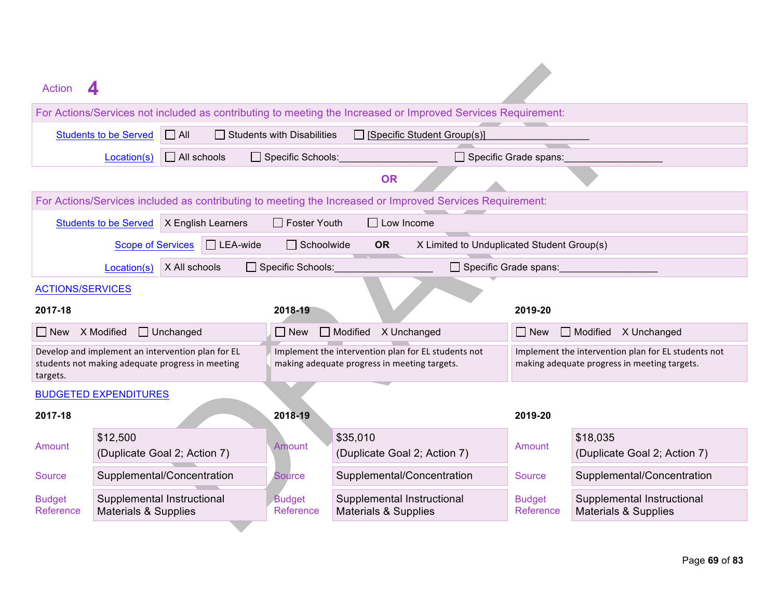| For Actions/Services not included as contributing to meeting the Increased or Improved Services Requirement:<br><b>Students to be Served</b><br>$\Box$ All<br>$\Box$ Students with Disabilities<br>$\Box$ [Specific Student Group(s)]<br>$\Box$ All schools<br>Specific Schools:<br>$\Box$ Specific Grade spans:<br>Location(s)<br><b>OR</b><br>For Actions/Services included as contributing to meeting the Increased or Improved Services Requirement:<br>$\Box$ Low Income<br><b>Students to be Served</b><br>X English Learners<br>$\Box$ Foster Youth<br>$\Box$ LEA-wide<br>$\Box$ Schoolwide<br>X Limited to Unduplicated Student Group(s)<br><b>Scope of Services</b><br><b>OR</b><br>X All schools<br>$\Box$ Specific Schools:<br>□ Specific Grade spans:<br>Location(s)<br><b>ACTIONS/SERVICES</b><br>2017-18<br>2018-19<br>2019-20<br>X Modified<br>Unchanged<br>Modified<br>X Unchanged<br>X Unchanged<br>$\Box$ New<br>$\Box$ New<br>$\Box$ Modified<br>$\Box$ New<br>Implement the intervention plan for EL students not<br>Develop and implement an intervention plan for EL<br>Implement the intervention plan for EL students not<br>students not making adequate progress in meeting<br>making adequate progress in meeting targets.<br>making adequate progress in meeting targets.<br>targets.<br><b>BUDGETED EXPENDITURES</b><br>2017-18<br>2018-19<br>2019-20<br>\$12,500<br>\$35,010<br>\$18,035<br>Amount<br>Amount<br>Amount<br>(Duplicate Goal 2; Action 7)<br>(Duplicate Goal 2; Action 7)<br>(Duplicate Goal 2; Action 7)<br>Supplemental/Concentration<br>Supplemental/Concentration<br>Supplemental/Concentration<br><b>Source</b><br><b>Source</b><br><b>Source</b><br>Supplemental Instructional<br>Supplemental Instructional<br>Supplemental Instructional<br><b>Budget</b><br><b>Budget</b><br><b>Budget</b><br>Reference<br><b>Materials &amp; Supplies</b><br>Reference<br>Reference<br><b>Materials &amp; Supplies</b><br><b>Materials &amp; Supplies</b> | Action |  |  |  |  |  |  |  |  |
|------------------------------------------------------------------------------------------------------------------------------------------------------------------------------------------------------------------------------------------------------------------------------------------------------------------------------------------------------------------------------------------------------------------------------------------------------------------------------------------------------------------------------------------------------------------------------------------------------------------------------------------------------------------------------------------------------------------------------------------------------------------------------------------------------------------------------------------------------------------------------------------------------------------------------------------------------------------------------------------------------------------------------------------------------------------------------------------------------------------------------------------------------------------------------------------------------------------------------------------------------------------------------------------------------------------------------------------------------------------------------------------------------------------------------------------------------------------------------------------------------------------------------------------------------------------------------------------------------------------------------------------------------------------------------------------------------------------------------------------------------------------------------------------------------------------------------------------------------------------------------------------------------------------------------------------------------------------------------------------------|--------|--|--|--|--|--|--|--|--|
|                                                                                                                                                                                                                                                                                                                                                                                                                                                                                                                                                                                                                                                                                                                                                                                                                                                                                                                                                                                                                                                                                                                                                                                                                                                                                                                                                                                                                                                                                                                                                                                                                                                                                                                                                                                                                                                                                                                                                                                                |        |  |  |  |  |  |  |  |  |
|                                                                                                                                                                                                                                                                                                                                                                                                                                                                                                                                                                                                                                                                                                                                                                                                                                                                                                                                                                                                                                                                                                                                                                                                                                                                                                                                                                                                                                                                                                                                                                                                                                                                                                                                                                                                                                                                                                                                                                                                |        |  |  |  |  |  |  |  |  |
|                                                                                                                                                                                                                                                                                                                                                                                                                                                                                                                                                                                                                                                                                                                                                                                                                                                                                                                                                                                                                                                                                                                                                                                                                                                                                                                                                                                                                                                                                                                                                                                                                                                                                                                                                                                                                                                                                                                                                                                                |        |  |  |  |  |  |  |  |  |
|                                                                                                                                                                                                                                                                                                                                                                                                                                                                                                                                                                                                                                                                                                                                                                                                                                                                                                                                                                                                                                                                                                                                                                                                                                                                                                                                                                                                                                                                                                                                                                                                                                                                                                                                                                                                                                                                                                                                                                                                |        |  |  |  |  |  |  |  |  |
|                                                                                                                                                                                                                                                                                                                                                                                                                                                                                                                                                                                                                                                                                                                                                                                                                                                                                                                                                                                                                                                                                                                                                                                                                                                                                                                                                                                                                                                                                                                                                                                                                                                                                                                                                                                                                                                                                                                                                                                                |        |  |  |  |  |  |  |  |  |
|                                                                                                                                                                                                                                                                                                                                                                                                                                                                                                                                                                                                                                                                                                                                                                                                                                                                                                                                                                                                                                                                                                                                                                                                                                                                                                                                                                                                                                                                                                                                                                                                                                                                                                                                                                                                                                                                                                                                                                                                |        |  |  |  |  |  |  |  |  |
|                                                                                                                                                                                                                                                                                                                                                                                                                                                                                                                                                                                                                                                                                                                                                                                                                                                                                                                                                                                                                                                                                                                                                                                                                                                                                                                                                                                                                                                                                                                                                                                                                                                                                                                                                                                                                                                                                                                                                                                                |        |  |  |  |  |  |  |  |  |
|                                                                                                                                                                                                                                                                                                                                                                                                                                                                                                                                                                                                                                                                                                                                                                                                                                                                                                                                                                                                                                                                                                                                                                                                                                                                                                                                                                                                                                                                                                                                                                                                                                                                                                                                                                                                                                                                                                                                                                                                |        |  |  |  |  |  |  |  |  |
|                                                                                                                                                                                                                                                                                                                                                                                                                                                                                                                                                                                                                                                                                                                                                                                                                                                                                                                                                                                                                                                                                                                                                                                                                                                                                                                                                                                                                                                                                                                                                                                                                                                                                                                                                                                                                                                                                                                                                                                                |        |  |  |  |  |  |  |  |  |
|                                                                                                                                                                                                                                                                                                                                                                                                                                                                                                                                                                                                                                                                                                                                                                                                                                                                                                                                                                                                                                                                                                                                                                                                                                                                                                                                                                                                                                                                                                                                                                                                                                                                                                                                                                                                                                                                                                                                                                                                |        |  |  |  |  |  |  |  |  |
|                                                                                                                                                                                                                                                                                                                                                                                                                                                                                                                                                                                                                                                                                                                                                                                                                                                                                                                                                                                                                                                                                                                                                                                                                                                                                                                                                                                                                                                                                                                                                                                                                                                                                                                                                                                                                                                                                                                                                                                                |        |  |  |  |  |  |  |  |  |
|                                                                                                                                                                                                                                                                                                                                                                                                                                                                                                                                                                                                                                                                                                                                                                                                                                                                                                                                                                                                                                                                                                                                                                                                                                                                                                                                                                                                                                                                                                                                                                                                                                                                                                                                                                                                                                                                                                                                                                                                |        |  |  |  |  |  |  |  |  |
|                                                                                                                                                                                                                                                                                                                                                                                                                                                                                                                                                                                                                                                                                                                                                                                                                                                                                                                                                                                                                                                                                                                                                                                                                                                                                                                                                                                                                                                                                                                                                                                                                                                                                                                                                                                                                                                                                                                                                                                                |        |  |  |  |  |  |  |  |  |
|                                                                                                                                                                                                                                                                                                                                                                                                                                                                                                                                                                                                                                                                                                                                                                                                                                                                                                                                                                                                                                                                                                                                                                                                                                                                                                                                                                                                                                                                                                                                                                                                                                                                                                                                                                                                                                                                                                                                                                                                |        |  |  |  |  |  |  |  |  |
|                                                                                                                                                                                                                                                                                                                                                                                                                                                                                                                                                                                                                                                                                                                                                                                                                                                                                                                                                                                                                                                                                                                                                                                                                                                                                                                                                                                                                                                                                                                                                                                                                                                                                                                                                                                                                                                                                                                                                                                                |        |  |  |  |  |  |  |  |  |
|                                                                                                                                                                                                                                                                                                                                                                                                                                                                                                                                                                                                                                                                                                                                                                                                                                                                                                                                                                                                                                                                                                                                                                                                                                                                                                                                                                                                                                                                                                                                                                                                                                                                                                                                                                                                                                                                                                                                                                                                |        |  |  |  |  |  |  |  |  |
|                                                                                                                                                                                                                                                                                                                                                                                                                                                                                                                                                                                                                                                                                                                                                                                                                                                                                                                                                                                                                                                                                                                                                                                                                                                                                                                                                                                                                                                                                                                                                                                                                                                                                                                                                                                                                                                                                                                                                                                                |        |  |  |  |  |  |  |  |  |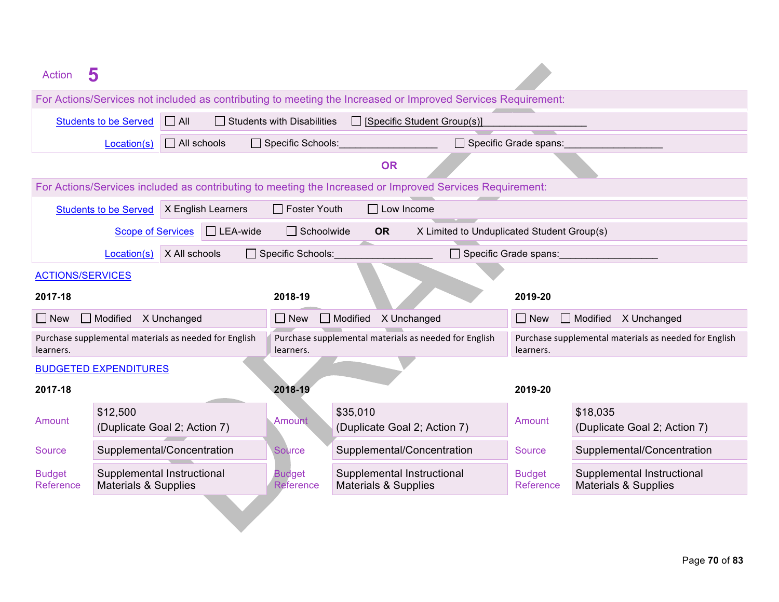| <b>Action</b>                                      | 5                                                                                                                                                                                                                                                           |                                                       |                                             |                                                                                                          |                              |                                                                    |  |  |
|----------------------------------------------------|-------------------------------------------------------------------------------------------------------------------------------------------------------------------------------------------------------------------------------------------------------------|-------------------------------------------------------|---------------------------------------------|----------------------------------------------------------------------------------------------------------|------------------------------|--------------------------------------------------------------------|--|--|
|                                                    | For Actions/Services not included as contributing to meeting the Increased or Improved Services Requirement:                                                                                                                                                |                                                       |                                             |                                                                                                          |                              |                                                                    |  |  |
|                                                    | <b>Students to be Served</b>                                                                                                                                                                                                                                | $\Box$ All                                            | $\Box$ Students with Disabilities           | $\Box$ [Specific Student Group(s)]                                                                       |                              |                                                                    |  |  |
|                                                    | Location(s)                                                                                                                                                                                                                                                 | $\Box$ All schools                                    | Specific Schools:                           |                                                                                                          | $\Box$ Specific Grade spans: |                                                                    |  |  |
|                                                    |                                                                                                                                                                                                                                                             |                                                       |                                             | <b>OR</b>                                                                                                |                              |                                                                    |  |  |
|                                                    |                                                                                                                                                                                                                                                             |                                                       |                                             | For Actions/Services included as contributing to meeting the Increased or Improved Services Requirement: |                              |                                                                    |  |  |
|                                                    | <b>Students to be Served</b>                                                                                                                                                                                                                                | X English Learners                                    | $\Box$ Foster Youth                         | $\Box$ Low Income                                                                                        |                              |                                                                    |  |  |
|                                                    | <b>Scope of Services</b>                                                                                                                                                                                                                                    | $\Box$ LEA-wide                                       | $\Box$ Schoolwide                           | <b>OR</b><br>X Limited to Unduplicated Student Group(s)                                                  |                              |                                                                    |  |  |
|                                                    | Location(s)                                                                                                                                                                                                                                                 | X All schools                                         | Specific Schools:                           | Specific Grade spans:                                                                                    |                              |                                                                    |  |  |
|                                                    | <b>ACTIONS/SERVICES</b>                                                                                                                                                                                                                                     |                                                       |                                             |                                                                                                          |                              |                                                                    |  |  |
| 2017-18                                            |                                                                                                                                                                                                                                                             |                                                       | 2018-19                                     |                                                                                                          | 2019-20                      |                                                                    |  |  |
| $\Box$ New                                         | $\Box$ Modified                                                                                                                                                                                                                                             | X Unchanged                                           | $\Box$ New                                  | Modified X Unchanged                                                                                     | $\Box$ New                   | $\Box$ Modified<br>X Unchanged                                     |  |  |
| learners.                                          |                                                                                                                                                                                                                                                             | Purchase supplemental materials as needed for English | learners.                                   | Purchase supplemental materials as needed for English                                                    |                              | Purchase supplemental materials as needed for English<br>learners. |  |  |
|                                                    | <b>BUDGETED EXPENDITURES</b>                                                                                                                                                                                                                                |                                                       |                                             |                                                                                                          |                              |                                                                    |  |  |
| 2017-18                                            |                                                                                                                                                                                                                                                             |                                                       | 2018-19                                     |                                                                                                          | 2019-20                      |                                                                    |  |  |
| \$12,500<br>Amount<br>(Duplicate Goal 2; Action 7) |                                                                                                                                                                                                                                                             |                                                       | Amount                                      | \$35,010<br>(Duplicate Goal 2; Action 7)                                                                 | Amount                       | \$18,035<br>(Duplicate Goal 2; Action 7)                           |  |  |
| <b>Source</b>                                      | Supplemental/Concentration                                                                                                                                                                                                                                  |                                                       | Supplemental/Concentration<br><b>Source</b> |                                                                                                          |                              | Supplemental/Concentration                                         |  |  |
| <b>Budget</b><br>Reference                         | Supplemental Instructional<br>Supplemental Instructional<br>Supplemental Instructional<br><b>Budget</b><br><b>Budget</b><br><b>Materials &amp; Supplies</b><br>Reference<br><b>Materials &amp; Supplies</b><br>Reference<br><b>Materials &amp; Supplies</b> |                                                       |                                             |                                                                                                          |                              |                                                                    |  |  |
|                                                    |                                                                                                                                                                                                                                                             |                                                       |                                             |                                                                                                          |                              |                                                                    |  |  |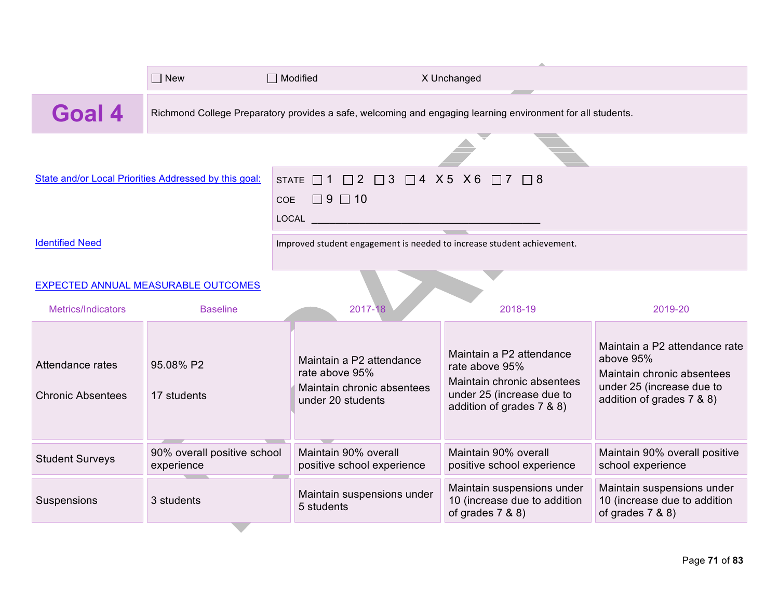|                                              | $\Box$ New                                            | $\Box$ Modified                                                                                                                                                                                                       | X Unchanged                                                                                                                        |                                                                                                                                    |  |  |  |  |  |
|----------------------------------------------|-------------------------------------------------------|-----------------------------------------------------------------------------------------------------------------------------------------------------------------------------------------------------------------------|------------------------------------------------------------------------------------------------------------------------------------|------------------------------------------------------------------------------------------------------------------------------------|--|--|--|--|--|
| <b>Goal 4</b>                                |                                                       | Richmond College Preparatory provides a safe, welcoming and engaging learning environment for all students.                                                                                                           |                                                                                                                                    |                                                                                                                                    |  |  |  |  |  |
|                                              |                                                       |                                                                                                                                                                                                                       |                                                                                                                                    |                                                                                                                                    |  |  |  |  |  |
|                                              | State and/or Local Priorities Addressed by this goal: | STATE □1 □2 □3 □4 X5 X6 □7 □8                                                                                                                                                                                         |                                                                                                                                    |                                                                                                                                    |  |  |  |  |  |
|                                              |                                                       | $\Box$ 9 $\Box$ 10<br>COE                                                                                                                                                                                             |                                                                                                                                    |                                                                                                                                    |  |  |  |  |  |
|                                              |                                                       | LOCAL                                                                                                                                                                                                                 |                                                                                                                                    |                                                                                                                                    |  |  |  |  |  |
| <b>Identified Need</b>                       |                                                       | Improved student engagement is needed to increase student achievement.                                                                                                                                                |                                                                                                                                    |                                                                                                                                    |  |  |  |  |  |
| <b>EXPECTED ANNUAL MEASURABLE OUTCOMES</b>   |                                                       |                                                                                                                                                                                                                       |                                                                                                                                    |                                                                                                                                    |  |  |  |  |  |
| Metrics/Indicators                           | <b>Baseline</b>                                       | 2017-18                                                                                                                                                                                                               | 2018-19                                                                                                                            | 2019-20                                                                                                                            |  |  |  |  |  |
| Attendance rates<br><b>Chronic Absentees</b> | 95.08% P2<br>17 students                              | Maintain a P2 attendance<br>rate above 95%<br>Maintain chronic absentees<br>under 20 students                                                                                                                         | Maintain a P2 attendance<br>rate above 95%<br>Maintain chronic absentees<br>under 25 (increase due to<br>addition of grades 7 & 8) | Maintain a P2 attendance rate<br>above 95%<br>Maintain chronic absentees<br>under 25 (increase due to<br>addition of grades 7 & 8) |  |  |  |  |  |
| <b>Student Surveys</b>                       | 90% overall positive school<br>experience             | Maintain 90% overall<br>positive school experience                                                                                                                                                                    | Maintain 90% overall<br>positive school experience                                                                                 | Maintain 90% overall positive<br>school experience                                                                                 |  |  |  |  |  |
| Suspensions                                  | 3 students                                            | Maintain suspensions under<br>Maintain suspensions under<br>Maintain suspensions under<br>10 (increase due to addition<br>10 (increase due to addition<br>5 students<br>of grades $7 & 80$<br>of grades $7 & 8 & 8$ ) |                                                                                                                                    |                                                                                                                                    |  |  |  |  |  |
|                                              |                                                       |                                                                                                                                                                                                                       |                                                                                                                                    |                                                                                                                                    |  |  |  |  |  |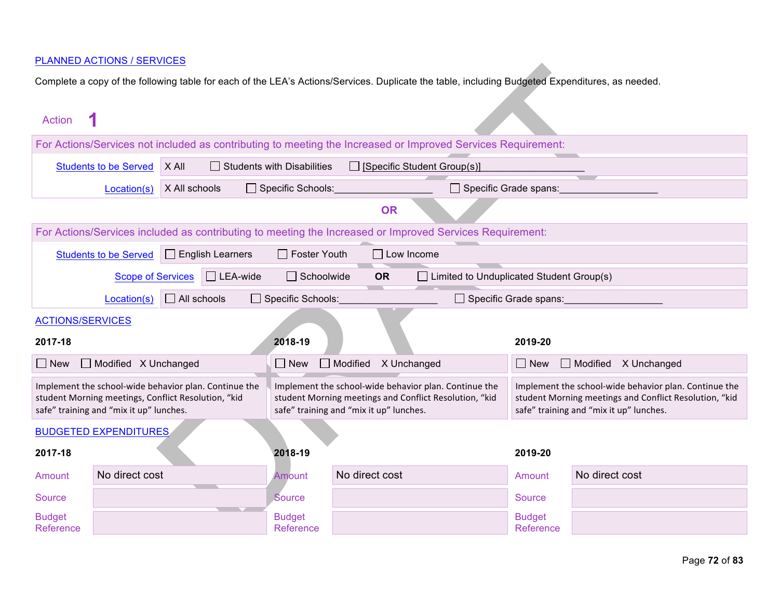| Action                     |                                                                                                                                  |                                                                                                              |                                                                         |                                         |                                                                                                                 |                            |                                                                                                                                                            |  |  |  |
|----------------------------|----------------------------------------------------------------------------------------------------------------------------------|--------------------------------------------------------------------------------------------------------------|-------------------------------------------------------------------------|-----------------------------------------|-----------------------------------------------------------------------------------------------------------------|----------------------------|------------------------------------------------------------------------------------------------------------------------------------------------------------|--|--|--|
|                            | For Actions/Services not included as contributing to meeting the Increased or Improved Services Requirement:                     |                                                                                                              |                                                                         |                                         |                                                                                                                 |                            |                                                                                                                                                            |  |  |  |
|                            | <b>Students to be Served</b>                                                                                                     | X All                                                                                                        | $\Box$ Students with Disabilities<br>$\Box$ [Specific Student Group(s)] |                                         |                                                                                                                 |                            |                                                                                                                                                            |  |  |  |
|                            | Specific Schools:<br>Specific Grade spans:<br>X All schools<br>Location(s)                                                       |                                                                                                              |                                                                         |                                         |                                                                                                                 |                            |                                                                                                                                                            |  |  |  |
|                            | <b>OR</b>                                                                                                                        |                                                                                                              |                                                                         |                                         |                                                                                                                 |                            |                                                                                                                                                            |  |  |  |
|                            | For Actions/Services included as contributing to meeting the Increased or Improved Services Requirement:                         |                                                                                                              |                                                                         |                                         |                                                                                                                 |                            |                                                                                                                                                            |  |  |  |
|                            | <b>Students to be Served</b>                                                                                                     | $\Box$ English Learners                                                                                      | $\Box$ Foster Youth                                                     |                                         | $\Box$ Low Income                                                                                               |                            |                                                                                                                                                            |  |  |  |
|                            | $\Box$ LEA-wide<br>$\Box$ Schoolwide<br>$\Box$ Limited to Unduplicated Student Group(s)<br><b>OR</b><br><b>Scope of Services</b> |                                                                                                              |                                                                         |                                         |                                                                                                                 |                            |                                                                                                                                                            |  |  |  |
|                            | $\Box$ All schools<br>Specific Schools:<br>Location(s)<br>$\Box$ Specific Grade spans:                                           |                                                                                                              |                                                                         |                                         |                                                                                                                 |                            |                                                                                                                                                            |  |  |  |
|                            | <b>ACTIONS/SERVICES</b>                                                                                                          |                                                                                                              |                                                                         |                                         |                                                                                                                 |                            |                                                                                                                                                            |  |  |  |
| 2017-18                    |                                                                                                                                  |                                                                                                              | 2018-19                                                                 |                                         |                                                                                                                 | 2019-20                    |                                                                                                                                                            |  |  |  |
| $\Box$ New                 | $\Box$ Modified $\angle$ Unchanged                                                                                               |                                                                                                              | $\Box$ New                                                              | $\Box$ Modified                         | X Unchanged                                                                                                     | $\Box$ New                 | $\Box$ Modified<br>X Unchanged                                                                                                                             |  |  |  |
|                            | safe" training and "mix it up" lunches.                                                                                          | Implement the school-wide behavior plan. Continue the<br>student Morning meetings, Conflict Resolution, "kid |                                                                         | safe" training and "mix it up" lunches. | Implement the school-wide behavior plan. Continue the<br>student Morning meetings and Conflict Resolution, "kid |                            | Implement the school-wide behavior plan. Continue the<br>student Morning meetings and Conflict Resolution, "kid<br>safe" training and "mix it up" lunches. |  |  |  |
|                            | <b>BUDGETED EXPENDITURES</b>                                                                                                     |                                                                                                              |                                                                         |                                         |                                                                                                                 |                            |                                                                                                                                                            |  |  |  |
| 2017-18                    |                                                                                                                                  |                                                                                                              | 2018-19                                                                 |                                         |                                                                                                                 | 2019-20                    |                                                                                                                                                            |  |  |  |
| Amount                     | No direct cost                                                                                                                   |                                                                                                              | Amount                                                                  | No direct cost                          |                                                                                                                 | Amount                     | No direct cost                                                                                                                                             |  |  |  |
| <b>Source</b>              |                                                                                                                                  |                                                                                                              | Source                                                                  |                                         |                                                                                                                 | <b>Source</b>              |                                                                                                                                                            |  |  |  |
| <b>Budget</b><br>Reference |                                                                                                                                  |                                                                                                              | <b>Budget</b><br>Reference                                              |                                         |                                                                                                                 | <b>Budget</b><br>Reference |                                                                                                                                                            |  |  |  |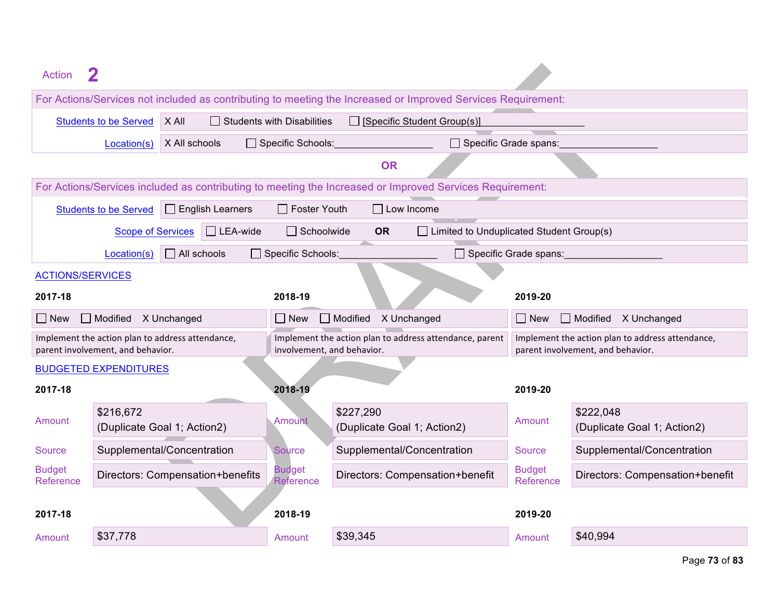| Action                     |                                                                                                                  |                                                  |                                                                                       |                                                                                                          |                              |                                                                                       |  |  |  |
|----------------------------|------------------------------------------------------------------------------------------------------------------|--------------------------------------------------|---------------------------------------------------------------------------------------|----------------------------------------------------------------------------------------------------------|------------------------------|---------------------------------------------------------------------------------------|--|--|--|
|                            | For Actions/Services not included as contributing to meeting the Increased or Improved Services Requirement:     |                                                  |                                                                                       |                                                                                                          |                              |                                                                                       |  |  |  |
|                            | X All<br>$\Box$ Students with Disabilities<br>$\Box$ [Specific Student Group(s)]<br><b>Students to be Served</b> |                                                  |                                                                                       |                                                                                                          |                              |                                                                                       |  |  |  |
|                            | Location(s)                                                                                                      | X All schools                                    | Specific Schools:                                                                     |                                                                                                          | □ Specific Grade spans:      |                                                                                       |  |  |  |
|                            | <b>OR</b>                                                                                                        |                                                  |                                                                                       |                                                                                                          |                              |                                                                                       |  |  |  |
|                            |                                                                                                                  |                                                  |                                                                                       | For Actions/Services included as contributing to meeting the Increased or Improved Services Requirement: |                              |                                                                                       |  |  |  |
|                            | <b>Students to be Served</b>                                                                                     | $\Box$ English Learners                          | $\Box$ Foster Youth                                                                   | $\Box$ Low Income                                                                                        |                              |                                                                                       |  |  |  |
|                            | <b>Scope of Services</b>                                                                                         | $\Box$ LEA-wide                                  | $\Box$ Schoolwide                                                                     | $\Box$ Limited to Unduplicated Student Group(s)<br><b>OR</b>                                             |                              |                                                                                       |  |  |  |
|                            | Location(s)                                                                                                      | $\Box$ All schools                               | Specific Schools:                                                                     |                                                                                                          | $\Box$ Specific Grade spans: |                                                                                       |  |  |  |
| <b>ACTIONS/SERVICES</b>    |                                                                                                                  |                                                  |                                                                                       |                                                                                                          |                              |                                                                                       |  |  |  |
| 2017-18                    |                                                                                                                  |                                                  | 2018-19                                                                               |                                                                                                          | 2019-20                      |                                                                                       |  |  |  |
| $\Box$ New                 | Modified X Unchanged                                                                                             |                                                  | $\Box$ New                                                                            | $\Box$ Modified<br>X Unchanged                                                                           | $\Box$ New                   | $\Box$ Modified<br>X Unchanged                                                        |  |  |  |
|                            | parent involvement, and behavior.                                                                                | Implement the action plan to address attendance, | Implement the action plan to address attendance, parent<br>involvement, and behavior. |                                                                                                          |                              | Implement the action plan to address attendance,<br>parent involvement, and behavior. |  |  |  |
|                            | <b>BUDGETED EXPENDITURES</b>                                                                                     |                                                  |                                                                                       |                                                                                                          |                              |                                                                                       |  |  |  |
| 2017-18                    |                                                                                                                  |                                                  | 2018-19                                                                               |                                                                                                          | 2019-20                      |                                                                                       |  |  |  |
| Amount                     | \$216,672<br>(Duplicate Goal 1; Action2)                                                                         |                                                  | <b>Amount</b>                                                                         | \$227,290<br>(Duplicate Goal 1; Action2)                                                                 | Amount                       | \$222,048<br>(Duplicate Goal 1; Action2)                                              |  |  |  |
| Source                     |                                                                                                                  | Supplemental/Concentration                       | Source                                                                                | Supplemental/Concentration                                                                               | Source                       | Supplemental/Concentration                                                            |  |  |  |
| <b>Budget</b><br>Reference | Directors: Compensation+benefits                                                                                 |                                                  |                                                                                       | Directors: Compensation+benefit                                                                          | <b>Budget</b><br>Reference   | Directors: Compensation+benefit                                                       |  |  |  |
| 2017-18                    |                                                                                                                  |                                                  | 2018-19                                                                               |                                                                                                          | 2019-20                      |                                                                                       |  |  |  |
| Amount                     | \$37,778                                                                                                         |                                                  | Amount                                                                                | \$39,345                                                                                                 | Amount                       | \$40,994                                                                              |  |  |  |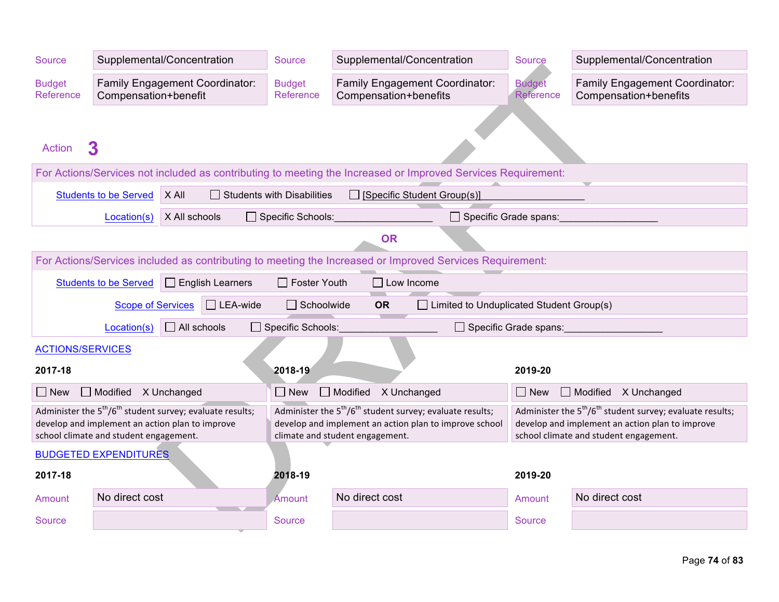| <b>Source</b>              |                                        | Supplemental/Concentration                                                                                    | <b>Source</b>                     | Supplemental/Concentration                                                                                           | Source                                                                                                        | Supplemental/Concentration                                     |  |  |  |  |
|----------------------------|----------------------------------------|---------------------------------------------------------------------------------------------------------------|-----------------------------------|----------------------------------------------------------------------------------------------------------------------|---------------------------------------------------------------------------------------------------------------|----------------------------------------------------------------|--|--|--|--|
| <b>Budget</b><br>Reference | Compensation+benefit                   | Family Engagement Coordinator:                                                                                | <b>Budget</b><br>Reference        | Family Engagement Coordinator:<br>Compensation+benefits                                                              |                                                                                                               | <b>Family Engagement Coordinator:</b><br>Compensation+benefits |  |  |  |  |
|                            |                                        |                                                                                                               |                                   |                                                                                                                      |                                                                                                               |                                                                |  |  |  |  |
| <b>Action</b>              | 3                                      |                                                                                                               |                                   |                                                                                                                      |                                                                                                               |                                                                |  |  |  |  |
|                            |                                        |                                                                                                               |                                   | For Actions/Services not included as contributing to meeting the Increased or Improved Services Requirement:         |                                                                                                               |                                                                |  |  |  |  |
|                            | <b>Students to be Served</b>           | X All                                                                                                         | $\Box$ Students with Disabilities | $\Box$ [Specific Student Group(s)]                                                                                   |                                                                                                               |                                                                |  |  |  |  |
|                            | Location(s)                            | X All schools                                                                                                 | Specific Schools:                 | $\Box$ Specific Grade spans:                                                                                         |                                                                                                               |                                                                |  |  |  |  |
|                            |                                        |                                                                                                               |                                   | <b>OR</b>                                                                                                            |                                                                                                               |                                                                |  |  |  |  |
|                            |                                        |                                                                                                               |                                   | For Actions/Services included as contributing to meeting the Increased or Improved Services Requirement:             |                                                                                                               |                                                                |  |  |  |  |
|                            | <b>Students to be Served</b>           | $\Box$ English Learners                                                                                       | $\Box$ Foster Youth               | $\Box$ Low Income                                                                                                    |                                                                                                               |                                                                |  |  |  |  |
|                            | <b>Scope of Services</b>               | $\Box$ LEA-wide                                                                                               | $\Box$ Schoolwide                 | $\Box$ Limited to Unduplicated Student Group(s)<br><b>OR</b>                                                         |                                                                                                               |                                                                |  |  |  |  |
|                            | Location(s)                            | $\Box$ All schools                                                                                            | Specific Schools:                 |                                                                                                                      | Specific Grade spans:                                                                                         |                                                                |  |  |  |  |
| <b>ACTIONS/SERVICES</b>    |                                        |                                                                                                               |                                   |                                                                                                                      |                                                                                                               |                                                                |  |  |  |  |
| 2017-18                    |                                        |                                                                                                               | 2018-19                           |                                                                                                                      | 2019-20                                                                                                       |                                                                |  |  |  |  |
| $\Box$ New                 | Modified X Unchanged                   |                                                                                                               | $\Box$ New                        | Modified X Unchanged                                                                                                 | $\Box$ New                                                                                                    | Modified X Unchanged                                           |  |  |  |  |
|                            |                                        | Administer the $5th/6th$ student survey; evaluate results;<br>develop and implement an action plan to improve |                                   | Administer the $5th/6th$ student survey; evaluate results;<br>develop and implement an action plan to improve school | Administer the $5th/6th$ student survey; evaluate results;<br>develop and implement an action plan to improve |                                                                |  |  |  |  |
|                            | school climate and student engagement. |                                                                                                               |                                   | climate and student engagement.                                                                                      |                                                                                                               | school climate and student engagement.                         |  |  |  |  |
|                            | <b>BUDGETED EXPENDITURES</b>           |                                                                                                               |                                   |                                                                                                                      |                                                                                                               |                                                                |  |  |  |  |
| 2017-18                    |                                        |                                                                                                               | 2018-19                           |                                                                                                                      | 2019-20                                                                                                       |                                                                |  |  |  |  |
| Amount                     | No direct cost                         |                                                                                                               | Amount                            | No direct cost                                                                                                       | Amount                                                                                                        | No direct cost                                                 |  |  |  |  |
| Source                     |                                        |                                                                                                               | Source                            |                                                                                                                      | Source                                                                                                        |                                                                |  |  |  |  |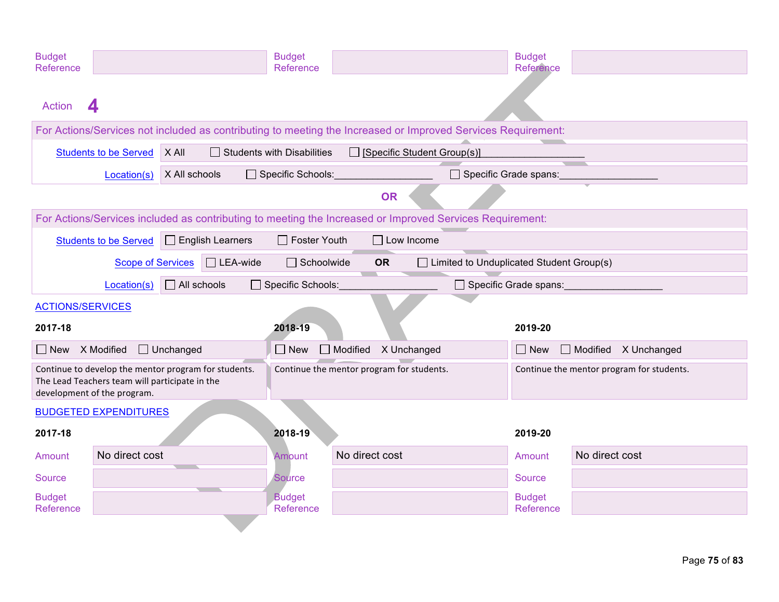| <b>Budget</b><br>Reference    |                                                                                                        | <b>Budget</b><br>Reference        |                                                                                                              | <b>Budget</b><br>Reference                |                                     |
|-------------------------------|--------------------------------------------------------------------------------------------------------|-----------------------------------|--------------------------------------------------------------------------------------------------------------|-------------------------------------------|-------------------------------------|
| <b>Action</b><br>Δ            |                                                                                                        |                                   |                                                                                                              |                                           |                                     |
|                               |                                                                                                        |                                   | For Actions/Services not included as contributing to meeting the Increased or Improved Services Requirement: |                                           |                                     |
|                               | Students to be Served   X All                                                                          | $\Box$ Students with Disabilities | $\Box$ [Specific Student Group(s)]                                                                           |                                           |                                     |
|                               | X All schools<br>Location(s)                                                                           | Specific Schools:                 | Specific Grade spans:                                                                                        |                                           |                                     |
|                               |                                                                                                        |                                   | <b>OR</b>                                                                                                    |                                           |                                     |
|                               |                                                                                                        |                                   | For Actions/Services included as contributing to meeting the Increased or Improved Services Requirement:     |                                           |                                     |
| <b>Students to be Served</b>  | $\Box$ English Learners                                                                                | $\Box$ Foster Youth               | $\Box$ Low Income                                                                                            |                                           |                                     |
|                               | $\Box$ LEA-wide<br><b>Scope of Services</b>                                                            | $\Box$ Schoolwide                 | $\Box$ Limited to Unduplicated Student Group(s)<br><b>OR</b>                                                 |                                           |                                     |
|                               | $\Box$ All schools<br>Location(s)                                                                      | □ Specific Schools:               |                                                                                                              | □ Specific Grade spans:                   |                                     |
| <b>ACTIONS/SERVICES</b>       |                                                                                                        |                                   |                                                                                                              |                                           |                                     |
| 2017-18                       |                                                                                                        | 2018-19                           |                                                                                                              | 2019-20                                   |                                     |
| $\Box$ New $\Lambda$ Modified | $\Box$ Unchanged                                                                                       | $\Box$ New                        | $\Box$ Modified<br>X Unchanged                                                                               | $\Box$ New                                | $\Box$ Modified $\Lambda$ Unchanged |
| development of the program.   | Continue to develop the mentor program for students.<br>The Lead Teachers team will participate in the |                                   | Continue the mentor program for students.                                                                    | Continue the mentor program for students. |                                     |
| <b>BUDGETED EXPENDITURES</b>  |                                                                                                        |                                   |                                                                                                              |                                           |                                     |
| 2017-18                       |                                                                                                        | 2018-19                           |                                                                                                              | 2019-20                                   |                                     |
| Amount                        | No direct cost                                                                                         | Amount                            | No direct cost                                                                                               | Amount                                    | No direct cost                      |
| Source                        |                                                                                                        | <b>Source</b>                     |                                                                                                              | Source                                    |                                     |
| <b>Budget</b><br>Reference    |                                                                                                        | <b>Budget</b><br>Reference        |                                                                                                              | <b>Budget</b><br>Reference                |                                     |
|                               |                                                                                                        |                                   |                                                                                                              |                                           |                                     |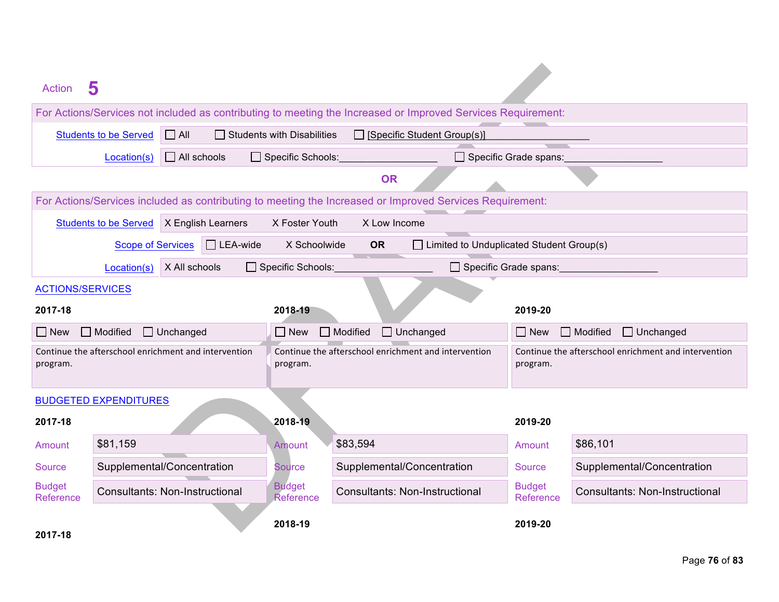| <b>Action</b>              | 5                                                    |                                                                                                                                      |                                                                                                              |                              |                                       |
|----------------------------|------------------------------------------------------|--------------------------------------------------------------------------------------------------------------------------------------|--------------------------------------------------------------------------------------------------------------|------------------------------|---------------------------------------|
|                            |                                                      |                                                                                                                                      | For Actions/Services not included as contributing to meeting the Increased or Improved Services Requirement: |                              |                                       |
|                            | $\Box$ All<br><b>Students to be Served</b>           | $\Box$ Students with Disabilities                                                                                                    | $\Box$ [Specific Student Group(s)]                                                                           |                              |                                       |
|                            | $\Box$ All schools<br>Location(s)                    | Specific Schools:                                                                                                                    |                                                                                                              | $\Box$ Specific Grade spans: |                                       |
|                            |                                                      |                                                                                                                                      | <b>OR</b>                                                                                                    |                              |                                       |
|                            |                                                      |                                                                                                                                      | For Actions/Services included as contributing to meeting the Increased or Improved Services Requirement:     |                              |                                       |
|                            | <b>Students to be Served</b><br>X English Learners   | X Foster Youth                                                                                                                       | X Low Income                                                                                                 |                              |                                       |
|                            | $\Box$ LEA-wide<br><b>Scope of Services</b>          | X Schoolwide                                                                                                                         | $\Box$ Limited to Unduplicated Student Group(s)<br><b>OR</b>                                                 |                              |                                       |
|                            | X All schools<br>Location(s)                         | □ Specific Schools:                                                                                                                  | □ Specific Grade spans:                                                                                      |                              |                                       |
| <b>ACTIONS/SERVICES</b>    |                                                      |                                                                                                                                      |                                                                                                              |                              |                                       |
| 2017-18                    |                                                      | 2018-19                                                                                                                              |                                                                                                              | 2019-20                      |                                       |
| $\Box$ New                 | Modified<br>$\Box$ Unchanged                         | $\Box$ New                                                                                                                           | $\Box$ Modified<br>$\Box$ Unchanged<br>$\Box$ Modified<br>$\Box$ Unchanged<br>$\Box$ New                     |                              |                                       |
| program.                   | Continue the afterschool enrichment and intervention | Continue the afterschool enrichment and intervention<br>Continue the afterschool enrichment and intervention<br>program.<br>program. |                                                                                                              |                              |                                       |
|                            | <b>BUDGETED EXPENDITURES</b>                         |                                                                                                                                      |                                                                                                              |                              |                                       |
| 2017-18                    |                                                      | 2018-19                                                                                                                              |                                                                                                              | 2019-20                      |                                       |
| Amount                     | \$81,159                                             | Amount                                                                                                                               | \$83,594                                                                                                     | Amount                       | \$86,101                              |
| Source                     | Supplemental/Concentration                           | Source                                                                                                                               | Supplemental/Concentration                                                                                   | <b>Source</b>                | Supplemental/Concentration            |
| <b>Budget</b><br>Reference | <b>Consultants: Non-Instructional</b>                | <b>Budget</b><br>Reference                                                                                                           | <b>Consultants: Non-Instructional</b>                                                                        | <b>Budget</b><br>Reference   | <b>Consultants: Non-Instructional</b> |
| 2017-18                    |                                                      | 2018-19                                                                                                                              |                                                                                                              | 2019-20                      |                                       |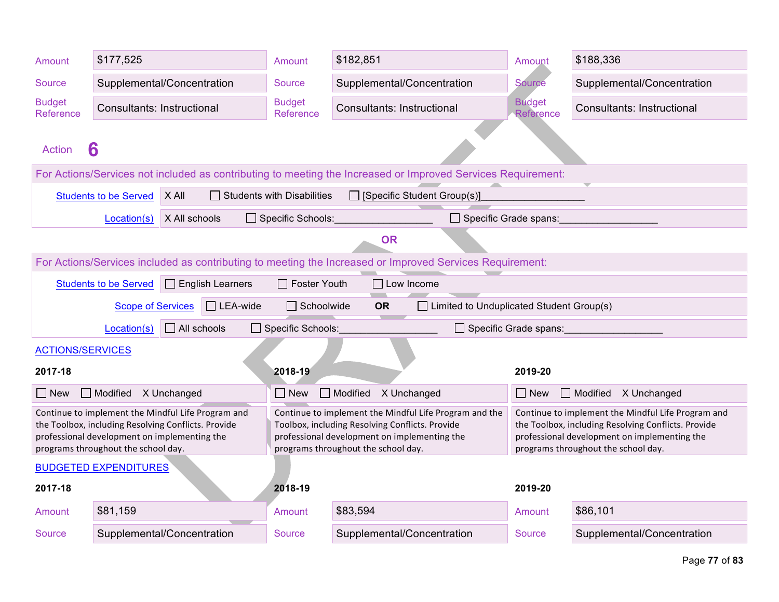| Amount                                                 | \$177,525                                                                           |                                                                                                           | Amount                            | \$182,851                                                                                                                                                                                        | Amount                     | \$188,336                                                                                                                                                                                        |  |  |
|--------------------------------------------------------|-------------------------------------------------------------------------------------|-----------------------------------------------------------------------------------------------------------|-----------------------------------|--------------------------------------------------------------------------------------------------------------------------------------------------------------------------------------------------|----------------------------|--------------------------------------------------------------------------------------------------------------------------------------------------------------------------------------------------|--|--|
| Source                                                 |                                                                                     | Supplemental/Concentration                                                                                | <b>Source</b>                     | Supplemental/Concentration                                                                                                                                                                       | <b>Source</b>              | Supplemental/Concentration                                                                                                                                                                       |  |  |
| <b>Budget</b><br>Reference                             | <b>Consultants: Instructional</b>                                                   |                                                                                                           | <b>Budget</b><br>Reference        | <b>Consultants: Instructional</b>                                                                                                                                                                | <b>Budget</b><br>Reference | <b>Consultants: Instructional</b>                                                                                                                                                                |  |  |
| <b>Action</b>                                          | 6                                                                                   |                                                                                                           |                                   |                                                                                                                                                                                                  |                            |                                                                                                                                                                                                  |  |  |
|                                                        |                                                                                     |                                                                                                           |                                   | For Actions/Services not included as contributing to meeting the Increased or Improved Services Requirement:                                                                                     |                            |                                                                                                                                                                                                  |  |  |
|                                                        | <b>Students to be Served</b>                                                        | X All                                                                                                     | $\Box$ Students with Disabilities | □ [Specific Student Group(s)]                                                                                                                                                                    |                            |                                                                                                                                                                                                  |  |  |
|                                                        | Location(s)                                                                         | X All schools                                                                                             | □ Specific Schools:               | $\Box$ Specific Grade spans:                                                                                                                                                                     |                            |                                                                                                                                                                                                  |  |  |
|                                                        |                                                                                     |                                                                                                           |                                   | <b>OR</b>                                                                                                                                                                                        |                            |                                                                                                                                                                                                  |  |  |
|                                                        |                                                                                     |                                                                                                           |                                   | For Actions/Services included as contributing to meeting the Increased or Improved Services Requirement:                                                                                         |                            |                                                                                                                                                                                                  |  |  |
|                                                        | <b>Students to be Served</b>                                                        | $\Box$ English Learners                                                                                   | $\Box$ Foster Youth               | $\Box$ Low Income                                                                                                                                                                                |                            |                                                                                                                                                                                                  |  |  |
|                                                        | <b>Scope of Services</b>                                                            | $\Box$ LEA-wide                                                                                           | $\Box$ Schoolwide                 | $\Box$ Limited to Unduplicated Student Group(s)<br><b>OR</b>                                                                                                                                     |                            |                                                                                                                                                                                                  |  |  |
|                                                        | Location(s)                                                                         | $\Box$ All schools                                                                                        | □ Specific Schools:               |                                                                                                                                                                                                  | □ Specific Grade spans:    |                                                                                                                                                                                                  |  |  |
| <b>ACTIONS/SERVICES</b>                                |                                                                                     |                                                                                                           |                                   |                                                                                                                                                                                                  |                            |                                                                                                                                                                                                  |  |  |
| 2017-18                                                | 2018-19<br>2019-20                                                                  |                                                                                                           |                                   |                                                                                                                                                                                                  |                            |                                                                                                                                                                                                  |  |  |
| Modified<br>Modified<br>$\Box$ Modified<br>X Unchanged |                                                                                     |                                                                                                           |                                   |                                                                                                                                                                                                  |                            |                                                                                                                                                                                                  |  |  |
| $\Box$ New                                             |                                                                                     |                                                                                                           | $\Box$ New                        | X Unchanged                                                                                                                                                                                      | $\Box$ New                 | X Unchanged                                                                                                                                                                                      |  |  |
|                                                        | professional development on implementing the<br>programs throughout the school day. | Continue to implement the Mindful Life Program and<br>the Toolbox, including Resolving Conflicts. Provide |                                   | Continue to implement the Mindful Life Program and the<br>Toolbox, including Resolving Conflicts. Provide<br>professional development on implementing the<br>programs throughout the school day. |                            | Continue to implement the Mindful Life Program and<br>the Toolbox, including Resolving Conflicts. Provide<br>professional development on implementing the<br>programs throughout the school day. |  |  |
|                                                        | <b>BUDGETED EXPENDITURES</b>                                                        |                                                                                                           |                                   |                                                                                                                                                                                                  |                            |                                                                                                                                                                                                  |  |  |
| 2017-18                                                |                                                                                     |                                                                                                           | 2018-19                           |                                                                                                                                                                                                  | 2019-20                    |                                                                                                                                                                                                  |  |  |
| Amount                                                 | \$81,159                                                                            |                                                                                                           | Amount                            | \$83,594                                                                                                                                                                                         | Amount                     | \$86,101                                                                                                                                                                                         |  |  |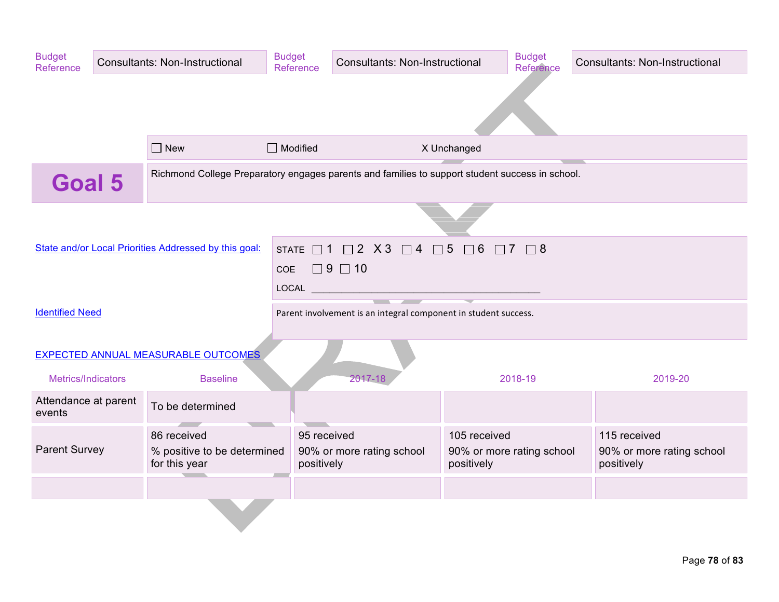| <b>Budget</b><br>Reference     | Consultants: Non-Instructional |                                                                                                 | <b>Budget</b><br>Reference                                                                                                                                                                                                                                                                                                                                                                                                                                                                                               | <b>Consultants: Non-Instructional</b>                                         |                            | <b>Budget</b><br>Reference | Consultants: Non-Instructional                          |
|--------------------------------|--------------------------------|-------------------------------------------------------------------------------------------------|--------------------------------------------------------------------------------------------------------------------------------------------------------------------------------------------------------------------------------------------------------------------------------------------------------------------------------------------------------------------------------------------------------------------------------------------------------------------------------------------------------------------------|-------------------------------------------------------------------------------|----------------------------|----------------------------|---------------------------------------------------------|
|                                |                                |                                                                                                 |                                                                                                                                                                                                                                                                                                                                                                                                                                                                                                                          |                                                                               |                            |                            |                                                         |
|                                |                                |                                                                                                 |                                                                                                                                                                                                                                                                                                                                                                                                                                                                                                                          |                                                                               |                            |                            |                                                         |
|                                |                                | $\Box$ New                                                                                      | $\Box$ Modified                                                                                                                                                                                                                                                                                                                                                                                                                                                                                                          |                                                                               | X Unchanged                |                            |                                                         |
| <b>Goal 5</b>                  |                                | Richmond College Preparatory engages parents and families to support student success in school. |                                                                                                                                                                                                                                                                                                                                                                                                                                                                                                                          |                                                                               |                            |                            |                                                         |
|                                |                                |                                                                                                 |                                                                                                                                                                                                                                                                                                                                                                                                                                                                                                                          |                                                                               |                            |                            |                                                         |
|                                |                                | State and/or Local Priorities Addressed by this goal:                                           |                                                                                                                                                                                                                                                                                                                                                                                                                                                                                                                          | STATE $\Box$ 1 $\Box$ 2 $\chi$ 3 $\Box$ 4 $\Box$ 5 $\Box$ 6 $\Box$ 7 $\Box$ 8 |                            |                            |                                                         |
|                                |                                |                                                                                                 | $\Box$ 9 $\Box$ 10<br>COE<br>$\begin{tabular}{ c c c c } \hline \multicolumn{1}{ c }{\textbf{LOCAL}} & \multicolumn{1}{ c }{\textbf{Local}}\\ \hline \multicolumn{1}{ c }{\textbf{LOCAL}} & \multicolumn{1}{ c }{\textbf{Local}}\\ \hline \multicolumn{1}{ c }{\textbf{LOCAL}} & \multicolumn{1}{ c }{\textbf{Local}}\\ \hline \multicolumn{1}{ c }{\textbf{LOCAL}} & \multicolumn{1}{ c }{\textbf{Local}}\\ \hline \multicolumn{1}{ c }{\textbf{Local}} & \multicolumn{1}{ c }{\textbf{Local}}\\ \hline \multicolumn{1$ |                                                                               |                            |                            |                                                         |
|                                |                                |                                                                                                 |                                                                                                                                                                                                                                                                                                                                                                                                                                                                                                                          | $\sim$ $\sim$                                                                 |                            |                            |                                                         |
| <b>Identified Need</b>         |                                |                                                                                                 |                                                                                                                                                                                                                                                                                                                                                                                                                                                                                                                          | Parent involvement is an integral component in student success.               |                            |                            |                                                         |
|                                |                                | EXPECTED ANNUAL MEASURABLE OUTCOMES                                                             |                                                                                                                                                                                                                                                                                                                                                                                                                                                                                                                          |                                                                               |                            |                            |                                                         |
| Metrics/Indicators             |                                | <b>Baseline</b>                                                                                 |                                                                                                                                                                                                                                                                                                                                                                                                                                                                                                                          | 2017-18                                                                       |                            | 2018-19                    | 2019-20                                                 |
| Attendance at parent<br>events |                                | To be determined                                                                                |                                                                                                                                                                                                                                                                                                                                                                                                                                                                                                                          |                                                                               |                            |                            |                                                         |
| <b>Parent Survey</b>           |                                | 86 received<br>% positive to be determined<br>for this year                                     | 95 received<br>positively                                                                                                                                                                                                                                                                                                                                                                                                                                                                                                | 90% or more rating school                                                     | 105 received<br>positively | 90% or more rating school  | 115 received<br>90% or more rating school<br>positively |
|                                |                                |                                                                                                 |                                                                                                                                                                                                                                                                                                                                                                                                                                                                                                                          |                                                                               |                            |                            |                                                         |
|                                |                                |                                                                                                 |                                                                                                                                                                                                                                                                                                                                                                                                                                                                                                                          |                                                                               |                            |                            |                                                         |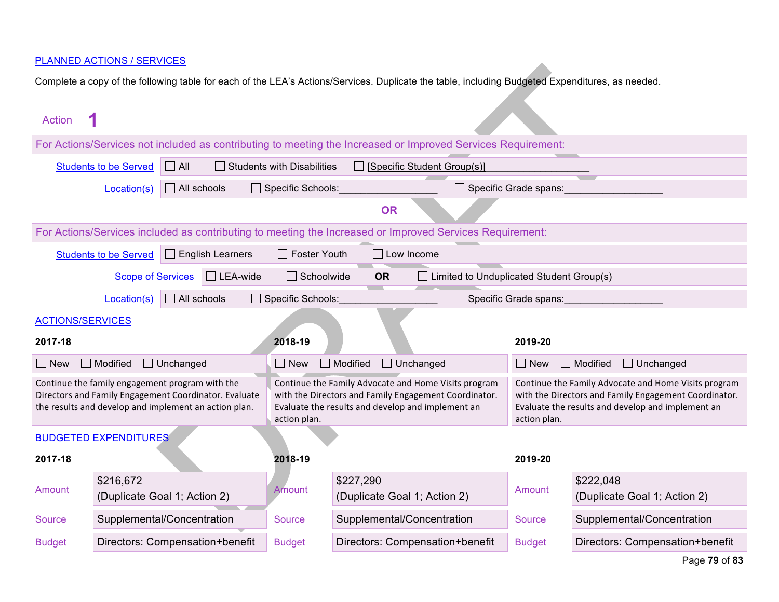## PLANNED ACTIONS / SERVICES

Complete a copy of the following table for each of the LEA's Actions/Services. Duplicate the table, including Budgeted Expenditures, as needed.

| <b>Action</b>                                                                                                         |                                                                                                          |                    |                         |                          |                 |                   |                                                                                                               |                                              |              |                                                                                                               |
|-----------------------------------------------------------------------------------------------------------------------|----------------------------------------------------------------------------------------------------------|--------------------|-------------------------|--------------------------|-----------------|-------------------|---------------------------------------------------------------------------------------------------------------|----------------------------------------------|--------------|---------------------------------------------------------------------------------------------------------------|
| For Actions/Services not included as contributing to meeting the Increased or Improved Services Requirement:          |                                                                                                          |                    |                         |                          |                 |                   |                                                                                                               |                                              |              |                                                                                                               |
| $\Box$ All<br><b>Students to be Served</b><br>$\Box$ Students with Disabilities<br>$\Box$ [Specific Student Group(s)] |                                                                                                          |                    |                         |                          |                 |                   |                                                                                                               |                                              |              |                                                                                                               |
|                                                                                                                       | Location(s)                                                                                              | $\Box$ All schools |                         | $\Box$ Specific Schools: |                 |                   | Specific Grade spans:                                                                                         |                                              |              |                                                                                                               |
|                                                                                                                       |                                                                                                          |                    |                         |                          |                 | <b>OR</b>         |                                                                                                               |                                              |              |                                                                                                               |
|                                                                                                                       |                                                                                                          |                    |                         |                          |                 |                   | For Actions/Services included as contributing to meeting the Increased or Improved Services Requirement:      |                                              |              |                                                                                                               |
|                                                                                                                       | <b>Students to be Served</b>                                                                             |                    | $\Box$ English Learners | $\Box$ Foster Youth      |                 | $\Box$ Low Income |                                                                                                               |                                              |              |                                                                                                               |
|                                                                                                                       | <b>Scope of Services</b>                                                                                 |                    | $\Box$ LEA-wide         | $\Box$ Schoolwide        |                 | <b>OR</b>         | $\Box$ Limited to Unduplicated Student Group(s)                                                               |                                              |              |                                                                                                               |
|                                                                                                                       | Location(s)                                                                                              | $\Box$ All schools |                         | □ Specific Schools:      |                 |                   | $\Box$ Specific Grade spans:                                                                                  |                                              |              |                                                                                                               |
| <b>ACTIONS/SERVICES</b>                                                                                               |                                                                                                          |                    |                         |                          |                 |                   |                                                                                                               |                                              |              |                                                                                                               |
| 2017-18                                                                                                               |                                                                                                          |                    |                         | 2018-19                  |                 |                   |                                                                                                               | 2019-20                                      |              |                                                                                                               |
| $\Box$ New                                                                                                            | Modified                                                                                                 | $\Box$ Unchanged   |                         | $\Box$ New               | $\Box$ Modified |                   | $\Box$ Unchanged                                                                                              | $\Box$ Modified<br>$\Box$ Unchanged<br>  New |              |                                                                                                               |
|                                                                                                                       | Continue the family engagement program with the<br>Directors and Family Engagement Coordinator. Evaluate |                    |                         |                          |                 |                   | Continue the Family Advocate and Home Visits program<br>with the Directors and Family Engagement Coordinator. |                                              |              | Continue the Family Advocate and Home Visits program<br>with the Directors and Family Engagement Coordinator. |
|                                                                                                                       | the results and develop and implement an action plan.                                                    |                    |                         | action plan.             |                 |                   | Evaluate the results and develop and implement an                                                             |                                              | action plan. | Evaluate the results and develop and implement an                                                             |
|                                                                                                                       | <b>BUDGETED EXPENDITURES</b>                                                                             |                    |                         |                          |                 |                   |                                                                                                               |                                              |              |                                                                                                               |
| 2017-18                                                                                                               |                                                                                                          |                    |                         | 2018-19                  |                 |                   |                                                                                                               | 2019-20                                      |              |                                                                                                               |
| Amount                                                                                                                | \$216,672                                                                                                |                    |                         | Amount                   | \$227,290       |                   |                                                                                                               | Amount                                       |              | \$222,048                                                                                                     |
|                                                                                                                       | (Duplicate Goal 1; Action 2)                                                                             |                    |                         |                          |                 |                   | (Duplicate Goal 1; Action 2)                                                                                  |                                              |              | (Duplicate Goal 1; Action 2)                                                                                  |
| Source                                                                                                                | Supplemental/Concentration                                                                               |                    |                         | <b>Source</b>            |                 |                   | Supplemental/Concentration                                                                                    | <b>Source</b>                                |              | Supplemental/Concentration                                                                                    |
| <b>Budget</b>                                                                                                         | Directors: Compensation+benefit                                                                          |                    |                         | <b>Budget</b>            |                 |                   | Directors: Compensation+benefit                                                                               | <b>Budget</b>                                |              | Directors: Compensation+benefit                                                                               |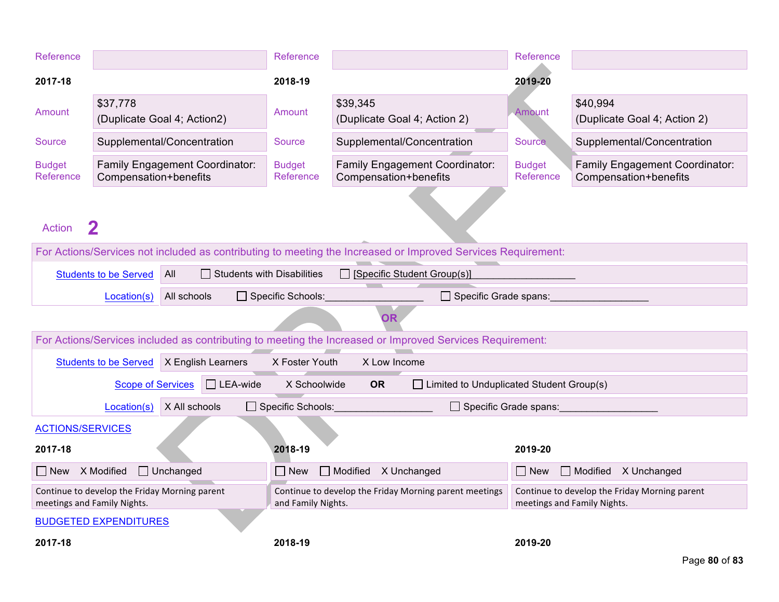| Reference                                                                    |                              |                                       | Reference                                                                    |                                                                                                              | Reference                  |                                                                              |
|------------------------------------------------------------------------------|------------------------------|---------------------------------------|------------------------------------------------------------------------------|--------------------------------------------------------------------------------------------------------------|----------------------------|------------------------------------------------------------------------------|
| 2017-18                                                                      |                              |                                       | 2018-19                                                                      |                                                                                                              | 2019-20                    |                                                                              |
| Amount                                                                       | \$37,778                     | (Duplicate Goal 4; Action2)           | Amount                                                                       | \$39,345<br>(Duplicate Goal 4; Action 2)                                                                     | Amount                     | \$40,994<br>(Duplicate Goal 4; Action 2)                                     |
| Source                                                                       |                              | Supplemental/Concentration            | Source                                                                       | Supplemental/Concentration                                                                                   | <b>Source</b>              | Supplemental/Concentration                                                   |
| <b>Budget</b><br>Reference                                                   | Compensation+benefits        | <b>Family Engagement Coordinator:</b> | <b>Budget</b><br>Reference                                                   | Family Engagement Coordinator:<br>Compensation+benefits                                                      | <b>Budget</b><br>Reference | <b>Family Engagement Coordinator:</b><br>Compensation+benefits               |
| <b>Action</b>                                                                |                              |                                       |                                                                              |                                                                                                              |                            |                                                                              |
|                                                                              |                              |                                       |                                                                              | For Actions/Services not included as contributing to meeting the Increased or Improved Services Requirement: |                            |                                                                              |
|                                                                              | <b>Students to be Served</b> | All                                   | <b>Students with Disabilities</b>                                            | $\Box$ [Specific Student Group(s)]                                                                           |                            |                                                                              |
|                                                                              | Location(s)                  | All schools                           | Specific Schools:                                                            | $\Box$ Specific Grade spans:                                                                                 |                            |                                                                              |
|                                                                              |                              |                                       |                                                                              | <b>OR</b>                                                                                                    |                            |                                                                              |
|                                                                              |                              |                                       |                                                                              | For Actions/Services included as contributing to meeting the Increased or Improved Services Requirement:     |                            |                                                                              |
|                                                                              | <b>Students to be Served</b> | X English Learners                    | X Foster Youth                                                               | X Low Income                                                                                                 |                            |                                                                              |
|                                                                              | <b>Scope of Services</b>     | $\Box$ LEA-wide                       | X Schoolwide                                                                 | <b>OR</b><br>$\Box$ Limited to Unduplicated Student Group(s)                                                 |                            |                                                                              |
|                                                                              | Location(s)                  | X All schools                         | $\Box$ Specific Schools:                                                     |                                                                                                              | Specific Grade spans:      |                                                                              |
| <b>ACTIONS/SERVICES</b>                                                      |                              |                                       |                                                                              |                                                                                                              |                            |                                                                              |
| 2017-18                                                                      |                              |                                       | 2018-19                                                                      |                                                                                                              | 2019-20                    |                                                                              |
| New X Modified                                                               |                              | $\Box$ Unchanged                      | $\square$ New                                                                | Modified X Unchanged                                                                                         | $\Box$ New                 | Modified X Unchanged                                                         |
| Continue to develop the Friday Morning parent<br>meetings and Family Nights. |                              |                                       | Continue to develop the Friday Morning parent meetings<br>and Family Nights. |                                                                                                              |                            | Continue to develop the Friday Morning parent<br>meetings and Family Nights. |
|                                                                              | <b>BUDGETED EXPENDITURES</b> |                                       |                                                                              |                                                                                                              |                            |                                                                              |
| 2017-18                                                                      |                              |                                       | 2018-19                                                                      |                                                                                                              | 2019-20                    |                                                                              |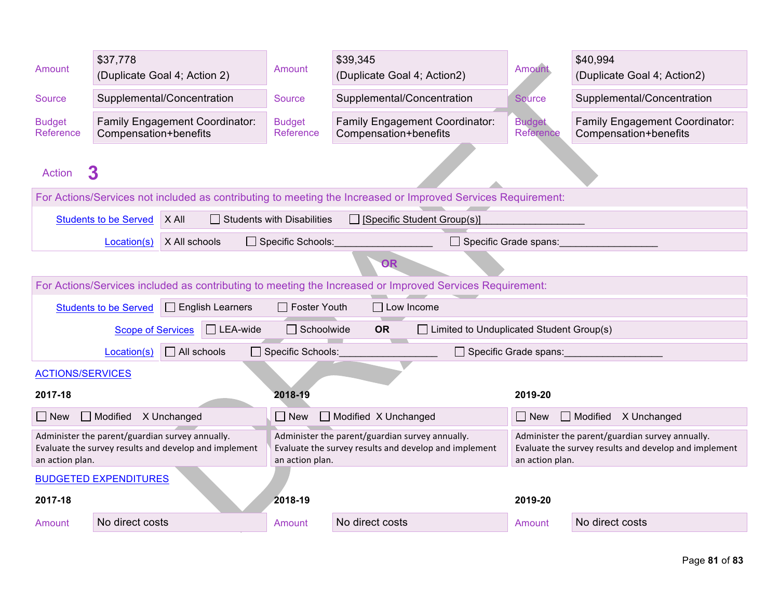| Amount                     | \$37,778<br>(Duplicate Goal 4; Action 2)        |                                                       | Amount                            | \$39,345<br>(Duplicate Goal 4; Action2)                                                                      | <b>Amount</b>                                                                                                               | \$40,994<br>(Duplicate Goal 4; Action2)                 |
|----------------------------|-------------------------------------------------|-------------------------------------------------------|-----------------------------------|--------------------------------------------------------------------------------------------------------------|-----------------------------------------------------------------------------------------------------------------------------|---------------------------------------------------------|
| Source                     | Supplemental/Concentration                      |                                                       | <b>Source</b>                     | Supplemental/Concentration                                                                                   | Source                                                                                                                      | Supplemental/Concentration                              |
| <b>Budget</b><br>Reference | Compensation+benefits                           | <b>Family Engagement Coordinator:</b>                 | <b>Budget</b><br>Reference        | <b>Family Engagement Coordinator:</b><br>Compensation+benefits                                               | <b>Budget</b><br>Reference                                                                                                  | Family Engagement Coordinator:<br>Compensation+benefits |
| <b>Action</b>              | 3                                               |                                                       |                                   |                                                                                                              |                                                                                                                             |                                                         |
|                            |                                                 |                                                       |                                   | For Actions/Services not included as contributing to meeting the Increased or Improved Services Requirement: |                                                                                                                             |                                                         |
|                            | <b>Students to be Served</b>                    | X All                                                 | $\Box$ Students with Disabilities | $\Box$ [Specific Student Group(s)]                                                                           |                                                                                                                             |                                                         |
|                            | Location(s)                                     | X All schools                                         | $\Box$ Specific Schools:          | □ Specific Grade spans:                                                                                      |                                                                                                                             |                                                         |
|                            |                                                 |                                                       |                                   | <b>OR</b>                                                                                                    |                                                                                                                             |                                                         |
|                            |                                                 |                                                       |                                   | For Actions/Services included as contributing to meeting the Increased or Improved Services Requirement:     |                                                                                                                             |                                                         |
|                            | <b>Students to be Served</b>                    | $\Box$ English Learners                               | $\Box$ Foster Youth               | $\Box$ Low Income                                                                                            |                                                                                                                             |                                                         |
|                            | <b>Scope of Services</b>                        | $\Box$ LEA-wide                                       | Schoolwide                        | $\Box$ Limited to Unduplicated Student Group(s)<br><b>OR</b>                                                 |                                                                                                                             |                                                         |
|                            | Location(s)                                     | $\Box$ All schools                                    |                                   | □ Specific Schools:<br>Specific Grade spans:                                                                 |                                                                                                                             |                                                         |
| <b>ACTIONS/SERVICES</b>    |                                                 |                                                       |                                   |                                                                                                              |                                                                                                                             |                                                         |
| 2017-18                    |                                                 |                                                       | 2018-19                           |                                                                                                              | 2019-20                                                                                                                     |                                                         |
| $\Box$ New                 | Modified X Unchanged                            |                                                       | $\Box$ New                        | Modified X Unchanged                                                                                         | $\Box$ New                                                                                                                  | Modified X Unchanged                                    |
| an action plan.            | Administer the parent/guardian survey annually. | Evaluate the survey results and develop and implement | an action plan.                   | Administer the parent/guardian survey annually.<br>Evaluate the survey results and develop and implement     | Administer the parent/guardian survey annually.<br>Evaluate the survey results and develop and implement<br>an action plan. |                                                         |
|                            | <b>BUDGETED EXPENDITURES</b>                    |                                                       |                                   |                                                                                                              |                                                                                                                             |                                                         |
| 2017-18                    |                                                 |                                                       | 2018-19                           |                                                                                                              | 2019-20                                                                                                                     |                                                         |
| Amount                     | No direct costs                                 |                                                       | Amount                            | No direct costs                                                                                              | Amount                                                                                                                      | No direct costs                                         |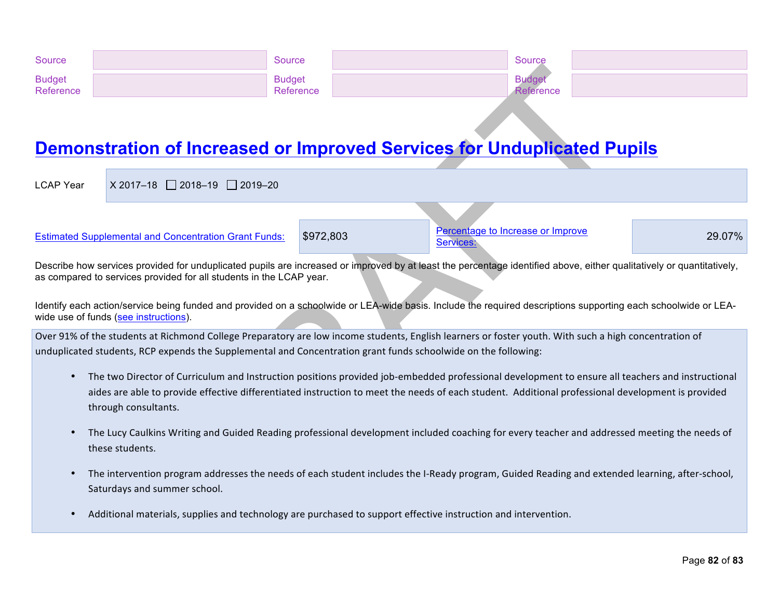| Source                     | Source                     | Source           |  |
|----------------------------|----------------------------|------------------|--|
| <b>Budget</b><br>Reference | <b>Budget</b><br>Reference | <b>Reference</b> |  |

## **Demonstration of Increased or Improved Services for Unduplicated Pupils**

LCAP Year  $X 2017-18$  2018-19 2019-20

Estimated Supplemental and Concentration Grant Funds: \$972,803 Percentage Services:

Percentage to Increase or Improve 29.07%

Describe how services provided for unduplicated pupils are increased or improved by at least the percentage identified above, either qualitatively or quantitatively, as compared to services provided for all students in the LCAP year.

Identify each action/service being funded and provided on a schoolwide or LEA-wide basis. Include the required descriptions supporting each schoolwide or LEAwide use of funds (see instructions).

Over 91% of the students at Richmond College Preparatory are low income students, English learners or foster youth. With such a high concentration of unduplicated students, RCP expends the Supplemental and Concentration grant funds schoolwide on the following:

- The two Director of Curriculum and Instruction positions provided job-embedded professional development to ensure all teachers and instructional aides are able to provide effective differentiated instruction to meet the needs of each student. Additional professional development is provided through consultants.
- The Lucy Caulkins Writing and Guided Reading professional development included coaching for every teacher and addressed meeting the needs of these students.
- The intervention program addresses the needs of each student includes the I-Ready program, Guided Reading and extended learning, after-school, Saturdays and summer school.
- Additional materials, supplies and technology are purchased to support effective instruction and intervention.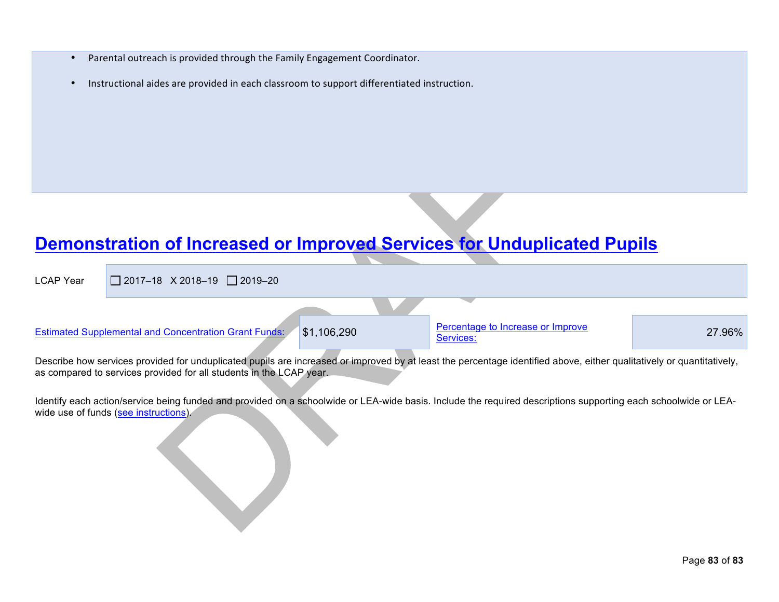- Parental outreach is provided through the Family Engagement Coordinator.
- Instructional aides are provided in each classroom to support differentiated instruction.

## **Demonstration of Increased or Improved Services for Unduplicated Pupils**

| <b>LCAP Year</b> | $\Box$ 2017-18 X 2018-19 $\Box$ 2019-20               |             |                                                                                                                                                                                                                                |        |
|------------------|-------------------------------------------------------|-------------|--------------------------------------------------------------------------------------------------------------------------------------------------------------------------------------------------------------------------------|--------|
|                  | Estimated Supplemental and Concentration Grant Funds: | \$1,106,290 | Percentage to Increase or Improve<br>Services:                                                                                                                                                                                 | 27.96% |
|                  |                                                       |             | and the contract of the contract of the contract of the contract of the contract of the contract of the contract of the contract of the contract of the contract of the contract of the contract of the contract of the contra |        |

Describe how services provided for unduplicated pupils are increased or improved by at least the percentage identified above, either qualitatively or quantitatively, as compared to services provided for all students in the LCAP year.

Identify each action/service being funded and provided on a schoolwide or LEA-wide basis. Include the required descriptions supporting each schoolwide or LEAwide use of funds (see instructions).